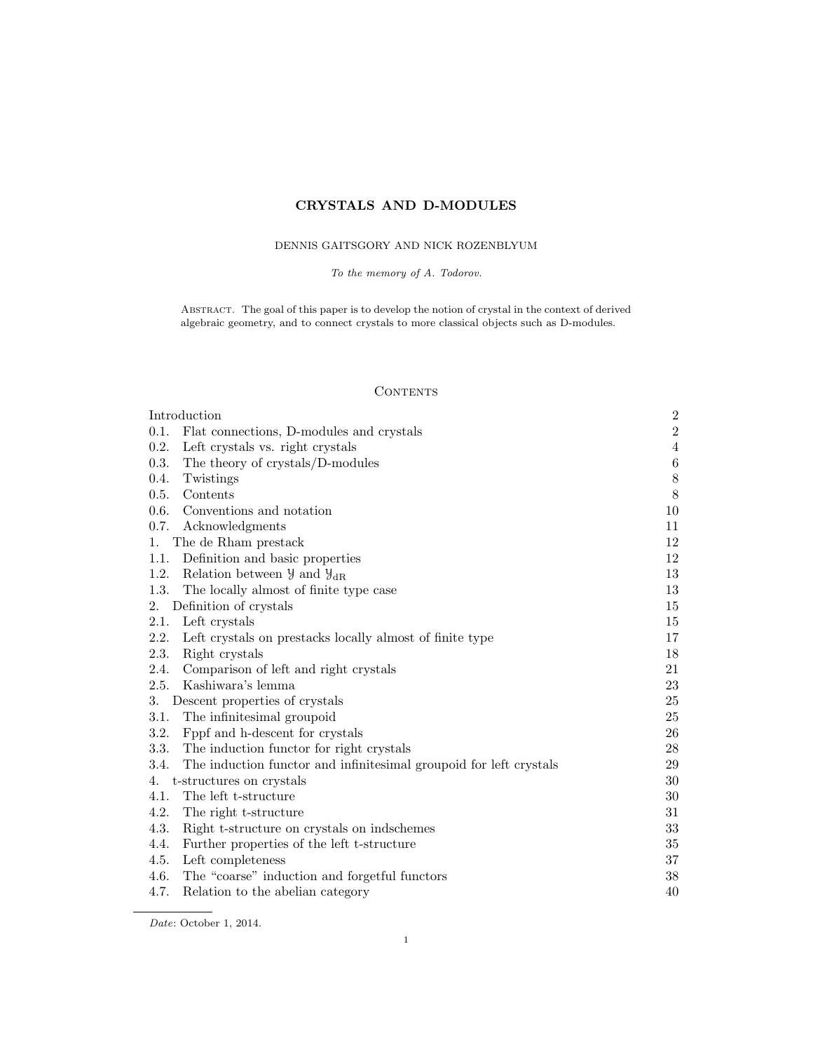# CRYSTALS AND D-MODULES

# DENNIS GAITSGORY AND NICK ROZENBLYUM

To the memory of A. Todorov.

Abstract. The goal of this paper is to develop the notion of crystal in the context of derived algebraic geometry, and to connect crystals to more classical objects such as D-modules.

# **CONTENTS**

| Introduction                                                               | $\sqrt{2}$     |
|----------------------------------------------------------------------------|----------------|
| 0.1.<br>Flat connections, D-modules and crystals                           | $\overline{2}$ |
| 0.2.<br>Left crystals vs. right crystals                                   | $\overline{4}$ |
| 0.3.<br>The theory of crystals/D-modules                                   | $\,6\,$        |
| 0.4.<br>Twistings                                                          | $8\,$          |
| Contents<br>0.5.                                                           | 8              |
| 0.6.<br>Conventions and notation                                           | 10             |
| 0.7.<br>Acknowledgments                                                    | 11             |
| The de Rham prestack<br>1.                                                 | 12             |
| Definition and basic properties<br>1.1.                                    | 12             |
| 1.2.<br>Relation between $\mathcal{Y}$ and $\mathcal{Y}_{dR}$              | 13             |
| 1.3.<br>The locally almost of finite type case                             | 13             |
| Definition of crystals<br>2.                                               | 15             |
| 2.1.<br>Left crystals                                                      | 15             |
| 2.2.<br>Left crystals on prestacks locally almost of finite type           | 17             |
| 2.3.<br>Right crystals                                                     | 18             |
| 2.4.<br>Comparison of left and right crystals                              | 21             |
| 2.5.<br>Kashiwara's lemma                                                  | $23\,$         |
| Descent properties of crystals<br>3.                                       | 25             |
| The infinitesimal groupoid<br>3.1.                                         | 25             |
| 3.2.<br>Fppf and h-descent for crystals                                    | 26             |
| The induction functor for right crystals<br>3.3.                           | 28             |
| 3.4.<br>The induction functor and infinitesimal groupoid for left crystals | 29             |
| t-structures on crystals<br>4.                                             | 30             |
| 4.1.<br>The left t-structure                                               | 30             |
| 4.2.<br>The right t-structure                                              | 31             |
| 4.3.<br>Right t-structure on crystals on indschemes                        | 33             |
| 4.4.<br>Further properties of the left t-structure                         | 35             |
| 4.5.<br>Left completeness                                                  | 37             |
| 4.6.<br>The "coarse" induction and forgetful functors                      | 38             |
| 4.7.<br>Relation to the abelian category                                   | 40             |

Date: October 1, 2014.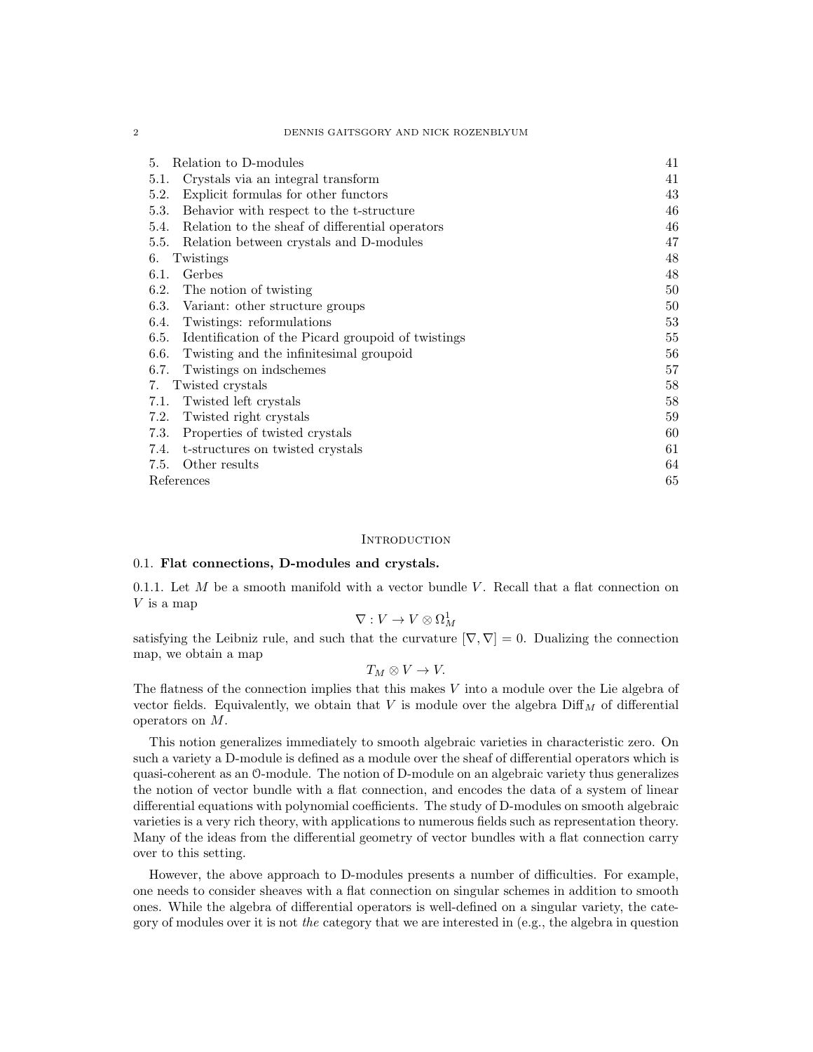#### 2 DENNIS GAITSGORY AND NICK ROZENBLYUM

| Relation to D-modules<br>5.                                | 41 |
|------------------------------------------------------------|----|
| Crystals via an integral transform<br>5.1.                 | 41 |
| Explicit formulas for other functors<br>5.2.               | 43 |
| 5.3.<br>Behavior with respect to the t-structure           | 46 |
| Relation to the sheaf of differential operators<br>5.4.    | 46 |
| Relation between crystals and D-modules<br>5.5.            | 47 |
| Twistings<br>6.                                            | 48 |
| Gerbes<br>6.1.                                             | 48 |
| 6.2.<br>The notion of twisting                             | 50 |
| 6.3.<br>Variant: other structure groups                    | 50 |
| Twistings: reformulations<br>6.4.                          | 53 |
| Identification of the Picard groupoid of twistings<br>6.5. | 55 |
| Twisting and the infinitesimal groupoid<br>6.6.            | 56 |
| 6.7.<br>Twistings on indschemes                            | 57 |
| Twisted crystals<br>7.                                     | 58 |
| Twisted left crystals<br>7.1.                              | 58 |
| Twisted right crystals<br>7.2.                             | 59 |
| Properties of twisted crystals<br>7.3.                     | 60 |
| t-structures on twisted crystals<br>7.4.                   | 61 |
| Other results<br>7.5.                                      | 64 |
| References                                                 | 65 |

### **INTRODUCTION**

# 0.1. Flat connections, D-modules and crystals.

0.1.1. Let  $M$  be a smooth manifold with a vector bundle  $V$ . Recall that a flat connection on V is a map

$$
\nabla: V \to V \otimes \Omega^1_M
$$

satisfying the Leibniz rule, and such that the curvature  $[\nabla, \nabla] = 0$ . Dualizing the connection map, we obtain a map

 $T_M \otimes V \to V$ .

The flatness of the connection implies that this makes V into a module over the Lie algebra of vector fields. Equivalently, we obtain that V is module over the algebra  $\text{Diff}_M$  of differential operators on M.

This notion generalizes immediately to smooth algebraic varieties in characteristic zero. On such a variety a D-module is defined as a module over the sheaf of differential operators which is quasi-coherent as an O-module. The notion of D-module on an algebraic variety thus generalizes the notion of vector bundle with a flat connection, and encodes the data of a system of linear differential equations with polynomial coefficients. The study of D-modules on smooth algebraic varieties is a very rich theory, with applications to numerous fields such as representation theory. Many of the ideas from the differential geometry of vector bundles with a flat connection carry over to this setting.

However, the above approach to D-modules presents a number of difficulties. For example, one needs to consider sheaves with a flat connection on singular schemes in addition to smooth ones. While the algebra of differential operators is well-defined on a singular variety, the category of modules over it is not the category that we are interested in (e.g., the algebra in question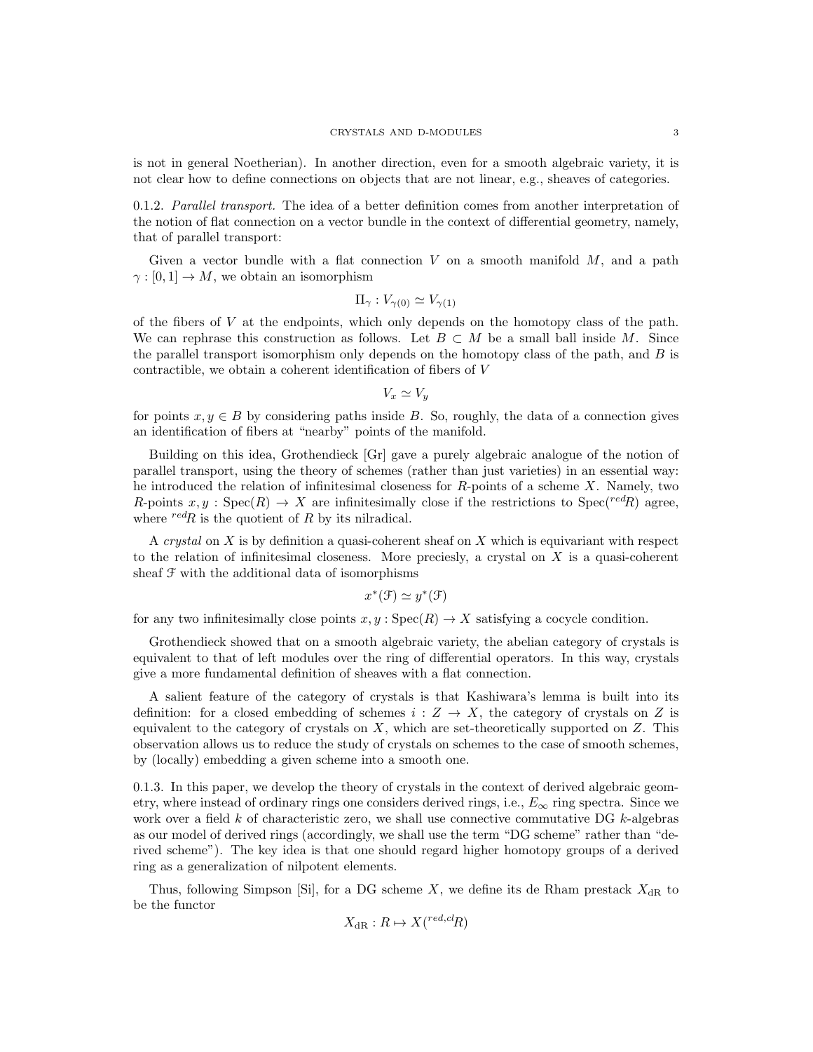#### CRYSTALS AND D-MODULES 3

is not in general Noetherian). In another direction, even for a smooth algebraic variety, it is not clear how to define connections on objects that are not linear, e.g., sheaves of categories.

0.1.2. Parallel transport. The idea of a better definition comes from another interpretation of the notion of flat connection on a vector bundle in the context of differential geometry, namely, that of parallel transport:

Given a vector bundle with a flat connection  $V$  on a smooth manifold  $M$ , and a path  $\gamma : [0, 1] \to M$ , we obtain an isomorphism

$$
\Pi_{\gamma}: V_{\gamma(0)} \simeq V_{\gamma(1)}
$$

of the fibers of  $V$  at the endpoints, which only depends on the homotopy class of the path. We can rephrase this construction as follows. Let  $B \subset M$  be a small ball inside M. Since the parallel transport isomorphism only depends on the homotopy class of the path, and  $B$  is contractible, we obtain a coherent identification of fibers of V

$$
V_x \simeq V_y
$$

for points  $x, y \in B$  by considering paths inside B. So, roughly, the data of a connection gives an identification of fibers at "nearby" points of the manifold.

Building on this idea, Grothendieck [Gr] gave a purely algebraic analogue of the notion of parallel transport, using the theory of schemes (rather than just varieties) in an essential way: he introduced the relation of infinitesimal closeness for  $R$ -points of a scheme X. Namely, two R-points  $x, y$ : Spec $(R) \to X$  are infinitesimally close if the restrictions to Spec $({}^{red}R)$  agree, where  $\ell^{red}R$  is the quotient of R by its nilradical.

A crystal on  $X$  is by definition a quasi-coherent sheaf on  $X$  which is equivariant with respect to the relation of infinitesimal closeness. More preciesly, a crystal on  $X$  is a quasi-coherent sheaf  $\mathcal F$  with the additional data of isomorphisms

$$
x^*(\mathcal{F}) \simeq y^*(\mathcal{F})
$$

for any two infinitesimally close points  $x, y : \text{Spec}(R) \to X$  satisfying a cocycle condition.

Grothendieck showed that on a smooth algebraic variety, the abelian category of crystals is equivalent to that of left modules over the ring of differential operators. In this way, crystals give a more fundamental definition of sheaves with a flat connection.

A salient feature of the category of crystals is that Kashiwara's lemma is built into its definition: for a closed embedding of schemes  $i : Z \to X$ , the category of crystals on Z is equivalent to the category of crystals on  $X$ , which are set-theoretically supported on  $Z$ . This observation allows us to reduce the study of crystals on schemes to the case of smooth schemes, by (locally) embedding a given scheme into a smooth one.

0.1.3. In this paper, we develop the theory of crystals in the context of derived algebraic geometry, where instead of ordinary rings one considers derived rings, i.e.,  $E_{\infty}$  ring spectra. Since we work over a field  $k$  of characteristic zero, we shall use connective commutative DG  $k$ -algebras as our model of derived rings (accordingly, we shall use the term "DG scheme" rather than "derived scheme"). The key idea is that one should regard higher homotopy groups of a derived ring as a generalization of nilpotent elements.

Thus, following Simpson [Si], for a DG scheme X, we define its de Rham prestack  $X_{\text{dR}}$  to be the functor

$$
X_{\mathrm{dR}}: R \mapsto X(^{red, cl}R)
$$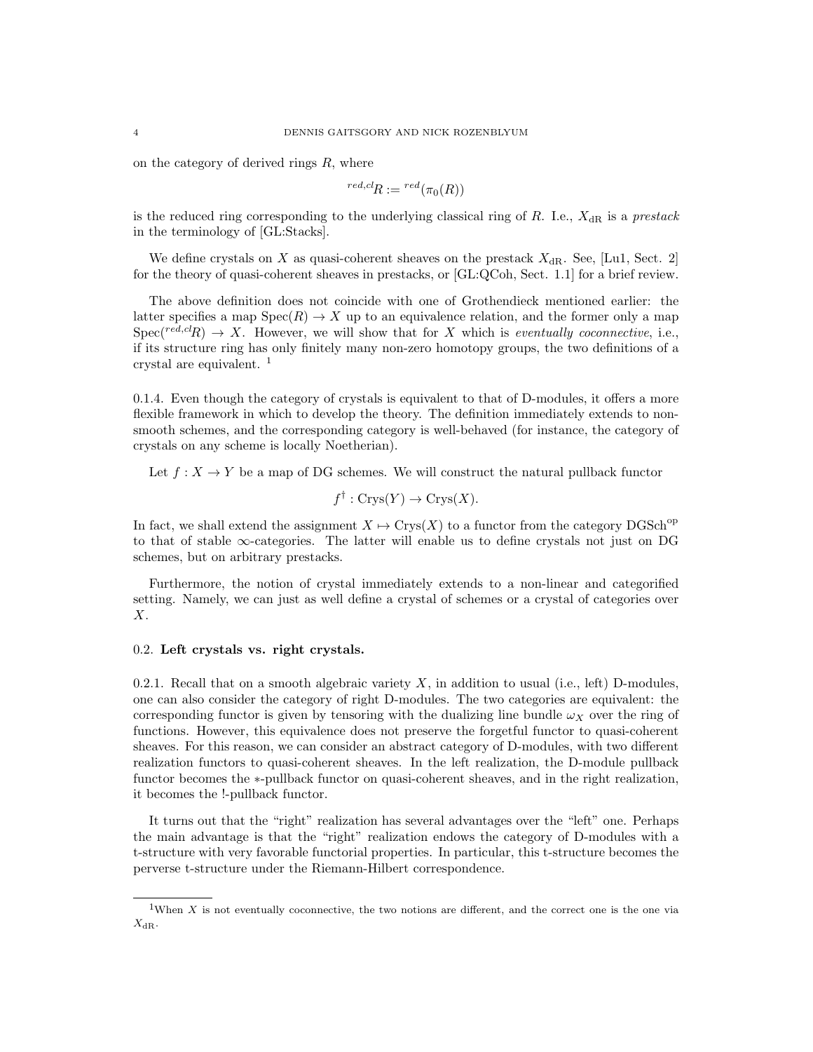on the category of derived rings  $R$ , where

$$
{}^{red, cl}R:={}^{red}(\pi_0(R))
$$

is the reduced ring corresponding to the underlying classical ring of R. I.e.,  $X_{\rm dR}$  is a prestack in the terminology of [GL:Stacks].

We define crystals on X as quasi-coherent sheaves on the prestack  $X_{\rm dR}$ . See, [Lu1, Sect. 2] for the theory of quasi-coherent sheaves in prestacks, or [GL:QCoh, Sect. 1.1] for a brief review.

The above definition does not coincide with one of Grothendieck mentioned earlier: the latter specifies a map  $Spec(R) \to X$  up to an equivalence relation, and the former only a map  $Spec(\text{red,} \text{cl}_R) \rightarrow X$ . However, we will show that for X which is eventually coconnective, i.e., if its structure ring has only finitely many non-zero homotopy groups, the two definitions of a crystal are equivalent. <sup>1</sup>

0.1.4. Even though the category of crystals is equivalent to that of D-modules, it offers a more flexible framework in which to develop the theory. The definition immediately extends to nonsmooth schemes, and the corresponding category is well-behaved (for instance, the category of crystals on any scheme is locally Noetherian).

Let  $f: X \to Y$  be a map of DG schemes. We will construct the natural pullback functor

$$
f^{\dagger} : \text{Crys}(Y) \to \text{Crys}(X).
$$

In fact, we shall extend the assignment  $X \mapsto \text{Crys}(X)$  to a functor from the category DGSch<sup>op</sup> to that of stable ∞-categories. The latter will enable us to define crystals not just on DG schemes, but on arbitrary prestacks.

Furthermore, the notion of crystal immediately extends to a non-linear and categorified setting. Namely, we can just as well define a crystal of schemes or a crystal of categories over X.

### 0.2. Left crystals vs. right crystals.

0.2.1. Recall that on a smooth algebraic variety  $X$ , in addition to usual (i.e., left) D-modules, one can also consider the category of right D-modules. The two categories are equivalent: the corresponding functor is given by tensoring with the dualizing line bundle  $\omega_X$  over the ring of functions. However, this equivalence does not preserve the forgetful functor to quasi-coherent sheaves. For this reason, we can consider an abstract category of D-modules, with two different realization functors to quasi-coherent sheaves. In the left realization, the D-module pullback functor becomes the ∗-pullback functor on quasi-coherent sheaves, and in the right realization, it becomes the !-pullback functor.

It turns out that the "right" realization has several advantages over the "left" one. Perhaps the main advantage is that the "right" realization endows the category of D-modules with a t-structure with very favorable functorial properties. In particular, this t-structure becomes the perverse t-structure under the Riemann-Hilbert correspondence.

<sup>&</sup>lt;sup>1</sup>When  $X$  is not eventually coconnective, the two notions are different, and the correct one is the one via  $X_{\text{dR}}$ .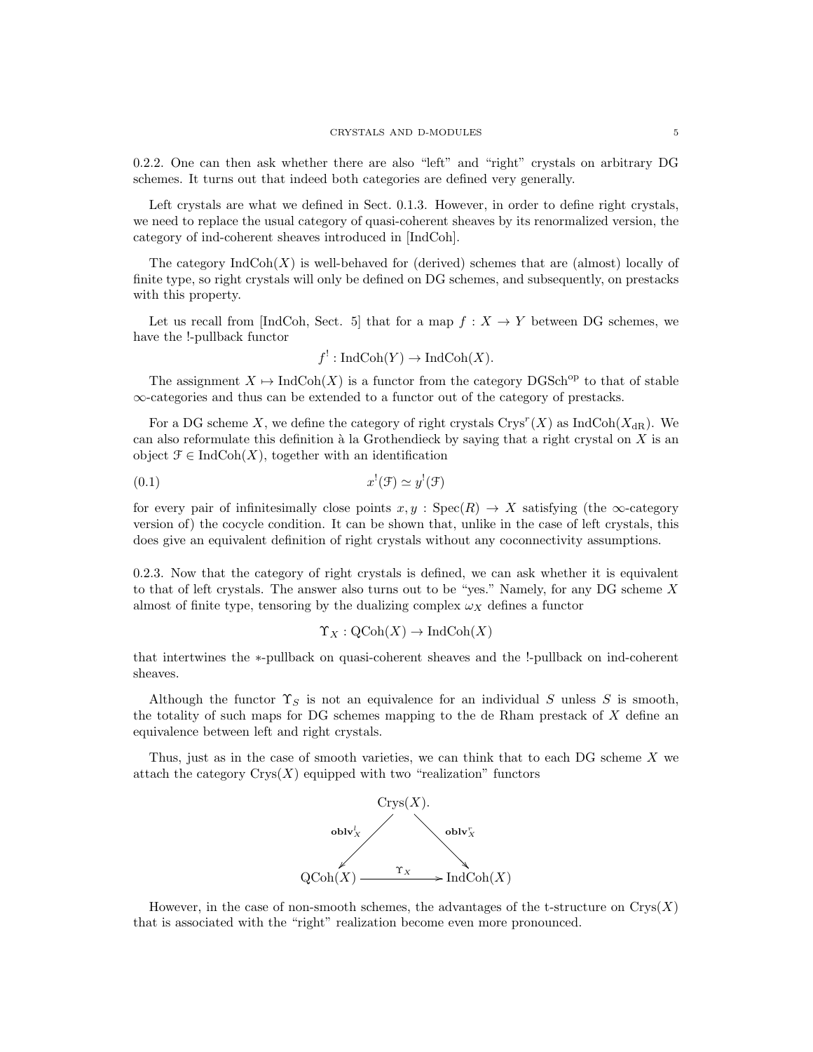0.2.2. One can then ask whether there are also "left" and "right" crystals on arbitrary DG schemes. It turns out that indeed both categories are defined very generally.

Left crystals are what we defined in Sect. 0.1.3. However, in order to define right crystals, we need to replace the usual category of quasi-coherent sheaves by its renormalized version, the category of ind-coherent sheaves introduced in [IndCoh].

The category  $\text{IndCoh}(X)$  is well-behaved for (derived) schemes that are (almost) locally of finite type, so right crystals will only be defined on DG schemes, and subsequently, on prestacks with this property.

Let us recall from [IndCoh, Sect. 5] that for a map  $f : X \to Y$  between DG schemes, we have the !-pullback functor

$$
f^!: \text{IndCoh}(Y) \to \text{IndCoh}(X).
$$

The assignment  $X \mapsto \text{IndCoh}(X)$  is a functor from the category DGSch<sup>op</sup> to that of stable ∞-categories and thus can be extended to a functor out of the category of prestacks.

For a DG scheme X, we define the category of right crystals  $\text{Crys}^r(X)$  as  $\text{IndCoh}(X_{\text{dR}})$ . We can also reformulate this definition à la Grothendieck by saying that a right crystal on  $X$  is an object  $\mathcal{F} \in \text{IndCoh}(X)$ , together with an identification

$$
(0.1)\qquad \qquad x^!(\mathfrak{F}) \simeq y^!(\mathfrak{F})
$$

for every pair of infinitesimally close points  $x, y : \text{Spec}(R) \to X$  satisfying (the  $\infty$ -category version of) the cocycle condition. It can be shown that, unlike in the case of left crystals, this does give an equivalent definition of right crystals without any coconnectivity assumptions.

0.2.3. Now that the category of right crystals is defined, we can ask whether it is equivalent to that of left crystals. The answer also turns out to be "yes." Namely, for any DG scheme  $X$ almost of finite type, tensoring by the dualizing complex  $\omega_X$  defines a functor

$$
\Upsilon_X : \mathrm{QCoh}(X) \to \mathrm{IndCoh}(X)
$$

that intertwines the ∗-pullback on quasi-coherent sheaves and the !-pullback on ind-coherent sheaves.

Although the functor  $\Upsilon_S$  is not an equivalence for an individual S unless S is smooth, the totality of such maps for DG schemes mapping to the de Rham prestack of  $X$  define an equivalence between left and right crystals.

Thus, just as in the case of smooth varieties, we can think that to each DG scheme X we attach the category  $Crys(X)$  equipped with two "realization" functors



However, in the case of non-smooth schemes, the advantages of the t-structure on  $Crys(X)$ that is associated with the "right" realization become even more pronounced.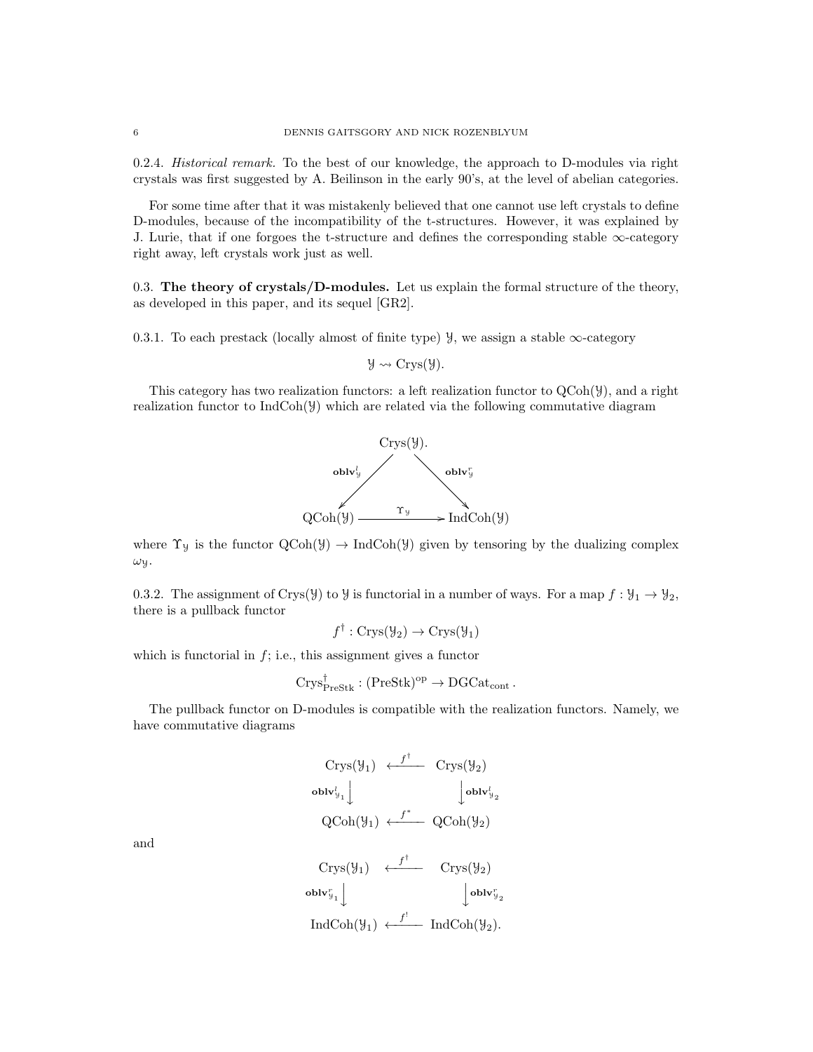0.2.4. Historical remark. To the best of our knowledge, the approach to D-modules via right crystals was first suggested by A. Beilinson in the early 90's, at the level of abelian categories.

For some time after that it was mistakenly believed that one cannot use left crystals to define D-modules, because of the incompatibility of the t-structures. However, it was explained by J. Lurie, that if one forgoes the t-structure and defines the corresponding stable  $\infty$ -category right away, left crystals work just as well.

0.3. The theory of crystals/D-modules. Let us explain the formal structure of the theory, as developed in this paper, and its sequel [GR2].

0.3.1. To each prestack (locally almost of finite type)  $\mathcal{Y}$ , we assign a stable  $\infty$ -category

$$
\mathcal{Y} \rightsquigarrow \mathrm{Crys}(\mathcal{Y}).
$$

This category has two realization functors: a left realization functor to  $QCoh(\mathcal{Y})$ , and a right realization functor to  $IndCoh(\mathcal{Y})$  which are related via the following commutative diagram



where  $\Upsilon_y$  is the functor  $\text{QCoh}(\mathcal{Y}) \to \text{IndCoh}(\mathcal{Y})$  given by tensoring by the dualizing complex  $ω$ y.

0.3.2. The assignment of Crys(Y) to Y is functorial in a number of ways. For a map  $f: \mathcal{Y}_1 \to \mathcal{Y}_2$ , there is a pullback functor

$$
f^{\dagger} : \text{Crys}(\mathcal{Y}_2) \to \text{Crys}(\mathcal{Y}_1)
$$

which is functorial in  $f$ ; i.e., this assignment gives a functor

$$
\mathrm{Crys}^\dagger_{\mathrm{PreStk}}:(\mathrm{PreStk})^\mathrm{op}\to \mathrm{DGCat}_\mathrm{cont}\,.
$$

The pullback functor on D-modules is compatible with the realization functors. Namely, we have commutative diagrams

$$
\begin{array}{ccc}\n\text{Crys}(\mathcal{Y}_1) & \stackrel{f^{\dagger}}{\longleftarrow} & \text{Crys}(\mathcal{Y}_2) \\
\text{oblv}_{\mathcal{Y}_1}^t \downarrow & & \downarrow \text{oblv}_{\mathcal{Y}_2}^t \\
\text{QCoh}(\mathcal{Y}_1) & \stackrel{f^*}{\longleftarrow} & \text{QCoh}(\mathcal{Y}_2) \\
\text{Crys}(\mathcal{Y}_1) & \stackrel{f^{\dagger}}{\longleftarrow} & \text{Crys}(\mathcal{Y}_2) \\
\text{oblv}_{\mathcal{Y}_1}^r \downarrow & & \downarrow \text{oblv}_{\mathcal{Y}_2}^r \\
\text{IndCoh}(\mathcal{Y}_1) & \stackrel{f^{\dagger}}{\longleftarrow} & \text{IndCoh}(\mathcal{Y}_2).\n\end{array}
$$

and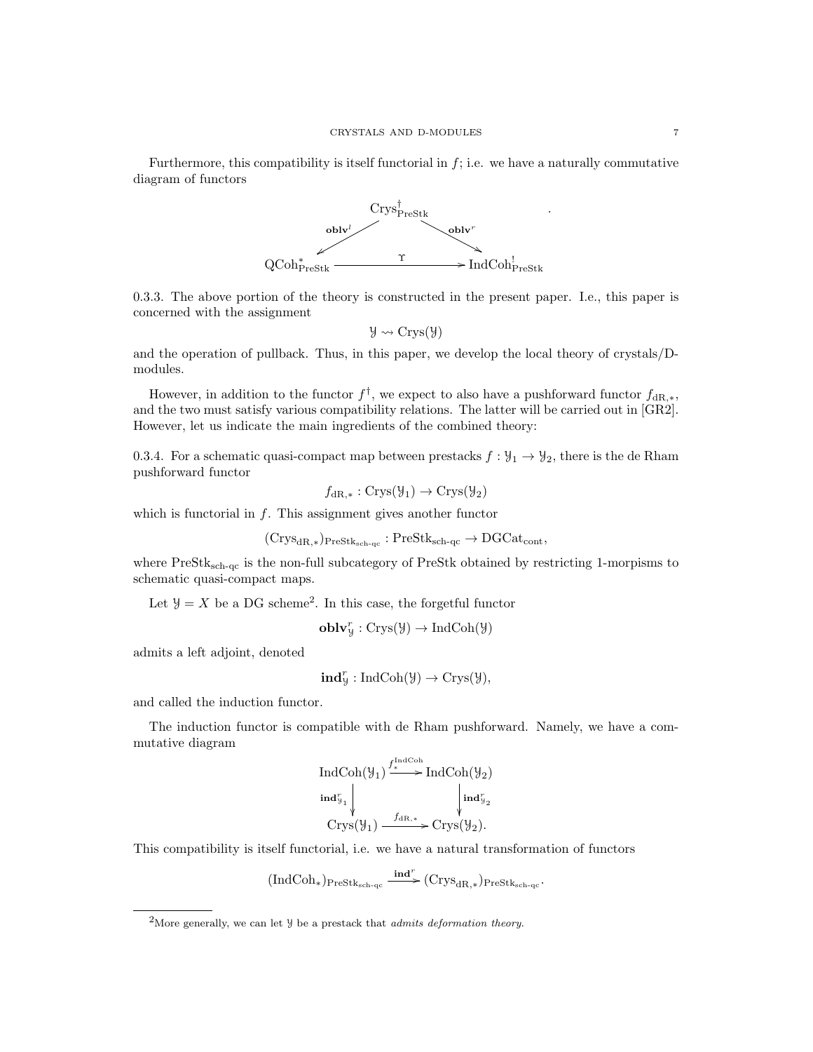Furthermore, this compatibility is itself functorial in  $f$ ; i.e. we have a naturally commutative diagram of functors



0.3.3. The above portion of the theory is constructed in the present paper. I.e., this paper is concerned with the assignment

$$
\mathcal{Y} \rightsquigarrow Crys(\mathcal{Y})
$$

and the operation of pullback. Thus, in this paper, we develop the local theory of crystals/Dmodules.

However, in addition to the functor  $f^{\dagger}$ , we expect to also have a pushforward functor  $f_{\text{dR},*}$ , and the two must satisfy various compatibility relations. The latter will be carried out in [GR2]. However, let us indicate the main ingredients of the combined theory:

0.3.4. For a schematic quasi-compact map between prestacks  $f: \mathcal{Y}_1 \to \mathcal{Y}_2$ , there is the de Rham pushforward functor

$$
f_{\text{dR},*}: \text{Crys}(\mathcal{Y}_1) \to \text{Crys}(\mathcal{Y}_2)
$$

which is functorial in  $f$ . This assignment gives another functor

$$
(\mathrm{Crys}_{\mathrm{dR}, *})_{\mathrm{PreStk}_{\mathrm{sch-qc}}} : \mathrm{PreStk}_{\mathrm{sch-qc}} \to \mathrm{DGCat}_{\mathrm{cont}},
$$

where PreStk<sub>sch-qc</sub> is the non-full subcategory of PreStk obtained by restricting 1-morpisms to schematic quasi-compact maps.

Let  $\mathcal{Y} = X$  be a DG scheme<sup>2</sup>. In this case, the forgetful functor

 $\textbf{oblv}_\mathcal{Y}^r : \text{Crys}(\mathcal{Y}) \to \text{IndCoh}(\mathcal{Y})$ 

admits a left adjoint, denoted

$$
\mathbf{ind}^r_{\mathcal{Y}}:\mathrm{IndCoh}(\mathcal{Y})\rightarrow\mathrm{Crys}(\mathcal{Y}),
$$

and called the induction functor.

The induction functor is compatible with de Rham pushforward. Namely, we have a commutative diagram

$$
\operatorname{IndCoh}(\mathcal{Y}_1) \xrightarrow{f^{\operatorname{IndCoh}}}_{\text{Ind}_{\mathcal{Y}_2}} \operatorname{IndCoh}(\mathcal{Y}_2)
$$
\n
$$
\operatorname{ind}_{\mathcal{Y}_1}^{\tau} \downarrow \qquad \qquad \downarrow \operatorname{ind}_{\mathcal{Y}_2}^{\tau}.
$$
\n
$$
\operatorname{Crys}(\mathcal{Y}_1) \xrightarrow{f_{\operatorname{dR},*}} \operatorname{Crys}(\mathcal{Y}_2).
$$

This compatibility is itself functorial, i.e. we have a natural transformation of functors

$$
(\mathrm{IndCoh}_*)_{\mathrm{PreStk}_{\mathrm{sch}\text{-}\mathrm{qc}}}\ \frac{\mathrm{\mathbf{ind}}^r}{\phantom{_\mathrm{def}}}(\mathrm{Crys}_{\mathrm{dR},*})_{\mathrm{PreStk}_{\mathrm{sch}\text{-}\mathrm{qc}}}.
$$

<sup>&</sup>lt;sup>2</sup>More generally, we can let  $\mathcal{Y}$  be a prestack that *admits deformation theory*.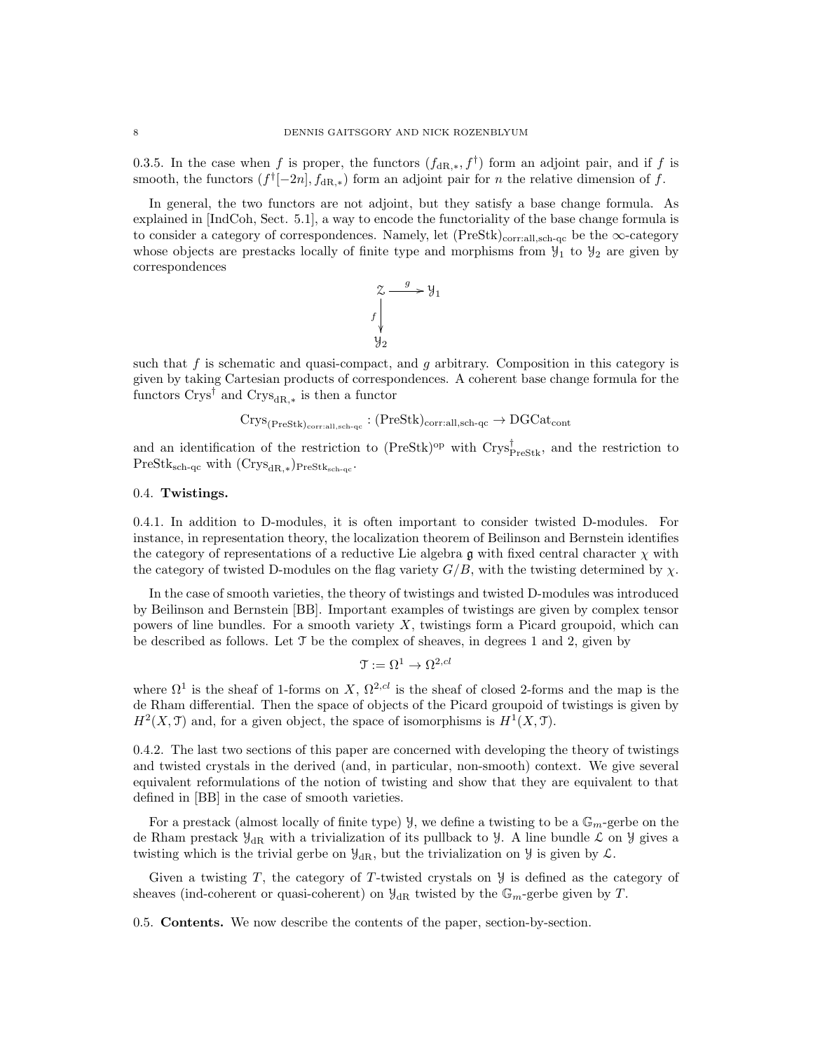0.3.5. In the case when f is proper, the functors  $(f_{\text{dR},*}, f^{\dagger})$  form an adjoint pair, and if f is smooth, the functors  $(f^{\dagger}[-2n], f_{dR,*})$  form an adjoint pair for n the relative dimension of f.

In general, the two functors are not adjoint, but they satisfy a base change formula. As explained in [IndCoh, Sect. 5.1], a way to encode the functoriality of the base change formula is to consider a category of correspondences. Namely, let  $(PreStk)_{\text{corr.all.sch-qc}}$  be the  $\infty$ -category whose objects are prestacks locally of finite type and morphisms from  $\mathcal{Y}_1$  to  $\mathcal{Y}_2$  are given by correspondences

$$
\begin{array}{ccc}\n & \mathcal{Z} & \xrightarrow{g} & \mathcal{Y}_1 \\
 & \downarrow & & \downarrow \\
 & \downarrow & & \downarrow \\
 & \mathcal{Y}_2 & & \n\end{array}
$$

such that  $f$  is schematic and quasi-compact, and  $g$  arbitrary. Composition in this category is given by taking Cartesian products of correspondences. A coherent base change formula for the functors  $\text{Crys}^{\dagger}$  and  $\text{Crys}_{\text{dR},*}$  is then a functor

$$
\mathrm{Crys}_{(\mathrm{PreStk})_{\mathrm{corr:all,sch-qc}}}: (\mathrm{PreStk})_{\mathrm{corr:all,sch-qc}} \to \mathrm{DGCat}_{\mathrm{cont}}
$$

and an identification of the restriction to  $(PreStk)^{op}$  with  $Crys_{PreStk}^{\dagger}$ , and the restriction to  $\text{PreStk}_{\text{sch-qc}}$  with  $(\text{Crys}_{\text{dR},*})_{\text{PreStk}_{\text{sch-qc}}}.$ 

# 0.4. Twistings.

0.4.1. In addition to D-modules, it is often important to consider twisted D-modules. For instance, in representation theory, the localization theorem of Beilinson and Bernstein identifies the category of representations of a reductive Lie algebra g with fixed central character  $\chi$  with the category of twisted D-modules on the flag variety  $G/B$ , with the twisting determined by  $\chi$ .

In the case of smooth varieties, the theory of twistings and twisted D-modules was introduced by Beilinson and Bernstein [BB]. Important examples of twistings are given by complex tensor powers of line bundles. For a smooth variety  $X$ , twistings form a Picard groupoid, which can be described as follows. Let  $\mathcal T$  be the complex of sheaves, in degrees 1 and 2, given by

$$
\mathfrak{T}:=\Omega^1\to\Omega^{2,cl}
$$

where  $\Omega^1$  is the sheaf of 1-forms on X,  $\Omega^{2,cl}$  is the sheaf of closed 2-forms and the map is the de Rham differential. Then the space of objects of the Picard groupoid of twistings is given by  $H<sup>2</sup>(X, \mathcal{T})$  and, for a given object, the space of isomorphisms is  $H<sup>1</sup>(X, \mathcal{T})$ .

0.4.2. The last two sections of this paper are concerned with developing the theory of twistings and twisted crystals in the derived (and, in particular, non-smooth) context. We give several equivalent reformulations of the notion of twisting and show that they are equivalent to that defined in [BB] in the case of smooth varieties.

For a prestack (almost locally of finite type)  $\mathcal{Y}$ , we define a twisting to be a  $\mathbb{G}_m$ -gerbe on the de Rham prestack  $\mathcal{Y}_{dR}$  with a trivialization of its pullback to  $\mathcal{Y}$ . A line bundle  $\mathcal{L}$  on  $\mathcal{Y}$  gives a twisting which is the trivial gerbe on  $\mathcal{Y}_{\text{dR}}$ , but the trivialization on  $\mathcal{Y}$  is given by  $\mathcal{L}$ .

Given a twisting  $T$ , the category of  $T$ -twisted crystals on  $\mathcal Y$  is defined as the category of sheaves (ind-coherent or quasi-coherent) on  $\mathcal{Y}_{dR}$  twisted by the  $\mathbb{G}_m$ -gerbe given by T.

0.5. Contents. We now describe the contents of the paper, section-by-section.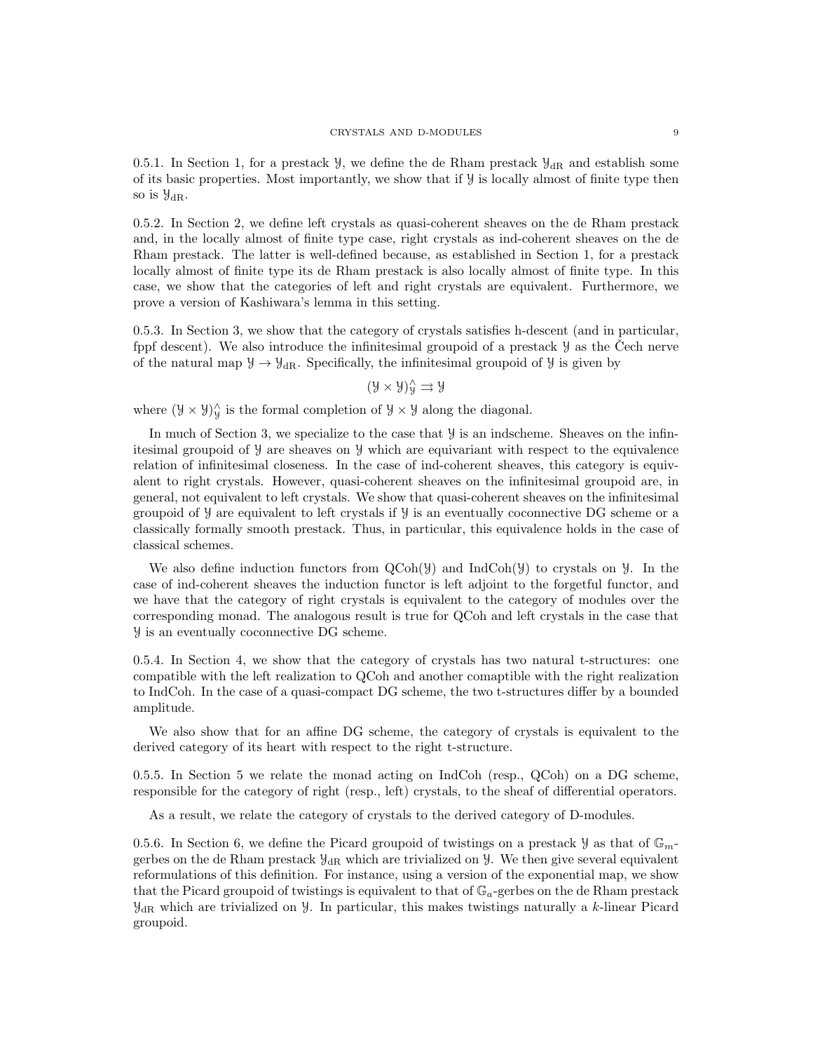0.5.1. In Section 1, for a prestack  $\mathcal{Y}$ , we define the de Rham prestack  $\mathcal{Y}_{dR}$  and establish some of its basic properties. Most importantly, we show that if Y is locally almost of finite type then so is  $\mathcal{Y}_{\text{dR}}$ .

0.5.2. In Section 2, we define left crystals as quasi-coherent sheaves on the de Rham prestack and, in the locally almost of finite type case, right crystals as ind-coherent sheaves on the de Rham prestack. The latter is well-defined because, as established in Section 1, for a prestack locally almost of finite type its de Rham prestack is also locally almost of finite type. In this case, we show that the categories of left and right crystals are equivalent. Furthermore, we prove a version of Kashiwara's lemma in this setting.

0.5.3. In Section 3, we show that the category of crystals satisfies h-descent (and in particular, fppf descent). We also introduce the infinitesimal groupoid of a prestack  $\mathcal Y$  as the Cech nerve of the natural map  $\mathcal{Y} \to \mathcal{Y}_{dR}$ . Specifically, the infinitesimal groupoid of  $\mathcal{Y}$  is given by

 $(\mathcal{Y} \times \mathcal{Y})^{\wedge}_{\mathcal{Y}} \rightrightarrows \mathcal{Y}$ 

where  $(\mathcal{Y} \times \mathcal{Y})^{\hat{\wedge}}_{\mathcal{Y}}$  is the formal completion of  $\mathcal{Y} \times \mathcal{Y}$  along the diagonal.

In much of Section 3, we specialize to the case that  $\mathcal Y$  is an indscheme. Sheaves on the infinitesimal groupoid of Y are sheaves on Y which are equivariant with respect to the equivalence relation of infinitesimal closeness. In the case of ind-coherent sheaves, this category is equivalent to right crystals. However, quasi-coherent sheaves on the infinitesimal groupoid are, in general, not equivalent to left crystals. We show that quasi-coherent sheaves on the infinitesimal groupoid of  $\mathcal Y$  are equivalent to left crystals if  $\mathcal Y$  is an eventually coconnective DG scheme or a classically formally smooth prestack. Thus, in particular, this equivalence holds in the case of classical schemes.

We also define induction functors from  $QCoh(\mathcal{Y})$  and IndCoh( $\mathcal{Y}$ ) to crystals on  $\mathcal{Y}$ . In the case of ind-coherent sheaves the induction functor is left adjoint to the forgetful functor, and we have that the category of right crystals is equivalent to the category of modules over the corresponding monad. The analogous result is true for QCoh and left crystals in the case that Y is an eventually coconnective DG scheme.

0.5.4. In Section 4, we show that the category of crystals has two natural t-structures: one compatible with the left realization to QCoh and another comaptible with the right realization to IndCoh. In the case of a quasi-compact DG scheme, the two t-structures differ by a bounded amplitude.

We also show that for an affine DG scheme, the category of crystals is equivalent to the derived category of its heart with respect to the right t-structure.

0.5.5. In Section 5 we relate the monad acting on IndCoh (resp., QCoh) on a DG scheme, responsible for the category of right (resp., left) crystals, to the sheaf of differential operators.

As a result, we relate the category of crystals to the derived category of D-modules.

0.5.6. In Section 6, we define the Picard groupoid of twistings on a prestack  $\mathcal{Y}$  as that of  $\mathbb{G}_m$ gerbes on the de Rham prestack  $\mathcal{Y}_{\text{dR}}$  which are trivialized on  $\mathcal{Y}$ . We then give several equivalent reformulations of this definition. For instance, using a version of the exponential map, we show that the Picard groupoid of twistings is equivalent to that of  $\mathbb{G}_a$ -gerbes on the de Rham prestack  $\mathcal{Y}_{\text{dR}}$  which are trivialized on  $\mathcal{Y}$ . In particular, this makes twistings naturally a k-linear Picard groupoid.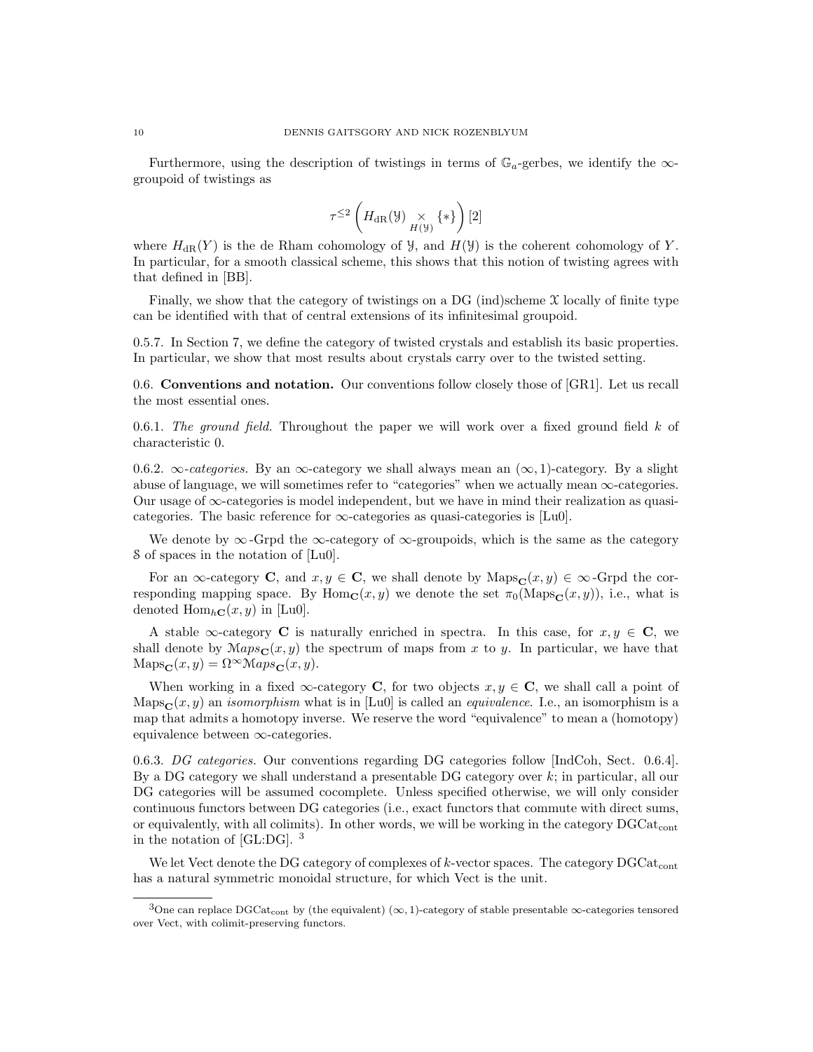Furthermore, using the description of twistings in terms of  $\mathbb{G}_a$ -gerbes, we identify the  $\infty$ groupoid of twistings as

$$
\tau^{\leq 2}\left(H_{\mathrm{dR}}(\mathcal{Y})\underset{H(\mathcal{Y})}{\times}\{\ast\}\right)[2]
$$

where  $H_{\text{dR}}(Y)$  is the de Rham cohomology of Y, and  $H(Y)$  is the coherent cohomology of Y. In particular, for a smooth classical scheme, this shows that this notion of twisting agrees with that defined in [BB].

Finally, we show that the category of twistings on a DG (ind)scheme  $\chi$  locally of finite type can be identified with that of central extensions of its infinitesimal groupoid.

0.5.7. In Section 7, we define the category of twisted crystals and establish its basic properties. In particular, we show that most results about crystals carry over to the twisted setting.

0.6. Conventions and notation. Our conventions follow closely those of [GR1]. Let us recall the most essential ones.

0.6.1. The ground field. Throughout the paper we will work over a fixed ground field  $k$  of characteristic 0.

0.6.2.  $\infty$ -categories. By an  $\infty$ -category we shall always mean an  $(\infty, 1)$ -category. By a slight abuse of language, we will sometimes refer to "categories" when we actually mean  $\infty$ -categories. Our usage of  $\infty$ -categories is model independent, but we have in mind their realization as quasicategories. The basic reference for  $\infty$ -categories as quasi-categories is [Lu0].

We denote by  $\infty$ -Grpd the  $\infty$ -category of  $\infty$ -groupoids, which is the same as the category S of spaces in the notation of [Lu0].

For an  $\infty$ -category **C**, and  $x, y \in \mathbf{C}$ , we shall denote by Maps $_{\mathbf{C}}(x, y) \in \infty$ -Grpd the corresponding mapping space. By Hom<sub>C</sub> $(x, y)$  we denote the set  $\pi_0(\text{Maps}_C(x, y))$ , i.e., what is denoted  $\text{Hom}_{h\mathbf{C}}(x, y)$  in [Lu0].

A stable  $\infty$ -category **C** is naturally enriched in spectra. In this case, for  $x, y \in \mathbf{C}$ , we shall denote by  $Maps_{\mathbf{C}}(x, y)$  the spectrum of maps from x to y. In particular, we have that  $\text{Maps}_{\mathbf{C}}(x, y) = \Omega^{\infty} \mathcal{M}aps_{\mathbf{C}}(x, y).$ 

When working in a fixed  $\infty$ -category **C**, for two objects  $x, y \in \mathbf{C}$ , we shall call a point of  $\text{Maps}_{\mathbf{C}}(x, y)$  an *isomorphism* what is in [Lu0] is called an *equivalence*. I.e., an isomorphism is a map that admits a homotopy inverse. We reserve the word "equivalence" to mean a (homotopy) equivalence between ∞-categories.

0.6.3. DG categories. Our conventions regarding DG categories follow [IndCoh, Sect. 0.6.4]. By a DG category we shall understand a presentable DG category over  $k$ ; in particular, all our DG categories will be assumed cocomplete. Unless specified otherwise, we will only consider continuous functors between DG categories (i.e., exact functors that commute with direct sums, or equivalently, with all colimits). In other words, we will be working in the category  $DGCat_{cont}$ in the notation of [GL:DG]. <sup>3</sup>

We let Vect denote the DG category of complexes of  $k$ -vector spaces. The category  $DGCat_{cont}$ has a natural symmetric monoidal structure, for which Vect is the unit.

<sup>3</sup>One can replace DGCat<sub>cont</sub> by (the equivalent)  $(\infty, 1)$ -category of stable presentable  $\infty$ -categories tensored over Vect, with colimit-preserving functors.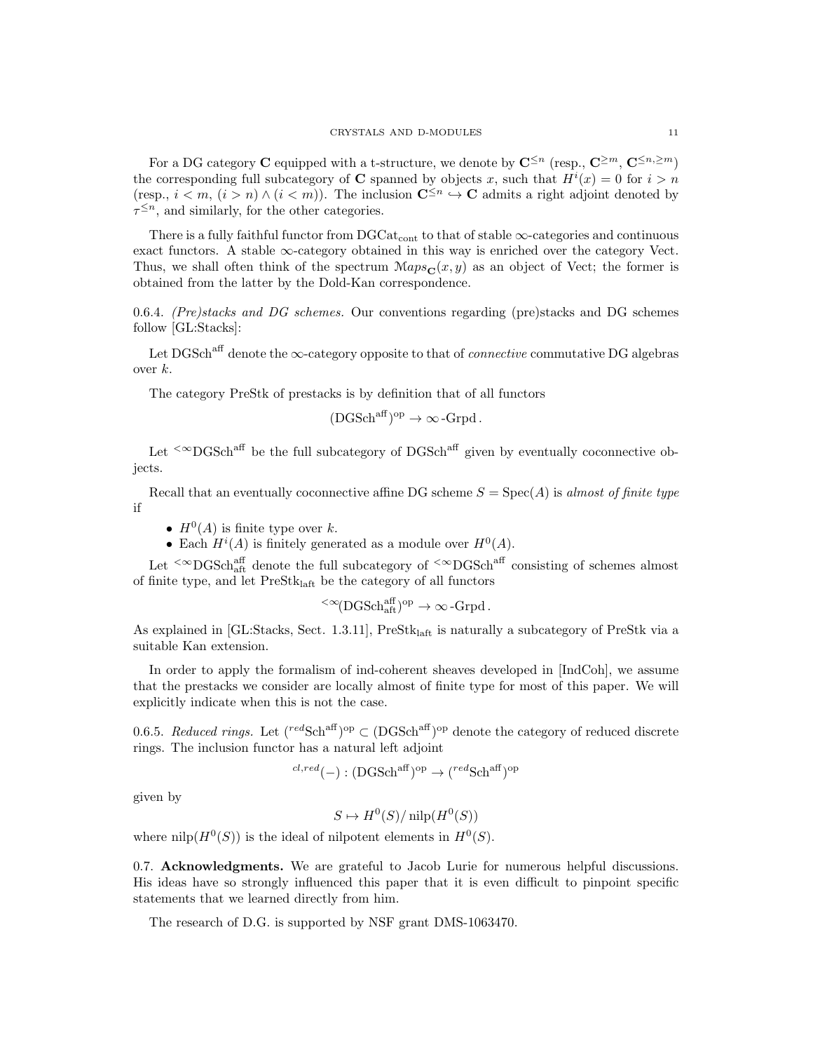For a DG category C equipped with a t-structure, we denote by  $\mathbb{C}^{\leq n}$  (resp.,  $\mathbb{C}^{\geq m}$ ,  $\mathbb{C}^{\leq n,\geq m}$ ) the corresponding full subcategory of **C** spanned by objects x, such that  $H^{i}(x) = 0$  for  $i > n$ (resp.,  $i < m$ ,  $(i > n) \wedge (i < m)$ ). The inclusion  $\mathbb{C}^{\leq n} \hookrightarrow \mathbb{C}$  admits a right adjoint denoted by  $\tau^{\leq n}$ , and similarly, for the other categories.

There is a fully faithful functor from  $DGCat_{cont}$  to that of stable  $\infty$ -categories and continuous exact functors. A stable  $\infty$ -category obtained in this way is enriched over the category Vect. Thus, we shall often think of the spectrum  $\mathcal{M}ap_{\mathcal{S}_{\mathbb{C}}}(x, y)$  as an object of Vect; the former is obtained from the latter by the Dold-Kan correspondence.

0.6.4. (Pre)stacks and DG schemes. Our conventions regarding (pre)stacks and DG schemes follow [GL:Stacks]:

Let DGSch<sup>aff</sup> denote the  $\infty$ -category opposite to that of *connective* commutative DG algebras over  $k$ .

The category PreStk of prestacks is by definition that of all functors

$$
(\text{DGSch}^{\text{aff}})^{\text{op}} \to \infty\text{-}\text{Grpd}.
$$

Let  $\leq \infty$ DGSch<sup>aff</sup> be the full subcategory of DGSch<sup>aff</sup> given by eventually coconnective objects.

Recall that an eventually coconnective affine DG scheme  $S = Spec(A)$  is almost of finite type if

- $H^0(A)$  is finite type over k.
- Each  $H^{i}(A)$  is finitely generated as a module over  $H^{0}(A)$ .

Let  $\leq \infty$ DGSch<sub>aft</sub> denote the full subcategory of  $\leq \infty$ DGSch<sup>aff</sup> consisting of schemes almost of finite type, and let  $PreStk<sub>laff</sub>$  be the category of all functors

$$
{}^{<\infty}(\text{DGSch}^{\text{aff}}_{\text{aff}})^{\text{op}}\to \infty\text{-}\text{Grpd}\,.
$$

As explained in [GL:Stacks, Sect. 1.3.11], PreStk<sub>laft</sub> is naturally a subcategory of PreStk via a suitable Kan extension.

In order to apply the formalism of ind-coherent sheaves developed in [IndCoh], we assume that the prestacks we consider are locally almost of finite type for most of this paper. We will explicitly indicate when this is not the case.

0.6.5. Reduced rings. Let  $(^{red}\text{Sch}^{aff})^{\text{op}} \subset (\text{DGSch}^{aff})^{\text{op}}$  denote the category of reduced discrete rings. The inclusion functor has a natural left adjoint

$$
^{cl, red}(-): (DGSch^{aff})^{op} \rightarrow ({}^{red}Sch^{aff})^{op}
$$

given by

$$
S \mapsto H^0(S)/\operatorname{nilp}(H^0(S))
$$

where  $\mathrm{nilp}(H^0(S))$  is the ideal of nilpotent elements in  $H^0(S)$ .

0.7. Acknowledgments. We are grateful to Jacob Lurie for numerous helpful discussions. His ideas have so strongly influenced this paper that it is even difficult to pinpoint specific statements that we learned directly from him.

The research of D.G. is supported by NSF grant DMS-1063470.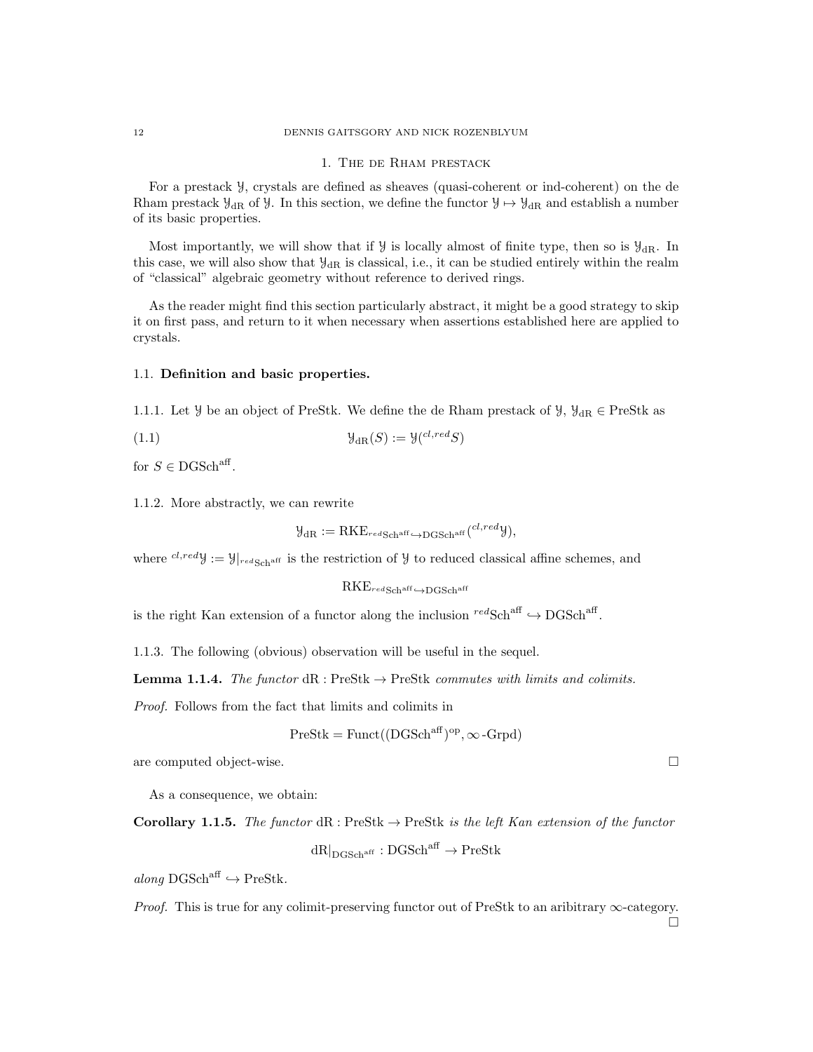#### 1. The de Rham prestack

For a prestack Y, crystals are defined as sheaves (quasi-coherent or ind-coherent) on the de Rham prestack  $\mathcal{Y}_{dR}$  of  $\mathcal{Y}$ . In this section, we define the functor  $\mathcal{Y} \mapsto \mathcal{Y}_{dR}$  and establish a number of its basic properties.

Most importantly, we will show that if  $\mathcal{Y}$  is locally almost of finite type, then so is  $\mathcal{Y}_{dR}$ . In this case, we will also show that  $\mathcal{Y}_{\text{dR}}$  is classical, i.e., it can be studied entirely within the realm of "classical" algebraic geometry without reference to derived rings.

As the reader might find this section particularly abstract, it might be a good strategy to skip it on first pass, and return to it when necessary when assertions established here are applied to crystals.

#### 1.1. Definition and basic properties.

1.1.1. Let Y be an object of PreStk. We define the de Rham prestack of Y,  $\mathcal{Y}_{dR} \in \text{PreStk}$  as

(1.1) 
$$
\mathcal{Y}_{\mathrm{dR}}(S) := \mathcal{Y}(c^{l, red}S)
$$

for  $S \in \text{DGSch}^{\text{aff}}$ .

1.1.2. More abstractly, we can rewrite

$$
\mathcal{Y}_{\mathrm{dR}} := \mathrm{RKE}_{\mathrm{redSch}^{\mathrm{aff}} \hookrightarrow \mathrm{DGSch}^{\mathrm{aff}}} (^{cl,red} \mathcal{Y}),
$$

where  $^{cl,red}$ y :=  $\mathcal{Y}|_{red\text{Schaff}}$  is the restriction of  $\mathcal{Y}$  to reduced classical affine schemes, and

$$
\mathrm{RKE}_{\it red\rm Sch^{aff}} {\hookrightarrow} \mathrm{DGSch}^{\rm aff}
$$

is the right Kan extension of a functor along the inclusion  ${}^{red}\text{Sch}^{\text{aff}} \hookrightarrow \text{DGSch}^{\text{aff}}$ .

1.1.3. The following (obvious) observation will be useful in the sequel.

**Lemma 1.1.4.** The functor  $dR$ : PreStk  $\rightarrow$  PreStk commutes with limits and colimits.

Proof. Follows from the fact that limits and colimits in

$$
PreStk = Funct((DGSch^{aff})^{op}, \infty \text{-}Grpd)
$$

are computed object-wise.

As a consequence, we obtain:

Corollary 1.1.5. The functor 
$$
dR
$$
: PreStk  $\rightarrow$  PreStk is the left Kan extension of the functor

 $dR|_{\text{DCSchaft}} : \text{DGSch}^{\text{aff}} \to \text{PreStk}$ 

 $along \, DGSch<sup>aff</sup> \hookrightarrow PreStk.$ 

*Proof.* This is true for any colimit-preserving functor out of PreStk to an aribitrary  $\infty$ -category.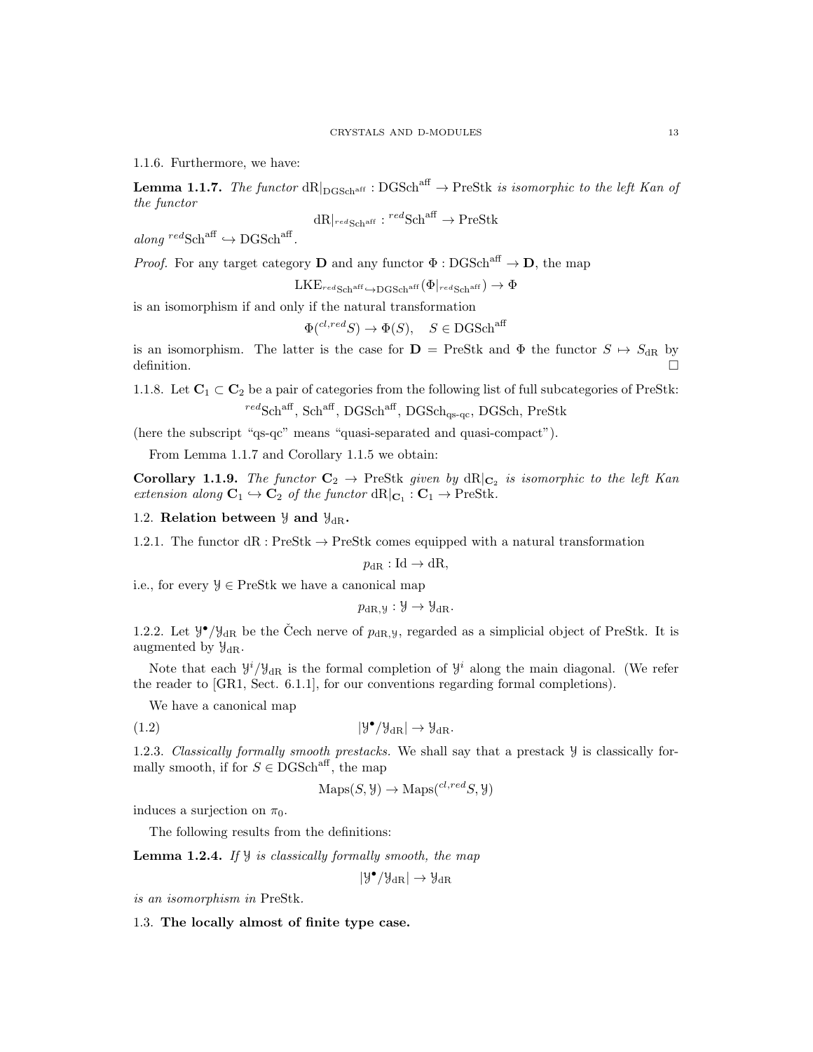1.1.6. Furthermore, we have:

**Lemma 1.1.7.** The functor  $dR|_{DGSch<sup>aff</sup>} : DGSch<sup>aff</sup> \to PreStk$  is isomorphic to the left Kan of the functor

$$
dR|_{\text{redSch}^{\text{aff}}} : {^{red}\text{Sch}^{\text{aff}}} \to \text{PreStk}
$$

 $along \, \text{redSch}^{\text{aff}} \hookrightarrow \text{DGSch}^{\text{aff}}.$ 

*Proof.* For any target category **D** and any functor  $\Phi : DGSch<sup>aff</sup> \to \mathbf{D}$ , the map

 $LKE_{redScharf \hookrightarrow DGSch<sup>aff</sup>} (\Phi|_{redScharf}) \rightarrow \Phi$ 

is an isomorphism if and only if the natural transformation

$$
\Phi
$$
<sup>(cl,red</sup>S $)$   $\to$   $\Phi$ (S),  $S \in$  DGSch<sup>aff</sup>

is an isomorphism. The latter is the case for  $\mathbf{D} = \text{PreStk}$  and  $\Phi$  the functor  $S \mapsto S_{\text{dR}}$  by definition.

1.1.8. Let  $C_1 \subset C_2$  be a pair of categories from the following list of full subcategories of PreStk:  ${}^{red}\text{Sch}^{\text{aff}}$ ,  $\text{Sch}^{\text{aff}}$ ,  $\text{DGSch}^{\text{aff}}$ ,  $\text{DGSch}_\text{qs-qc}$ ,  $\text{DGSch}$ ,  $\text{PreStk}$ 

(here the subscript "qs-qc" means "quasi-separated and quasi-compact").

From Lemma 1.1.7 and Corollary 1.1.5 we obtain:

**Corollary 1.1.9.** The functor  $C_2 \rightarrow$  PreStk given by  $dR|_{C_2}$  is isomorphic to the left Kan extension along  $C_1 \hookrightarrow C_2$  of the functor  $dR|_{C_1} : C_1 \to \text{PreStk.}$ 

### 1.2. Relation between  $\mathcal{Y}$  and  $\mathcal{Y}_{dR}$ .

1.2.1. The functor  $dR : PreStk \to PreStk$  comes equipped with a natural transformation

 $p_{\text{dR}}:\text{Id}\to\text{dR},$ 

i.e., for every  $\mathcal{Y} \in \text{PreStk}$  we have a canonical map

$$
p_{\mathrm{dR},\mathcal{Y}}:\mathcal{Y}\to\mathcal{Y}_{\mathrm{dR}}.
$$

1.2.2. Let  $\mathcal{Y}^{\bullet}/\mathcal{Y}_{dR}$  be the Čech nerve of  $p_{dR,y}$ , regarded as a simplicial object of PreStk. It is augmented by  $\mathcal{Y}_{\text{dR}}$ .

Note that each  $y^{i}/y_{dR}$  is the formal completion of  $y^{i}$  along the main diagonal. (We refer the reader to [GR1, Sect. 6.1.1], for our conventions regarding formal completions).

We have a canonical map

$$
(1.2) \t\t\t |\mathcal{Y}^{\bullet}/\mathcal{Y}_{\text{dR}}| \to \mathcal{Y}_{\text{dR}}.
$$

1.2.3. Classically formally smooth prestacks. We shall say that a prestack Y is classically formally smooth, if for  $S \in DGSch<sup>aff</sup>$ , the map

 $\text{Maps}(S, \mathcal{Y}) \to \text{Maps}(^{cl, red}S, \mathcal{Y})$ 

induces a surjection on  $\pi_0$ .

The following results from the definitions:

**Lemma 1.2.4.** If  $\mathcal{Y}$  is classically formally smooth, the map

$$
|\mathcal{Y}^{\bullet}/\mathcal{Y}_{\mathrm{dR}}|\to \mathcal{Y}_{\mathrm{dR}}
$$

is an isomorphism in PreStk.

1.3. The locally almost of finite type case.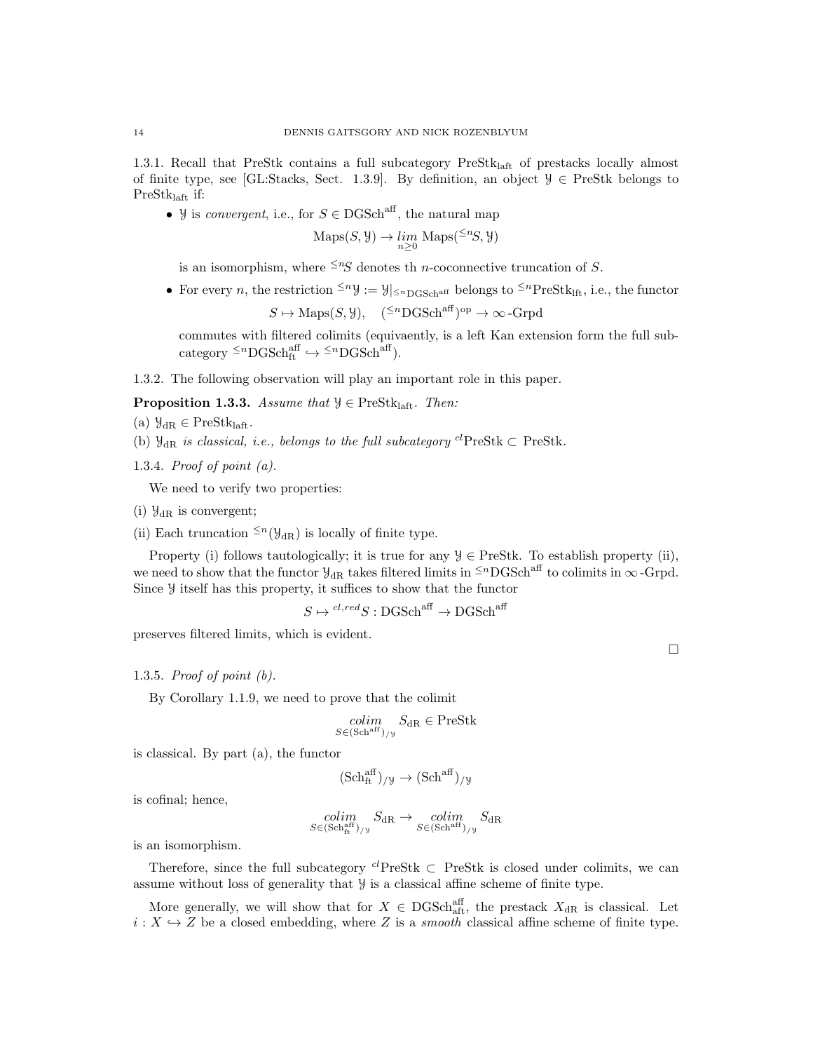1.3.1. Recall that PreStk contains a full subcategory PreStklaft of prestacks locally almost of finite type, see [GL:Stacks, Sect. 1.3.9]. By definition, an object  $\mathcal{Y} \in \text{PreStk belongs to}$ PreStklaft if:

• y is *convergent*, i.e., for  $S \in \text{DGSch}^{\text{aff}}$ , the natural map

$$
\mathrm{Maps}(S, \mathcal{Y}) \to \lim_{n \ge 0} \mathrm{Maps}({}^{\le n}S, \mathcal{Y})
$$

is an isomorphism, where  $\leq nS$  denotes the n-coconnective truncation of S.

• For every n, the restriction  $\leq^n y := y|_{\leq^n \text{DCSch}^{\text{aff}}}$  belongs to  $\leq^n \text{PreStk}_{\text{lft}}$ , i.e., the functor

 $S \mapsto \text{Maps}(S, \mathcal{Y}), \quad (^{\leq n} \text{DGSch}^{\text{aff}})^{\text{op}} \to \infty$ -Grpd

commutes with filtered colimits (equivaently, is a left Kan extension form the full subcategory  $\leq^n$ DGSch<sup>aff</sup>  $\hookrightarrow \leq^n$ DGSch<sup>aff</sup>).

1.3.2. The following observation will play an important role in this paper.

**Proposition 1.3.3.** Assume that  $\mathcal{Y} \in \text{PreStk}_{\text{left}}$ . Then:

- (a)  $\mathcal{Y}_{dR} \in \text{PreStk}_{\text{laft}}$ .
- (b)  $\mathcal{Y}_{\text{dR}}$  is classical, i.e., belongs to the full subcategory <sup>cl</sup>PreStk  $\subset$  PreStk.
- 1.3.4. Proof of point (a).

We need to verify two properties:

(i)  $\mathcal{Y}_{\text{dR}}$  is convergent;

(ii) Each truncation  $\leq n(\mathcal{Y}_{dR})$  is locally of finite type.

Property (i) follows tautologically; it is true for any  $\mathcal{Y} \in \text{PreStk}$ . To establish property (ii), we need to show that the functor  $\mathcal{Y}_{dR}$  takes filtered limits in  $\leq^n$ DGSch<sup>aff</sup> to colimits in  $\infty$ -Grpd. Since Y itself has this property, it suffices to show that the functor

 $S \mapsto {}^{cl,red}S : {\mathrm{DGSch}}^{\mathrm{aff}} \to {\mathrm{DGSch}}^{\mathrm{aff}}$ 

preserves filtered limits, which is evident.

### 1.3.5. Proof of point (b).

By Corollary 1.1.9, we need to prove that the colimit

$$
\underset{S \in (\text{Sch}^{\text{aff}})_{/ \mathcal{Y}}} {\mathit{Colim}} \ S_{\text{dR}} \in \text{PreStk}
$$

is classical. By part (a), the functor

$$
(\mathrm{Sch}^{\mathrm{aff}}_{\mathrm{ft}})_{/\mathcal{Y}}\rightarrow (\mathrm{Sch}^{\mathrm{aff}})_{/\mathcal{Y}}
$$

is cofinal; hence,

 $\mathop{colim}\limits_{S \in ({\rm Sch}_{\rm ft}^{\rm aff})_{/{\mathcal Y}}}$  $S_{\mathrm{dR}} \rightarrow \underset{S \in (\mathrm{Sch}^{\mathrm{aff}})_{/y}}{colim} S_{\mathrm{dR}}$ 

is an isomorphism.

Therefore, since the full subcategory <sup>cl</sup>PreStk  $\subset$  PreStk is closed under colimits, we can assume without loss of generality that Y is a classical affine scheme of finite type.

More generally, we will show that for  $X \in \text{DGSch}_{\text{aff}}^{\text{aff}}$ , the prestack  $X_{\text{dR}}$  is classical. Let  $i: X \hookrightarrow Z$  be a closed embedding, where Z is a *smooth* classical affine scheme of finite type.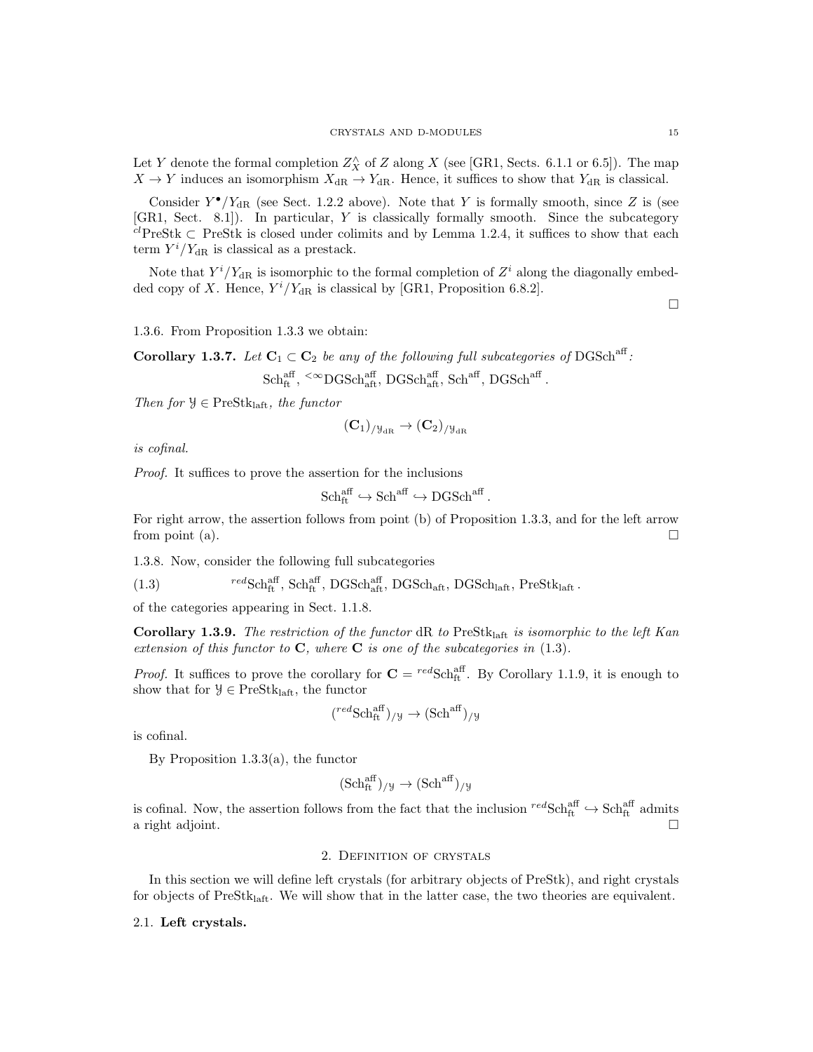Let Y denote the formal completion  $Z_X^{\wedge}$  of Z along X (see [GR1, Sects. 6.1.1 or 6.5]). The map  $X \to Y$  induces an isomorphism  $X_{\text{dR}} \to Y_{\text{dR}}$ . Hence, it suffices to show that  $Y_{\text{dR}}$  is classical.

Consider  $Y^{\bullet}/Y_{\text{dR}}$  (see Sect. 1.2.2 above). Note that Y is formally smooth, since Z is (see [GR1, Sect. 8.1]). In particular, Y is classically formally smooth. Since the subcategory  $c^l$ PreStk  $\subset$  PreStk is closed under colimits and by Lemma 1.2.4, it suffices to show that each term  $Y^i/Y_{\text{dR}}$  is classical as a prestack.

Note that  $Y^{i}/Y_{dR}$  is isomorphic to the formal completion of  $Z^{i}$  along the diagonally embedded copy of X. Hence,  $Y^i/Y_{\text{dR}}$  is classical by [GR1, Proposition 6.8.2].

 $\Box$ 

1.3.6. From Proposition 1.3.3 we obtain:

**Corollary 1.3.7.** Let  $C_1 \subset C_2$  be any of the following full subcategories of DGSch<sup>aff</sup>:  $Sch^{\text{aff}}_{\text{ft}}, \leq^{\infty}$ DGSch $_{\text{aff}}^{\text{aff}}, \text{DGSch}^{\text{aff}}, \text{Sch}^{\text{aff}}, \text{DGSch}^{\text{aff}}$ .

Then for  $\mathcal{Y} \in \text{PreStk}_{\text{left}}$ , the functor

$$
(\mathbf{C}_1)_{/\mathcal{Y}_{\mathrm{dR}}}\rightarrow (\mathbf{C}_2)_{/\mathcal{Y}_{\mathrm{dR}}}
$$

is cofinal.

Proof. It suffices to prove the assertion for the inclusions

$$
Sch^{\text{aff}}_{ft} \hookrightarrow Sch^{aff} \hookrightarrow DGSch^{aff}.
$$

For right arrow, the assertion follows from point (b) of Proposition 1.3.3, and for the left arrow from point (a).

1.3.8. Now, consider the following full subcategories

(1.3)  ${}^{red}\text{Sch}^{\text{aff}}_{\text{ft}}$ ,  $\text{Sch}^{\text{aff}}_{\text{at}}$ ,  $\text{DGSch}_{\text{aff}}$ ,  $\text{DGSch}_{\text{aft}}$ ,  $\text{DGSch}_{\text{laft}}$ ,  $\text{Pres}^{\text{th}}_{\text{laft}}$ .

of the categories appearing in Sect. 1.1.8.

Corollary 1.3.9. The restriction of the functor  $dR$  to  $PreStk<sub>laff</sub>$  is isomorphic to the left Kan extension of this functor to  $C$ , where  $C$  is one of the subcategories in  $(1.3)$ .

*Proof.* It suffices to prove the corollary for  $C = {}^{red}Sch_{ft}^{aff}$ . By Corollary 1.1.9, it is enough to show that for  $\mathcal{Y} \in \text{PreStk}_{\text{laft}}$ , the functor

$$
(^{red}\text{Sch}^{\text{aff}}_{\text{ft}})_{/\mathcal{Y}} \rightarrow (\text{Sch}^{\text{aff}})_{/\mathcal{Y}}
$$

is cofinal.

By Proposition 1.3.3(a), the functor

$$
(\mathrm{Sch}^{\mathrm{aff}}_{\mathrm{ft}})_{/\mathcal{Y}} \rightarrow (\mathrm{Sch}^{\mathrm{aff}})_{/\mathcal{Y}}
$$

is cofinal. Now, the assertion follows from the fact that the inclusion  ${}^{red}Sch_{ft}^{aff} \hookrightarrow Sch_{ft}^{aff}$  admits a right adjoint.  $\Box$ 

### 2. Definition of crystals

In this section we will define left crystals (for arbitrary objects of PreStk), and right crystals for objects of  $PreStk<sub>laff</sub>$ . We will show that in the latter case, the two theories are equivalent.

2.1. Left crystals.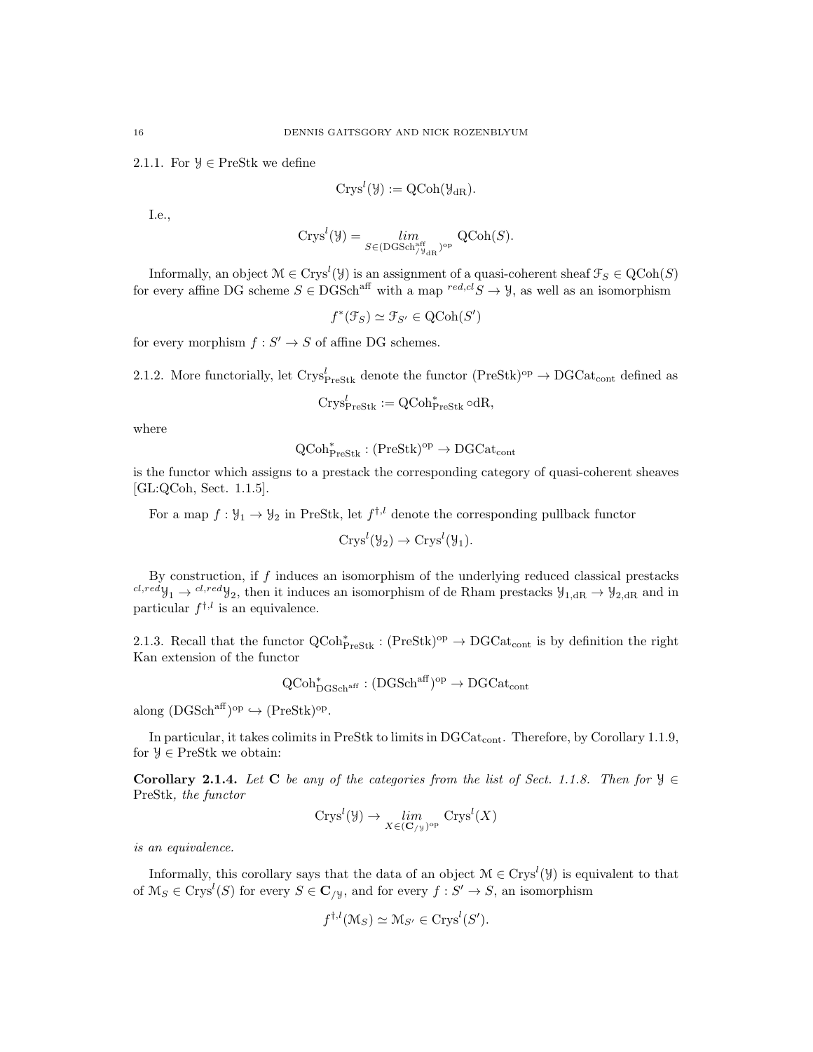2.1.1. For  $\mathcal{Y} \in \text{PreStk}$  we define

$$
Crys^l(\mathcal{Y}):=QCoh(\mathcal{Y}_{dR}).
$$

I.e.,

$$
Crys^l({\mathcal Y})=\lim_{S\in ({\rm DGSch}^{\rm aff}_{{\mathcal Y}_{{\rm dR}}})^{\rm op}}\ {\rm QCoh}(S).
$$

Informally, an object  $\mathcal{M} \in \text{Crys}^l(\mathcal{Y})$  is an assignment of a quasi-coherent sheaf  $\mathcal{F}_S \in \text{QCoh}(S)$ for every affine DG scheme  $S \in DGSch<sup>aff</sup>$  with a map  ${}^{red, cl}S \to \mathcal{Y}$ , as well as an isomorphism

$$
f^*(\mathcal{F}_S) \simeq \mathcal{F}_{S'} \in \text{QCoh}(S')
$$

for every morphism  $f : S' \to S$  of affine DG schemes.

2.1.2. More functorially, let  $Crys_{\text{PreStk}}^l$  denote the functor  $(\text{PreStk})^{\text{op}} \to \text{DGCat}_{\text{cont}}$  defined as

$$
Crys^l_{\mathrm{PreStk}} := \mathrm{QCoh}_{\mathrm{PreStk}}^* \circ \mathrm{dR},
$$

where

$$
\mathrm{QCoh}^*_{\mathrm{PreStk}}:(\mathrm{PreStk})^{\mathrm{op}}\to \mathrm{DGCat}_{\mathrm{cont}}
$$

is the functor which assigns to a prestack the corresponding category of quasi-coherent sheaves [GL:QCoh, Sect. 1.1.5].

For a map  $f: \mathcal{Y}_1 \to \mathcal{Y}_2$  in PreStk, let  $f^{\dagger, l}$  denote the corresponding pullback functor

$$
Crys^l(\mathcal{Y}_2) \to Crys^l(\mathcal{Y}_1).
$$

By construction, if  $f$  induces an isomorphism of the underlying reduced classical prestacks  $cl, redy_1 \rightarrow cl, redy_2$ , then it induces an isomorphism of de Rham prestacks  $y_{1, dR} \rightarrow y_{2, dR}$  and in particular  $f^{\dagger,l}$  is an equivalence.

2.1.3. Recall that the functor  $QCoh_{\text{PreStk}}^* : (\text{PreStk})^{\text{op}} \to \text{DGCat}_{\text{cont}}$  is by definition the right Kan extension of the functor

$$
\operatorname{QCoh}_{\operatorname{DGSch}^{\operatorname{aff}}}^* : (\operatorname{DGSch}^{\operatorname{aff}})^{\operatorname{op}} \to \operatorname{DGCat}_{\operatorname{cont}}
$$

along  $(DGSch<sup>aff</sup>)<sup>op</sup> \hookrightarrow (PreStk)<sup>op</sup>.$ 

In particular, it takes colimits in PreStk to limits in DGCat<sub>cont</sub>. Therefore, by Corollary 1.1.9, for  $\mathcal{Y} \in \text{PreStk}$  we obtain:

Corollary 2.1.4. Let C be any of the categories from the list of Sect. 1.1.8. Then for  $\mathcal{Y} \in$ PreStk, the functor

$$
Crys^{l}(\mathcal{Y}) \to \lim_{X \in (\mathbf{C}_{/\mathcal{Y}})^{\rm op}} Crys^{l}(X)
$$

is an equivalence.

Informally, this corollary says that the data of an object  $\mathcal{M} \in \text{Crys}^l(\mathcal{Y})$  is equivalent to that of  $\mathcal{M}_S \in \text{Crys}^l(S)$  for every  $S \in \mathbf{C}_{/y}$ , and for every  $f : S' \to S$ , an isomorphism

$$
f^{\dagger,l}(\mathcal{M}_S) \simeq \mathcal{M}_{S'} \in \text{Crys}^l(S').
$$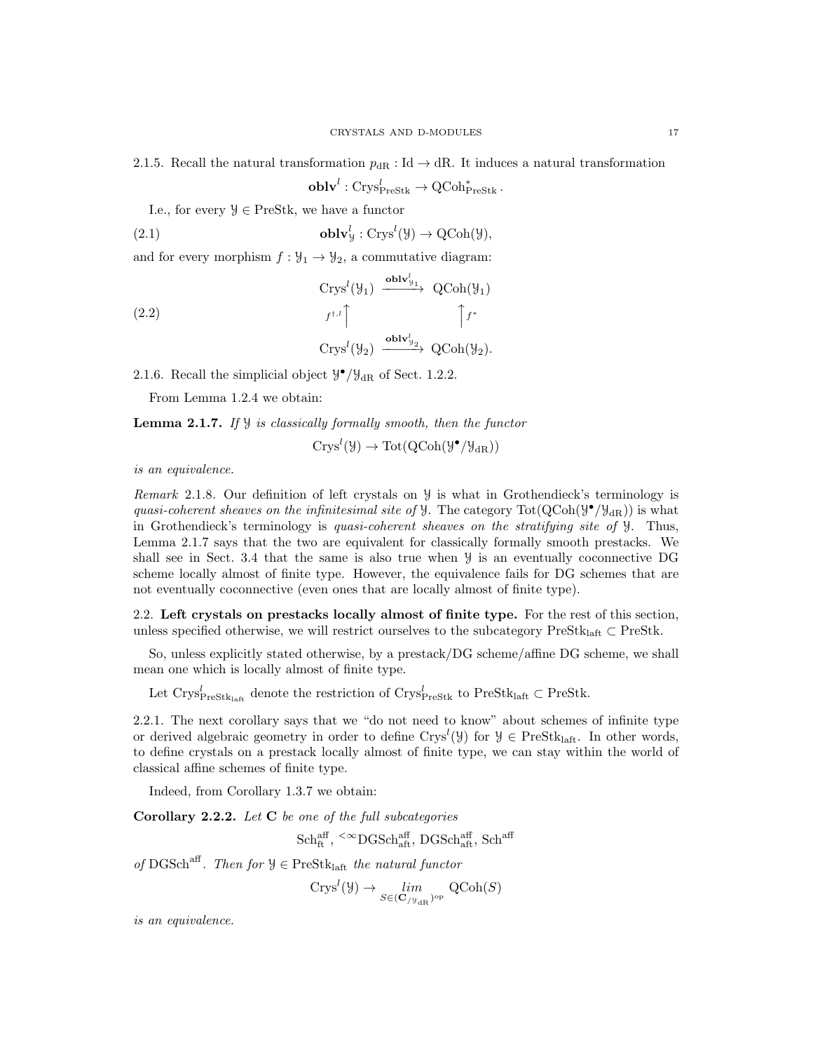2.1.5. Recall the natural transformation  $p_{\text{dR}}$  : Id  $\rightarrow$  dR. It induces a natural transformation

 $\textbf{oblv}^l : \text{Crys}_{\text{PreStk}}^l \to \text{QCoh}_{\text{PreStk}}^*$  .

I.e., for every  $\mathcal{Y} \in \text{PreStk}$ , we have a functor

(2.1) 
$$
\mathbf{oblv}_{y}^{l} : \mathbf{Crys}^{l}(\mathcal{Y}) \to \mathbf{QCoh}(\mathcal{Y}),
$$

and for every morphism  $f : \mathcal{Y}_1 \to \mathcal{Y}_2$ , a commutative diagram:

(2.2)  
\n
$$
\begin{array}{ccc}\n\text{Crys}^l(\mathcal{Y}_1) & \xrightarrow{\text{oblv}_{\mathcal{Y}_1}^l} & \text{QCoh}(\mathcal{Y}_1) \\
f^{t,l} & & \downarrow f^* \\
\text{Crys}^l(\mathcal{Y}_2) & \xrightarrow{\text{oblv}_{\mathcal{Y}_2}^l} & \text{QCoh}(\mathcal{Y}_2).\n\end{array}
$$

2.1.6. Recall the simplicial object  $\mathcal{Y}^{\bullet}/\mathcal{Y}_{\text{dR}}$  of Sect. 1.2.2.

From Lemma 1.2.4 we obtain:

**Lemma 2.1.7.** If  $\mathcal{Y}$  is classically formally smooth, then the functor

$$
Crys^l(\mathcal{Y}) \to \mathrm{Tot}(\mathrm{QCoh}(\mathcal{Y}^{\bullet}/\mathcal{Y}_{\mathrm{dR}}))
$$

is an equivalence.

Remark 2.1.8. Our definition of left crystals on Y is what in Grothendieck's terminology is quasi-coherent sheaves on the infinitesimal site of  $\mathcal{Y}$ . The category Tot( $QCoh(\mathcal{Y}^{\bullet}/\mathcal{Y}_{dR})$ ) is what in Grothendieck's terminology is quasi-coherent sheaves on the stratifying site of Y. Thus, Lemma 2.1.7 says that the two are equivalent for classically formally smooth prestacks. We shall see in Sect. 3.4 that the same is also true when Y is an eventually coconnective DG scheme locally almost of finite type. However, the equivalence fails for DG schemes that are not eventually coconnective (even ones that are locally almost of finite type).

2.2. Left crystals on prestacks locally almost of finite type. For the rest of this section, unless specified otherwise, we will restrict ourselves to the subcategory PreStk<sub>laft</sub>  $\subset$  PreStk.

So, unless explicitly stated otherwise, by a prestack/DG scheme/affine DG scheme, we shall mean one which is locally almost of finite type.

Let  $\text{Crys}_{\text{PreStk}_\text{left}}^l$  denote the restriction of  $\text{Crys}_{\text{PreStk}}^l$  to  $\text{PreStk}_\text{left} \subset \text{PreStk}_\text{.}$ 

2.2.1. The next corollary says that we "do not need to know" about schemes of infinite type or derived algebraic geometry in order to define  $Crys<sup>l</sup>(\mathcal{Y})$  for  $\mathcal{Y} \in \text{PreStk}_{\text{laff}}$ . In other words, to define crystals on a prestack locally almost of finite type, we can stay within the world of classical affine schemes of finite type.

Indeed, from Corollary 1.3.7 we obtain:

Corollary 2.2.2. Let  $C$  be one of the full subcategories

 $\text{Sch}^{\text{aff}}_{\text{ft}}, \leq^{\infty}\text{DGSch}^{\text{aff}}_{\text{aff}}, \text{DGSch}^{\text{aff}}_{\text{aff}}, \text{Sch}^{\text{aff}}$ 

of DGSch<sup>aff</sup>. Then for  $\mathcal{Y} \in \text{PreStk}_{\text{left}}$  the natural functor

$$
Crys^l(\mathcal{Y}) \to \lim_{S \in (\mathbf{C}_{/\mathcal{Y}_{\mathrm{dR}}})^{\mathrm{op}}} \mathrm{QCoh}(S)
$$

is an equivalence.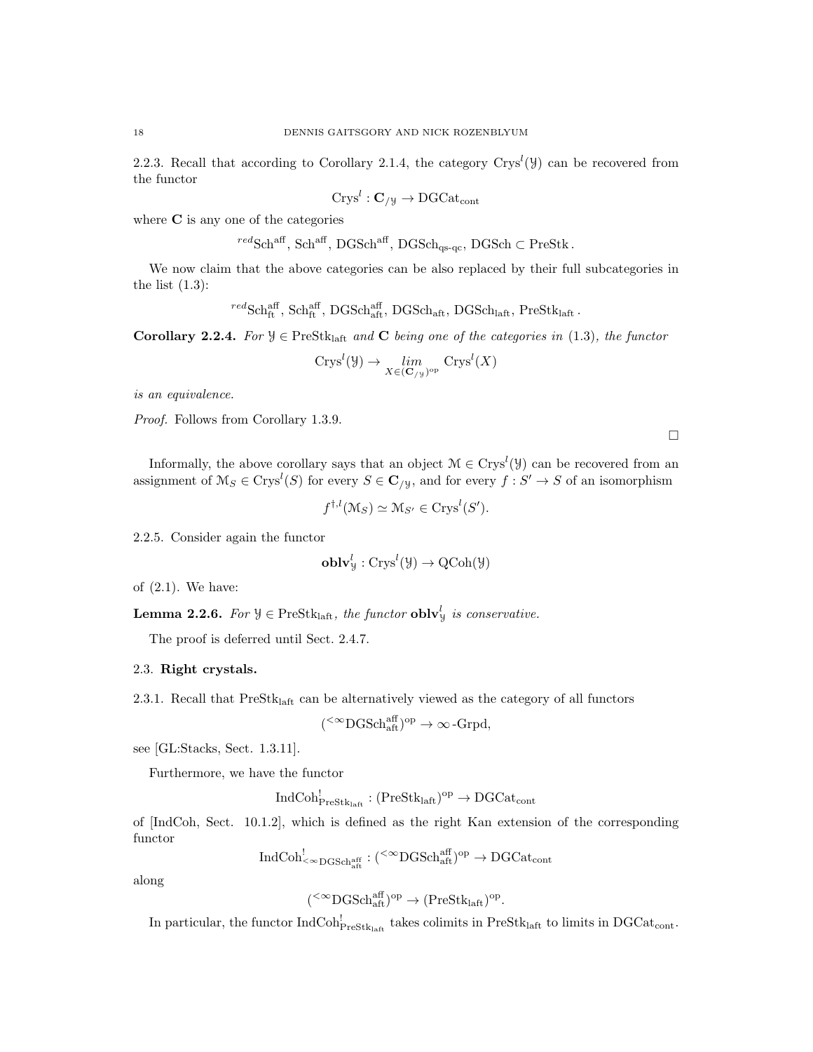2.2.3. Recall that according to Corollary 2.1.4, the category  $Crys<sup>l</sup>(\mathcal{Y})$  can be recovered from the functor

$$
Crys^l : \mathbf{C}_{/y} \to \mathrm{DGCat}_{\mathrm{cont}}
$$

where **C** is any one of the categories

$$
{}^{red}\text{Sch}^{\text{aff}}
$$
, Sch<sup>aff</sup>, DGSch<sup>aff</sup>, DGSch<sub>qs-qc</sub>, DGSch  $\subset$  PreStk.

We now claim that the above categories can be also replaced by their full subcategories in the list  $(1.3)$ :

 ${}^{red}\text{Sch}^{\text{aff}}_{\text{ft}}$ ,  $\text{Sch}^{\text{aff}}_{\text{ft}}$ ,  $\text{DGSch}_{\text{aft}}$ ,  $\text{DGSch}_{\text{laft}}$ ,  $\text{DGSch}_{\text{laft}}$ ,  $\text{PreStk}_{\text{laft}}$ .

Corollary 2.2.4. For  $\mathcal{Y} \in \text{PreStk}_{\text{laff}}$  and C being one of the categories in (1.3), the functor

$$
Crys^{l}(\mathcal{Y}) \to \lim_{X \in (\mathbf{C}_{/\mathcal{Y}})^{\mathrm{op}}} Crys^{l}(X)
$$

is an equivalence.

Proof. Follows from Corollary 1.3.9.

Informally, the above corollary says that an object  $\mathcal{M} \in \text{Crys}^l(\mathcal{Y})$  can be recovered from an assignment of  $\mathcal{M}_S \in \text{Crys}^l(S)$  for every  $S \in \mathbf{C}_{/y}$ , and for every  $f : S' \to S$  of an isomorphism

 $\Box$ 

$$
f^{\dagger,l}(\mathcal{M}_S) \simeq \mathcal{M}_{S'} \in \text{Crys}^l(S').
$$

2.2.5. Consider again the functor

$$
\mathbf{oblv}_{\mathcal{Y}}^{l} : \mathrm{Crys}^{l}(\mathcal{Y}) \to \mathrm{QCoh}(\mathcal{Y})
$$

of (2.1). We have:

**Lemma 2.2.6.** For  $\mathcal{Y} \in \text{PreStk}_{\text{laff}},$  the functor  $\text{oblv}_{\mathcal{Y}}^l$  is conservative.

(

The proof is deferred until Sect. 2.4.7.

#### 2.3. Right crystals.

2.3.1. Recall that PreStklaft can be alternatively viewed as the category of all functors

$$
{}^{<\infty}{\rm DGSch}^{\rm aff}_{\rm aff})^{\rm op} \to \infty\operatorname{-Grpd},
$$

see [GL:Stacks, Sect. 1.3.11].

Furthermore, we have the functor

$$
\mathrm{IndCoh}^!_{\mathrm{PreStk}_\mathrm{laff}}: (\mathrm{PreStk}_\mathrm{laff})^\mathrm{op}\to \mathrm{DGCat}_\mathrm{cont}
$$

of [IndCoh, Sect. 10.1.2], which is defined as the right Kan extension of the corresponding functor

$$
\mathrm{IndCoh}^!_{<\infty\mathrm{DGSch}^{\mathrm{aff}}_{\mathrm{aff}}} : ( {}^{<\infty}\mathrm{DGSch}^{\mathrm{aff}}_{\mathrm{aff}} )^\mathrm{op} \to \mathrm{DGCat}_{\mathrm{cont}}
$$

along

$$
(^{<\infty}\mathrm{DGSch}_{\mathrm{aft}}^{\mathrm{aff}})^{\mathrm{op}}\to(\mathrm{PreStk}_{\mathrm{laft}})^{\mathrm{op}}.
$$

In particular, the functor  $IndCoh_{PreStk<sub>laff</sub>}^!$  takes colimits in  $PreStk<sub>laff</sub>$  to limits in  $DGCat<sub>cont</sub>$ .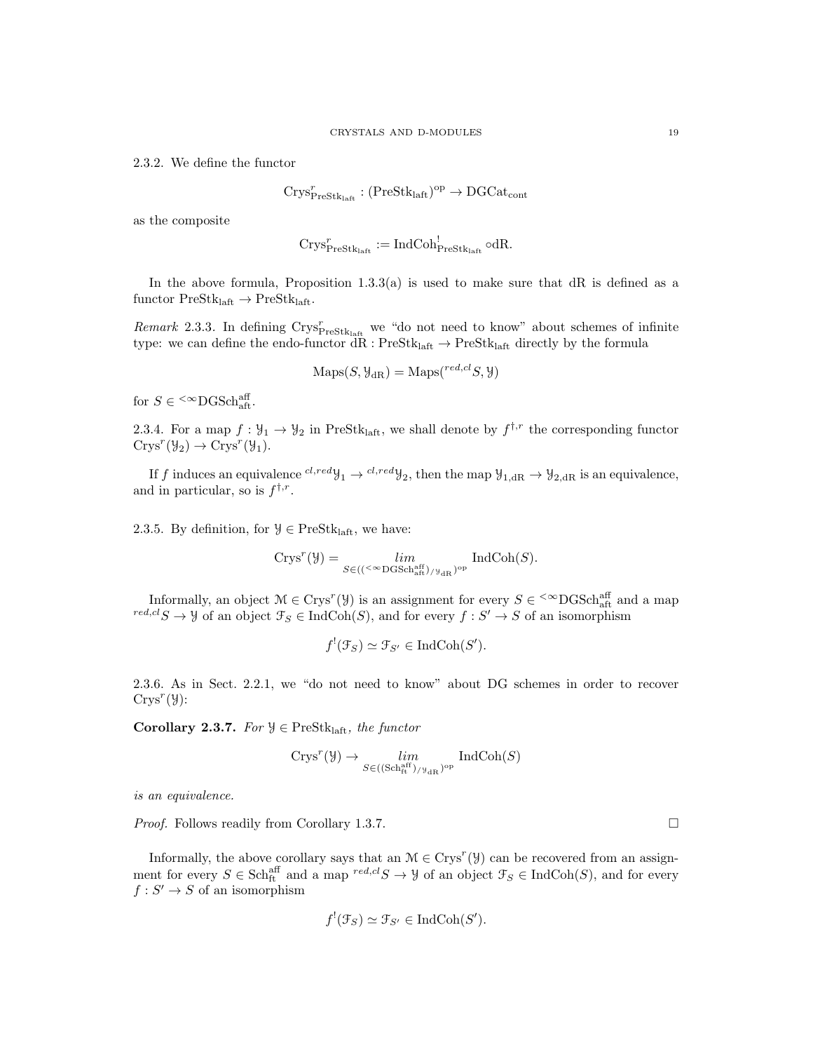2.3.2. We define the functor

$$
\mathrm{Crys}^r_{\mathrm{PreStk}_{\mathrm{laff}}} : (\mathrm{PreStk}_{\mathrm{laff}})^{\mathrm{op}} \to \mathrm{DGCat}_{\mathrm{cont}}
$$

as the composite

$$
\mathrm{Crys}_{\mathrm{PreStk}_\mathrm{laff}}^r:=\mathrm{IndCoh}^!_{\mathrm{PreStk}_\mathrm{laff}}\circ \mathrm{dR}.
$$

In the above formula, Proposition  $1.3.3(a)$  is used to make sure that dR is defined as a functor  $PreStk<sub>laff</sub> \rightarrow PreStk<sub>laff</sub>$ .

Remark 2.3.3. In defining  $\text{Crys}_{\text{PreStk}_{\text{half}}}^r$  we "do not need to know" about schemes of infinite type: we can define the endo-functor  $dR: PreStk_{\mathrm{laff}} \rightarrow PreStk_{\mathrm{laff}}$  directly by the formula

$$
Maps(S, \mathcal{Y}_{dR}) = Maps(^{red, cl}S, \mathcal{Y})
$$

for  $S \in \sup^{\text{def}}$  SCSCh<sub>aft</sub>.

2.3.4. For a map  $f: \mathcal{Y}_1 \to \mathcal{Y}_2$  in PreStk<sub>laft</sub>, we shall denote by  $f^{\dagger,r}$  the corresponding functor  $Crys^r(\mathcal{Y}_2) \to Crys^r(\mathcal{Y}_1).$ 

If f induces an equivalence  ${}^{cl,red}y_1 \rightarrow {}^{cl,red}y_2$ , then the map  $y_{1, dR} \rightarrow y_{2, dR}$  is an equivalence, and in particular, so is  $f^{\dagger,r}$ .

2.3.5. By definition, for  $\mathcal{Y} \in \text{PreStk}_{\text{laff}},$  we have:

$$
\mathrm{Crys}^r(\mathcal{Y})=\lim_{S\in (({}^{{}_<\infty}{\operatorname{DGSch}}^{\operatorname{aff}}_{\operatorname{aff}})_{/\mathcal{Y}_{\operatorname{dR}}})^{\operatorname{op}}} \operatorname{IndCoh}(S).
$$

Informally, an object  $\mathcal{M} \in \text{Crys}^r(\mathcal{Y})$  is an assignment for every  $S \in \text{&} \text{DGSch}^{\text{aff}}_{\text{aff}}$  and a map  ${}^{red, cl}S \to \mathcal{Y}$  of an object  $\mathcal{F}_S \in \text{IndCoh}(S)$ , and for every  $f : S' \to S$  of an isomorphism

$$
f^{!}(\mathcal{F}_{S}) \simeq \mathcal{F}_{S'} \in \mathrm{IndCoh}(S').
$$

2.3.6. As in Sect. 2.2.1, we "do not need to know" about DG schemes in order to recover  $Crys^r(\mathcal{Y})$ :

Corollary 2.3.7. For  $\mathcal{Y} \in \text{PreStk}_{\text{left}}$ , the functor

$$
\mathrm{Crys}^r(\mathcal{Y}) \rightarrow \varprojlim_{S \in ((\mathrm{Sch}^{\mathrm{aff}}_{\mathrm{ft}})_{/\mathcal{Y}_{\mathrm{dR}}})^\mathrm{op}} \ \mathrm{IndCoh}(S)
$$

is an equivalence.

*Proof.* Follows readily from Corollary 1.3.7. □

Informally, the above corollary says that an  $\mathcal{M} \in \text{Crys}^r(\mathcal{Y})$  can be recovered from an assignment for every  $S \in \text{Sch}^{\text{aff}}_{\text{ft}}$  and a map  $^{red, cl} S \to \mathcal{Y}$  of an object  $\mathcal{F}_S \in \text{IndCoh}(S)$ , and for every  $f: S' \to S$  of an isomorphism

$$
f^{!}(\mathcal{F}_{S}) \simeq \mathcal{F}_{S'} \in \mathrm{IndCoh}(S').
$$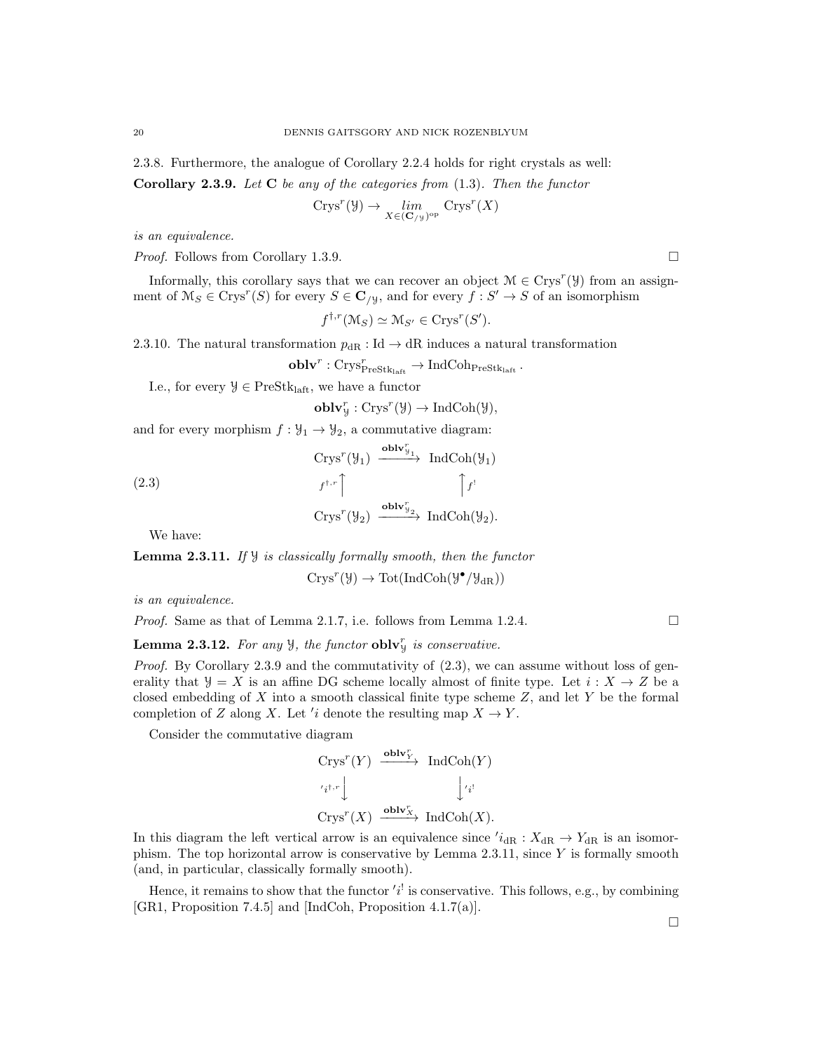2.3.8. Furthermore, the analogue of Corollary 2.2.4 holds for right crystals as well:

**Corollary 2.3.9.** Let  $C$  be any of the categories from  $(1.3)$ . Then the functor

$$
Crys^r(\mathcal{Y}) \to \lim_{X \in (\mathbf{C}_{/\mathcal{Y}})^{\mathrm{op}}} Crys^r(X)
$$

is an equivalence.

*Proof.* Follows from Corollary 1.3.9. □

Informally, this corollary says that we can recover an object  $\mathcal{M} \in \text{Crys}^r(\mathcal{Y})$  from an assignment of  $\mathcal{M}_S \in \text{Crys}^r(S)$  for every  $S \in \mathbf{C}_{/y}$ , and for every  $f : S' \to S$  of an isomorphism

 $f^{\dagger,r}(\mathcal{M}_S) \simeq \mathcal{M}_{S'} \in \text{Crys}^r(S').$ 

2.3.10. The natural transformation  $p_{\text{dR}}$ : Id  $\rightarrow$  dR induces a natural transformation

$$
\mathbf{oblv}^r: \mathrm{Crys}_{\mathrm{PreStk}_\mathrm{laff}}^r \rightarrow \mathrm{IndCoh}_{\mathrm{PreStk}_\mathrm{laff}}
$$

I.e., for every  $\mathcal{Y} \in \text{PreStk}_{\text{laft}}$ , we have a functor

 $\textbf{oblv}_\mathcal{Y}^r : \text{Crys}^r(\mathcal{Y}) \to \text{IndCoh}(\mathcal{Y}),$ 

and for every morphism  $f : \mathcal{Y}_1 \to \mathcal{Y}_2$ , a commutative diagram:

(2.3)  
\n
$$
\begin{array}{ccc}\n\text{Crys}^r(\mathcal{Y}_1) & \xrightarrow{\text{oblv}_{\mathcal{Y}_1}^r} \text{IndCoh}(\mathcal{Y}_1) \\
f^{\dagger,r} & & \uparrow f' \\
\text{Crys}^r(\mathcal{Y}_2) & \xrightarrow{\text{oblv}_{\mathcal{Y}_2}^r} \text{IndCoh}(\mathcal{Y}_2).\n\end{array}
$$

We have:

**Lemma 2.3.11.** If  $\mathcal{Y}$  is classically formally smooth, then the functor

$$
\mathrm{Crys}^r(\mathcal{Y})\to \mathrm{Tot}(\mathrm{IndCoh}(\mathcal{Y}^\bullet/\mathcal{Y}_{\mathrm{dR}}))
$$

is an equivalence.

Proof. Same as that of Lemma 2.1.7, i.e. follows from Lemma 1.2.4.

$$
\Box
$$

 $\Box$ 

**Lemma 2.3.12.** For any  $\mathcal{Y}$ , the functor **obly** is conservative.

Proof. By Corollary 2.3.9 and the commutativity of  $(2.3)$ , we can assume without loss of generality that  $\mathcal{Y} = X$  is an affine DG scheme locally almost of finite type. Let  $i: X \to Z$  be a closed embedding of  $X$  into a smooth classical finite type scheme  $Z$ , and let  $Y$  be the formal completion of Z along X. Let 'i denote the resulting map  $X \to Y$ .

Consider the commutative diagram

$$
\begin{array}{ccc}\n\operatorname{Crys}^r(Y) & \xrightarrow{\operatorname{\bf{oblv}}_Y^r} & \operatorname{IndCoh}(Y) \\
\downarrow_{i^{1,r}} & & \downarrow_{i^{1}} \\
\operatorname{Crys}^r(X) & \xrightarrow{\operatorname{\bf{oblv}}_X^r} & \operatorname{IndCoh}(X).\n\end{array}
$$

In this diagram the left vertical arrow is an equivalence since  $i_{dR} : X_{dR} \to Y_{dR}$  is an isomorphism. The top horizontal arrow is conservative by Lemma  $2.3.11$ , since Y is formally smooth (and, in particular, classically formally smooth).

Hence, it remains to show that the functor  $'i'$  is conservative. This follows, e.g., by combining [GR1, Proposition 7.4.5] and [IndCoh, Proposition 4.1.7(a)].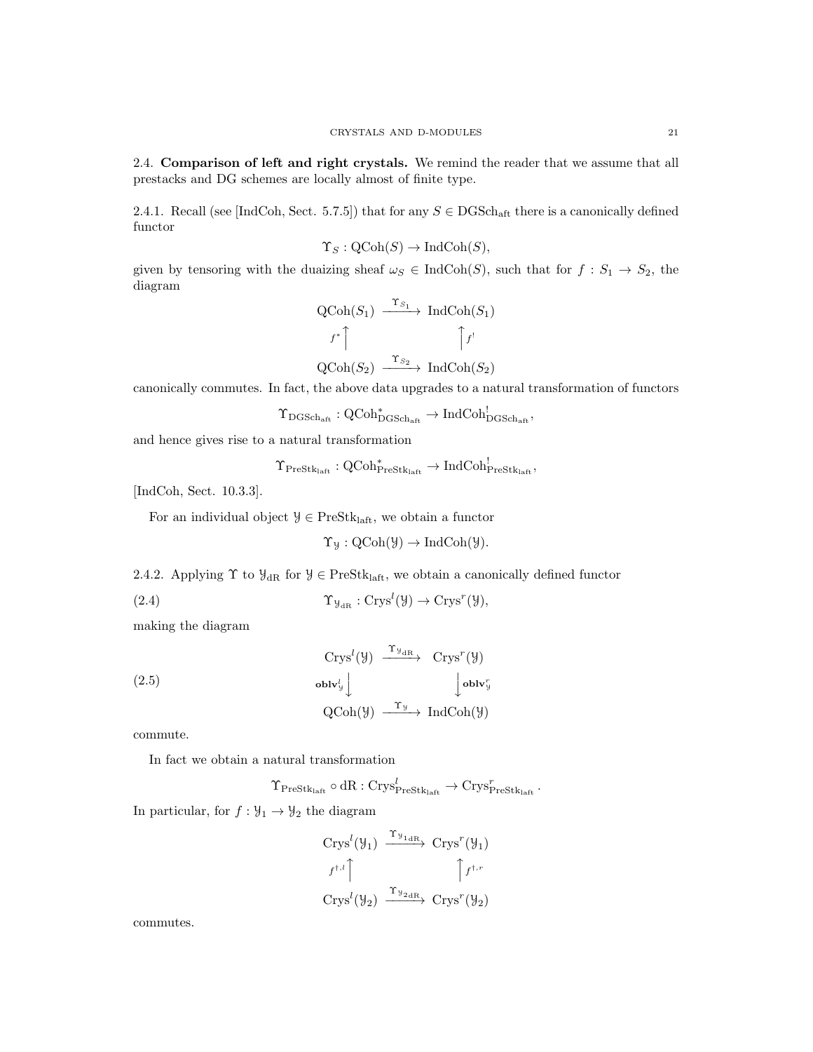2.4. Comparison of left and right crystals. We remind the reader that we assume that all prestacks and DG schemes are locally almost of finite type.

2.4.1. Recall (see [IndCoh, Sect. 5.7.5]) that for any  $S \in \text{DGSch}_{\text{aff}}$  there is a canonically defined functor

$$
\Upsilon_S: \text{QCoh}(S) \to \text{IndCoh}(S),
$$

given by tensoring with the duaizing sheaf  $\omega_S \in \text{IndCoh}(S)$ , such that for  $f : S_1 \to S_2$ , the diagram

$$
\begin{array}{ccc}\n\text{QCoh}(S_1) & \xrightarrow{\Upsilon_{S_1}} \text{IndCoh}(S_1) \\
\downarrow f^* \uparrow & \uparrow f^! \\
\text{QCoh}(S_2) & \xrightarrow{\Upsilon_{S_2}} \text{IndCoh}(S_2)\n\end{array}
$$

canonically commutes. In fact, the above data upgrades to a natural transformation of functors

$$
\Upsilon_{\mathrm{DGSch}_{\mathrm{aft}}} : \operatorname{QCoh}^*_{\mathrm{DGSch}_{\mathrm{aft}}} \to \operatorname{IndCoh}^!_{\mathrm{DGSch}_{\mathrm{aft}}},
$$

and hence gives rise to a natural transformation

$$
\Upsilon_{\mathrm{PreStk}_{\mathrm{laff}}}:\mathrm{QCoh}^*_{\mathrm{PreStk}_{\mathrm{laff}}}\to\mathrm{IndCoh}^!_{\mathrm{PreStk}_{\mathrm{laff}}},
$$

[IndCoh, Sect. 10.3.3].

For an individual object  $\mathcal{Y} \in \text{PreStk}_{\text{laff}},$  we obtain a functor

$$
\Upsilon_{\mathcal{Y}}: \mathrm{QCoh}(\mathcal{Y}) \to \mathrm{IndCoh}(\mathcal{Y}).
$$

2.4.2. Applying  $\Upsilon$  to  $\mathcal{Y}_{\text{dR}}$  for  $\mathcal{Y} \in \text{PreStk}_{\text{laff}},$  we obtain a canonically defined functor

(2.4) 
$$
\Upsilon_{\mathcal{Y}_{\mathrm{dR}}}:\mathrm{Crys}^l(\mathcal{Y})\to \mathrm{Crys}^r(\mathcal{Y}),
$$

making the diagram

(2.5)  
\n
$$
\begin{array}{ccc}\n&\text{Crys}^l(\mathcal{Y}) & \xrightarrow{\Upsilon_{\mathcal{Y}_{\text{dR}}}} & \text{Crys}^r(\mathcal{Y}) \\
& & & \text{oblv}_{\mathcal{Y}}^l \downarrow & & \text{oblv}_{\mathcal{Y}}^r \\
& & & \text{QCoh}(\mathcal{Y}) & \xrightarrow{\Upsilon_{\mathcal{Y}}} \text{IndCoh}(\mathcal{Y})\n\end{array}
$$

commute.

In fact we obtain a natural transformation

$$
\Upsilon_{\mathrm{PreStk}_{\mathrm{laff}}}\circ \mathrm{dR} : \mathrm{Crys}^l_{\mathrm{PreStk}_{\mathrm{laff}}}\rightarrow \mathrm{Crys}^r_{\mathrm{PreStk}_{\mathrm{laff}}} \, .
$$

In particular, for  $f: \mathcal{Y}_1 \to \mathcal{Y}_2$  the diagram

$$
\begin{array}{ccc}\n\operatorname{Crys}^l(\mathcal{Y}_1) & \xrightarrow{\Upsilon_{\mathcal{Y}_{1\text{dR}}}} & \operatorname{Crys}^r(\mathcal{Y}_1) \\
f^{\dagger,l} & & \uparrow f^{\dagger,r} \\
\operatorname{Crys}^l(\mathcal{Y}_2) & \xrightarrow{\Upsilon_{\mathcal{Y}_{2\text{dR}}}} & \operatorname{Crys}^r(\mathcal{Y}_2)\n\end{array}
$$

commutes.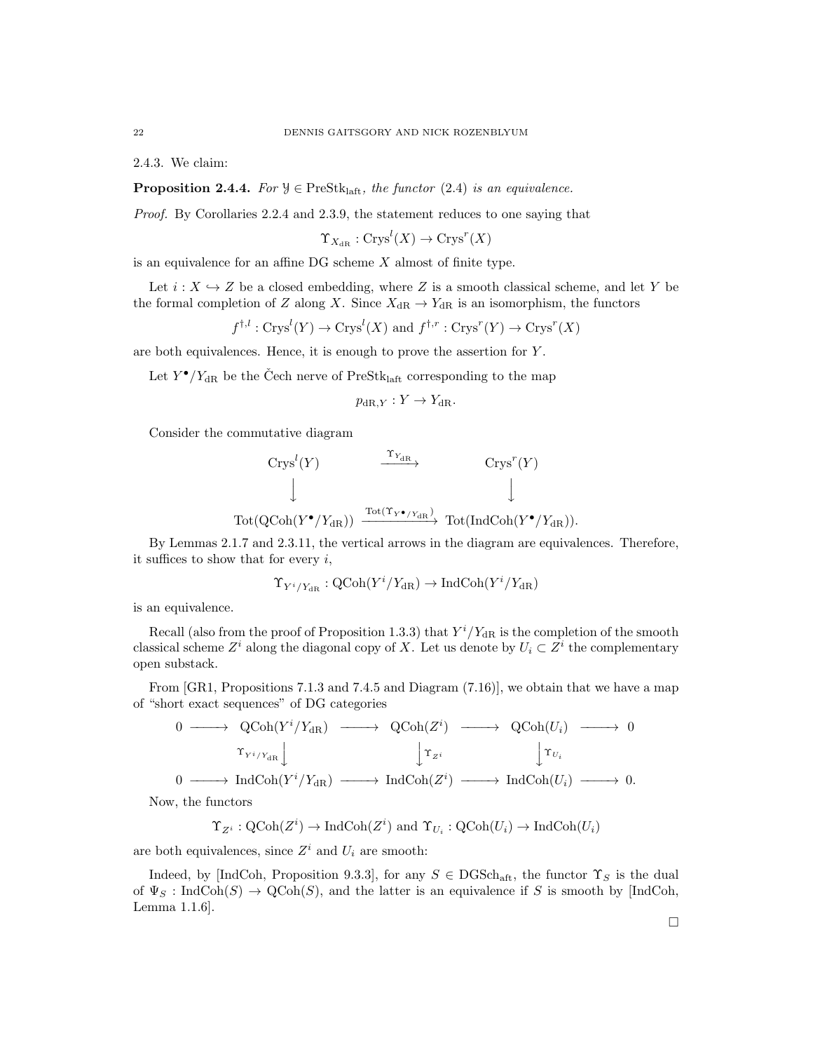2.4.3. We claim:

**Proposition 2.4.4.** For  $\mathcal{Y} \in \text{PreStk}_{\text{laff}}$ , the functor (2.4) is an equivalence.

Proof. By Corollaries 2.2.4 and 2.3.9, the statement reduces to one saying that

$$
\Upsilon_{X_{\mathrm{dR}}}:\mathrm{Crys}^l(X)\to\mathrm{Crys}^r(X)
$$

is an equivalence for an affine DG scheme  $X$  almost of finite type.

Let  $i : X \hookrightarrow Z$  be a closed embedding, where Z is a smooth classical scheme, and let Y be the formal completion of Z along X. Since  $X_{\text{dR}} \to Y_{\text{dR}}$  is an isomorphism, the functors

$$
f^{\dagger,l}: \text{Crys}^l(Y) \to \text{Crys}^l(X)
$$
 and  $f^{\dagger,r}: \text{Crys}^r(Y) \to \text{Crys}^r(X)$ 

are both equivalences. Hence, it is enough to prove the assertion for Y .

Let  $Y^{\bullet}/Y_{\text{dR}}$  be the Čech nerve of PreStk<sub>laft</sub> corresponding to the map

$$
p_{\mathrm{dR},Y}: Y \to Y_{\mathrm{dR}}.
$$

Consider the commutative diagram

$$
\begin{array}{ccc}\n\text{Crys}^l(Y) & \xrightarrow{\Upsilon_{Y_{\text{dR}}}} & \text{Crys}^r(Y) \\
\downarrow & & \downarrow \\
\text{Tot}(\text{QCoh}(Y^{\bullet}/Y_{\text{dR}})) & \xrightarrow{\text{Tot}(\Upsilon_{Y^{\bullet}/Y_{\text{dR}})}} \text{Tot}(\text{IndCoh}(Y^{\bullet}/Y_{\text{dR}})).\n\end{array}
$$

By Lemmas 2.1.7 and 2.3.11, the vertical arrows in the diagram are equivalences. Therefore, it suffices to show that for every  $i$ ,

$$
\Upsilon_{Y^i/Y_{\mathrm{dR}}}:\mathrm{QCoh}(Y^i/Y_{\mathrm{dR}})\to\mathrm{IndCoh}(Y^i/Y_{\mathrm{dR}})
$$

is an equivalence.

Recall (also from the proof of Proposition 1.3.3) that  $Y^{i}/Y_{dR}$  is the completion of the smooth classical scheme  $Z^i$  along the diagonal copy of X. Let us denote by  $U_i \subset Z^i$  the complementary open substack.

From [GR1, Propositions 7.1.3 and 7.4.5 and Diagram (7.16)], we obtain that we have a map of "short exact sequences" of DG categories

$$
\begin{array}{ccccccc}\n0 & \longrightarrow & \text{QCoh}(Y^i/Y_{\text{dR}}) & \longrightarrow & \text{QCoh}(Z^i) & \longrightarrow & \text{QCoh}(U_i) & \longrightarrow & 0 \\
& & \uparrow_{Y^i/Y_{\text{dR}}} & & & & & \\
0 & \longrightarrow & \text{IndCoh}(Y^i/Y_{\text{dR}}) & \longrightarrow & \text{IndCoh}(Z^i) & \longrightarrow & \text{IndCoh}(U_i) & \longrightarrow & 0.\n\end{array}
$$

Now, the functors

 $\Upsilon_{Z^i}: \text{QCoh}(Z^i) \to \text{IndCoh}(Z^i)$  and  $\Upsilon_{U_i}: \text{QCoh}(U_i) \to \text{IndCoh}(U_i)$ 

are both equivalences, since  $Z^i$  and  $U_i$  are smooth:

Indeed, by [IndCoh, Proposition 9.3.3], for any  $S \in \text{DGSch}_{\text{aff}}$ , the functor  $\Upsilon_S$  is the dual of  $\Psi_S$ : IndCoh(S)  $\to$  QCoh(S), and the latter is an equivalence if S is smooth by [IndCoh, Lemma 1.1.6].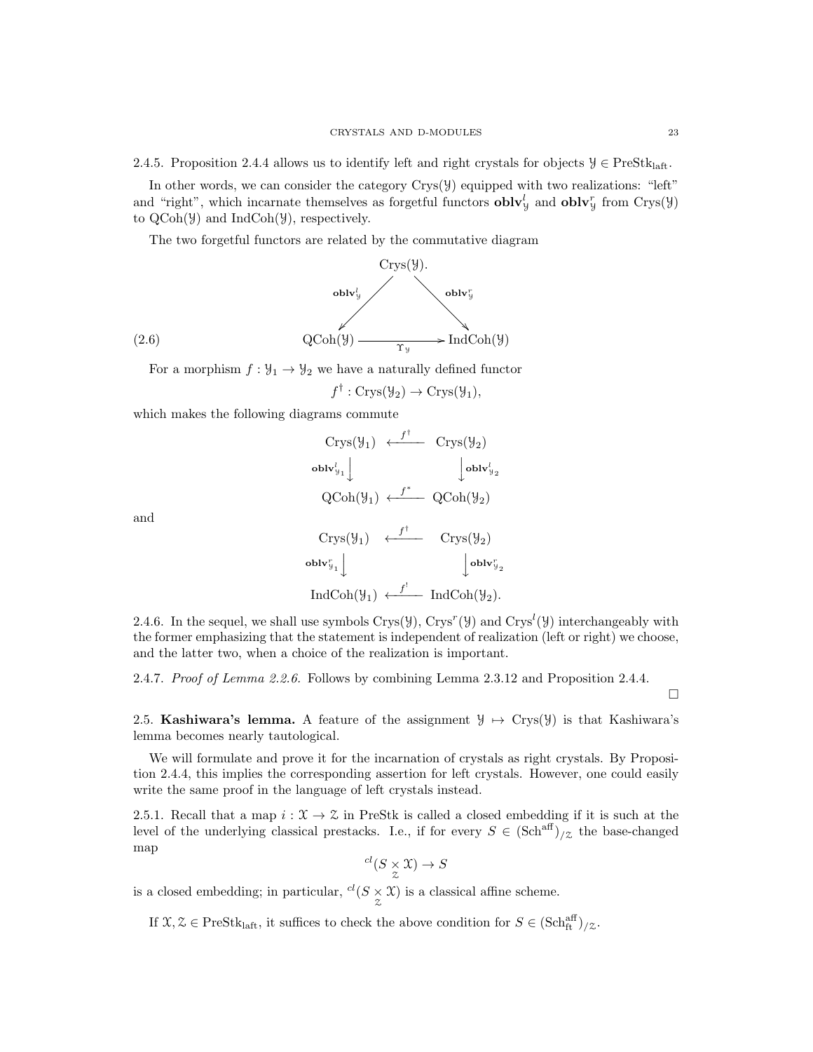2.4.5. Proposition 2.4.4 allows us to identify left and right crystals for objects  $\mathcal{Y} \in \text{PreStk}_{\text{left}}$ .

In other words, we can consider the category  $Crys(y)$  equipped with two realizations: "left" and "right", which incarnate themselves as forgetful functors  $\textbf{oblv}_y^l$  and  $\textbf{oblv}_y^r$  from  $Crys(\mathcal{Y})$ to  $QCoh(\mathcal{Y})$  and IndCoh $(\mathcal{Y})$ , respectively.

The two forgetful functors are related by the commutative diagram



For a morphism  $f: \mathcal{Y}_1 \to \mathcal{Y}_2$  we have a naturally defined functor

$$
f^{\dagger} : \text{Crys}(\mathcal{Y}_2) \to \text{Crys}(\mathcal{Y}_1),
$$

which makes the following diagrams commute

$$
\begin{array}{ccc}\n\text{Crys}(\mathcal{Y}_1) & \stackrel{f^{\dagger}}{\longleftarrow} & \text{Crys}(\mathcal{Y}_2) \\
\text{oblv}_{\mathcal{Y}_1}^l \downarrow & & \downarrow \text{oblv}_{\mathcal{Y}_2}^l \\
\text{QCoh}(\mathcal{Y}_1) & \stackrel{f^*}{\longleftarrow} & \text{QCoh}(\mathcal{Y}_2) \\
 & & \\
\text{Crys}(\mathcal{Y}_1) & \stackrel{f^{\dagger}}{\longleftarrow} & \text{Crys}(\mathcal{Y}_2) \\
 & & \\
\text{oblv}_{\mathcal{Y}_1}^r \downarrow & & \downarrow \text{oblv}_{\mathcal{Y}_2}^r \\
\text{IndCoh}(\mathcal{Y}_1) & \stackrel{f^{\dagger}}{\longleftarrow} & \text{IndCoh}(\mathcal{Y}_2).\n\end{array}
$$

and

2.4.6. In the sequel, we shall use symbols  $Crys(\mathcal{Y})$ ,  $Crys^r(\mathcal{Y})$  and  $Crys^l(\mathcal{Y})$  interchangeably with the former emphasizing that the statement is independent of realization (left or right) we choose, and the latter two, when a choice of the realization is important.

2.4.7. Proof of Lemma 2.2.6. Follows by combining Lemma 2.3.12 and Proposition 2.4.4.

 $\Box$ 

2.5. Kashiwara's lemma. A feature of the assignment  $\mathcal{Y} \rightarrow \text{Crys}(\mathcal{Y})$  is that Kashiwara's lemma becomes nearly tautological.

We will formulate and prove it for the incarnation of crystals as right crystals. By Proposition 2.4.4, this implies the corresponding assertion for left crystals. However, one could easily write the same proof in the language of left crystals instead.

2.5.1. Recall that a map  $i : \mathcal{X} \to \mathcal{Z}$  in PreStk is called a closed embedding if it is such at the level of the underlying classical prestacks. I.e., if for every  $S \in (\text{Sch}^{\text{aff}})_{/z}$  the base-changed map

$$
^{cl}(S \underset{\mathcal{Z}}{\times} \mathfrak{X}) \to S
$$

is a closed embedding; in particular,  $\frac{cl(S \times \mathfrak{X})}{z}$  is a classical affine scheme.

If  $\mathfrak{X}, \mathfrak{X} \in \text{PreStk}_{\text{laff}},$  it suffices to check the above condition for  $S \in (\text{Sch}^{\text{aff}}_{\text{ft}})_{/\mathfrak{Z}}$ .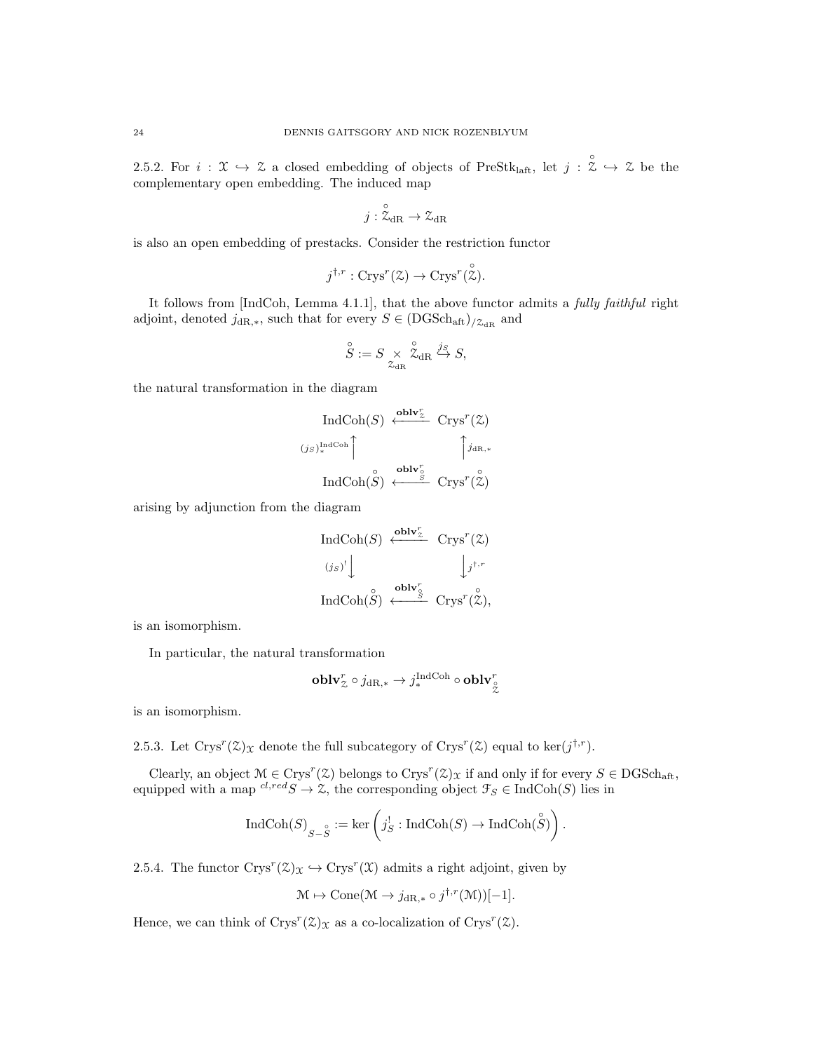2.5.2. For  $i: \mathfrak{X} \hookrightarrow \mathfrak{X}$  a closed embedding of objects of PreStk<sub>laft</sub>, let  $j: \mathfrak{X} \hookrightarrow \mathfrak{X}$  be the complementary open embedding. The induced map

$$
j:\overset{\circ}{\mathcal{Z}}_{\mathrm{dR}}\to\mathcal{Z}_{\mathrm{dR}}
$$

is also an open embedding of prestacks. Consider the restriction functor

$$
j^{\dagger,r}: \text{Crys}^r(\mathcal{Z}) \to \text{Crys}^r(\overset{\circ}{\mathcal{Z}}).
$$

It follows from [IndCoh, Lemma 4.1.1], that the above functor admits a fully faithful right adjoint, denoted  $j_{\text{dR},\ast}$ , such that for every  $S \in (DGSch_{\text{aff}})_{/\mathcal{Z}_{\text{dR}}}$  and

$$
\overset{\circ}{S}:=S\underset{\mathcal{Z}_{\mathrm{dR}}}{\times}\overset{\circ}{\mathcal{Z}}_{\mathrm{dR}}\overset{j_S}{\hookrightarrow}S,
$$

the natural transformation in the diagram

$$
\operatorname{IndCoh}(S) \xleftarrow{\mathbf{oblv}_{\mathbb{Z}}^{r}} \operatorname{Crys}^{r}(\mathbb{Z})
$$
\n
$$
(j_S)_{*}^{\operatorname{IndCoh}} \uparrow \qquad \qquad \uparrow j_{\operatorname{dR},*}
$$
\n
$$
\operatorname{IndCoh}(\overset{\circ}{S}) \xleftarrow{\mathbf{oblv}_{\overset{\circ}{S}}} \operatorname{Crys}^{r}(\overset{\circ}{\mathbb{Z}})
$$

arising by adjunction from the diagram

$$
\operatorname{IndCoh}(S) \xleftarrow{\mathbf{oblv}_{\mathbb{Z}}^{r}} \operatorname{Crys}^{r}(\mathbb{Z})
$$
\n
$$
(j_S)^{t} \downarrow \qquad \qquad \downarrow j^{t,r}
$$
\n
$$
\operatorname{IndCoh}(\overset{\circ}{S}) \xleftarrow{\mathbf{oblv}_{\mathbb{S}}^{r}} \operatorname{Crys}^{r}(\overset{\circ}{\mathbb{Z}}),
$$

is an isomorphism.

In particular, the natural transformation

$$
\operatorname{\mathbf{oblv}}^r_\mathcal{Z} \circ j_{{\mathrm{dR}},*} \to j^{\operatorname{IndCoh}}_* \circ \operatorname{\mathbf{oblv}}^r_\mathcal{Z}
$$

is an isomorphism.

2.5.3. Let  $\text{Crys}^r(\mathcal{Z})_{\mathcal{X}}$  denote the full subcategory of  $\text{Crys}^r(\mathcal{Z})$  equal to  $\ker(j^{\dagger,r})$ .

Clearly, an object  $M \in \text{Crys}^r(\mathcal{Z})$  belongs to  $\text{Crys}^r(\mathcal{Z})_{\mathcal{X}}$  if and only if for every  $S \in \text{DGSch}_{\text{aff}},$ equipped with a map  ${}^{cl,red}S \to \mathcal{Z}$ , the corresponding object  $\mathcal{F}_S \in \text{IndCoh}(S)$  lies in

$$
\operatorname{IndCoh}(S)_{S-\overset{\circ}{ S}}:=\ker\left(j^!_S:\operatorname{IndCoh}(S)\to\operatorname{IndCoh}(\overset{\circ}{ S})\right).
$$

2.5.4. The functor  $Crys^{r}(\mathcal{Z})_{\mathcal{X}} \hookrightarrow Crys^{r}(\mathcal{X})$  admits a right adjoint, given by

$$
\mathcal{M} \mapsto \text{Cone}(\mathcal{M} \to j_{\text{dR},*} \circ j^{\dagger,r}(\mathcal{M}))[-1].
$$

Hence, we can think of  $Crys^r(\mathcal{Z})_{\mathcal{X}}$  as a co-localization of  $Crys^r(\mathcal{Z})$ .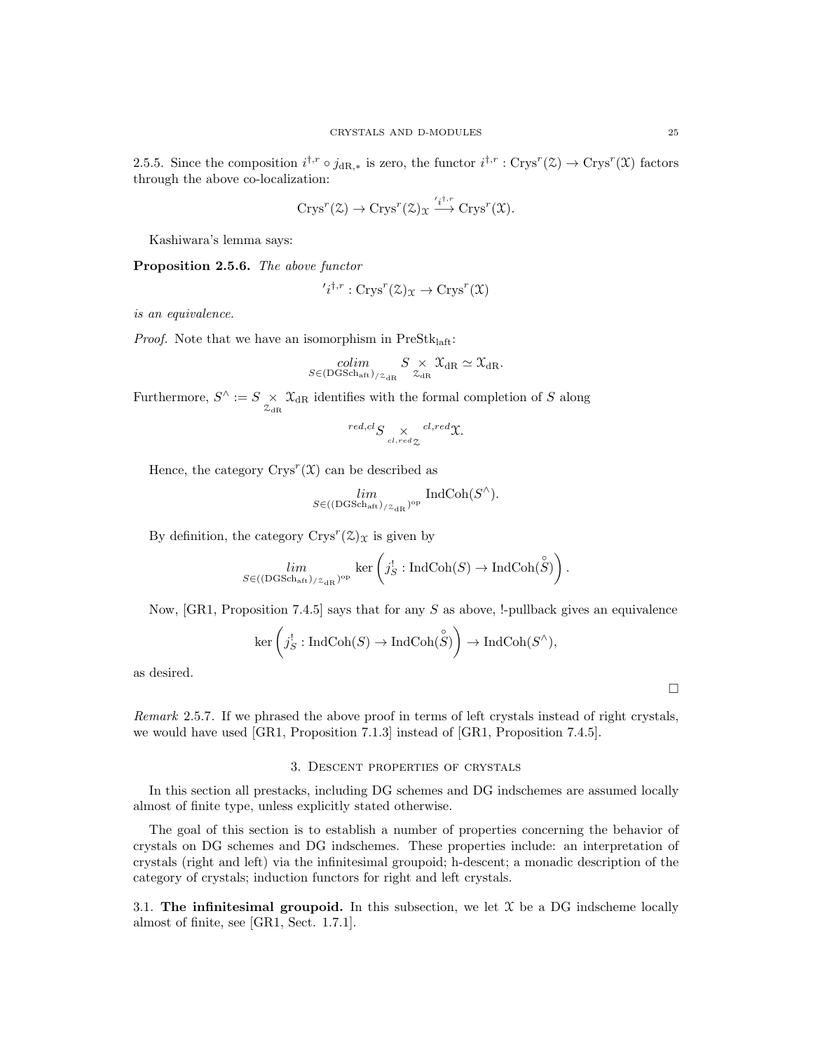2.5.5. Since the composition  $i^{\dagger,r} \circ j_{\text{dR},*}$  is zero, the functor  $i^{\dagger,r} : \text{Crys}^r(\mathcal{Z}) \to \text{Crys}^r(\mathcal{X})$  factors through the above co-localization:

$$
Crys^r(\mathcal{Z}) \to Crys^r(\mathcal{Z})_{\mathcal{X}} \stackrel{\prime_i^{\dagger,r}}{\longrightarrow} Crys^r(\mathcal{X}).
$$

Kashiwara's lemma says:

Proposition 2.5.6. The above functor

$$
'i^{\dagger,r}: \text{Crys}^r(\mathcal{Z})_{\mathcal{X}} \to \text{Crys}^r(\mathcal{X})
$$

is an equivalence.

*Proof.* Note that we have an isomorphism in  $PreStk<sub>laff</sub>:$ 

$$
\underset{S \in (\text{DGSch}_{\text{aff}}) / \mathcal{Z}_{\text{dR}}}{\text{colim}} S \underset{\mathcal{Z}_{\text{dR}}}{\times} \mathcal{X}_{\text{dR}} \simeq \mathcal{X}_{\text{dR}}.
$$

Furthermore,  $S^{\wedge} := S \underset{\mathcal{Z}_{\text{dR}}} {\times} \mathcal{X}_{\text{dR}}$  identifies with the formal completion of S along

$$
{}^{red, cl}S \underset{cl, red \chi}{\times} {}^{cl, red} \mathfrak{X}.
$$

Hence, the category  $\text{Crys}^r(\mathfrak{X})$  can be described as

$$
\lim_{S \in ((\text{DGSch}_{\text{aft}})_{/ \mathcal{Z}_{\text{dR}}})^{\text{op}}} \text{IndCoh}(S^{\wedge}).
$$

By definition, the category  $\text{Crys}^r(\mathcal{Z})_{\mathcal{X}}$  is given by

$$
\lim_{S \in ((\text{DGSch}_{\text{aff}})/_{\mathcal{Z}_{\text{dR}}})^{\text{op}}} \ker \left( j_S^! : \text{IndCoh}(S) \to \text{IndCoh}(\overset{\circ}{S}) \right).
$$

Now,  $[GR1, Proposition 7.4.5]$  says that for any S as above, !-pullback gives an equivalence

$$
\ker\left(j_S^!\colon \textup{Ind}\textup{Coh}(S)\to\textup{Ind}\textup{Coh}(\overset{\circ}{S})\right)\to\textup{Ind}\textup{Coh}(S^\wedge),
$$

as desired.

Remark 2.5.7. If we phrased the above proof in terms of left crystals instead of right crystals, we would have used [GR1, Proposition 7.1.3] instead of [GR1, Proposition 7.4.5].

# 3. Descent properties of crystals

In this section all prestacks, including DG schemes and DG indschemes are assumed locally almost of finite type, unless explicitly stated otherwise.

The goal of this section is to establish a number of properties concerning the behavior of crystals on DG schemes and DG indschemes. These properties include: an interpretation of crystals (right and left) via the infinitesimal groupoid; h-descent; a monadic description of the category of crystals; induction functors for right and left crystals.

3.1. The infinitesimal groupoid. In this subsection, we let  $\mathfrak X$  be a DG indscheme locally almost of finite, see [GR1, Sect. 1.7.1].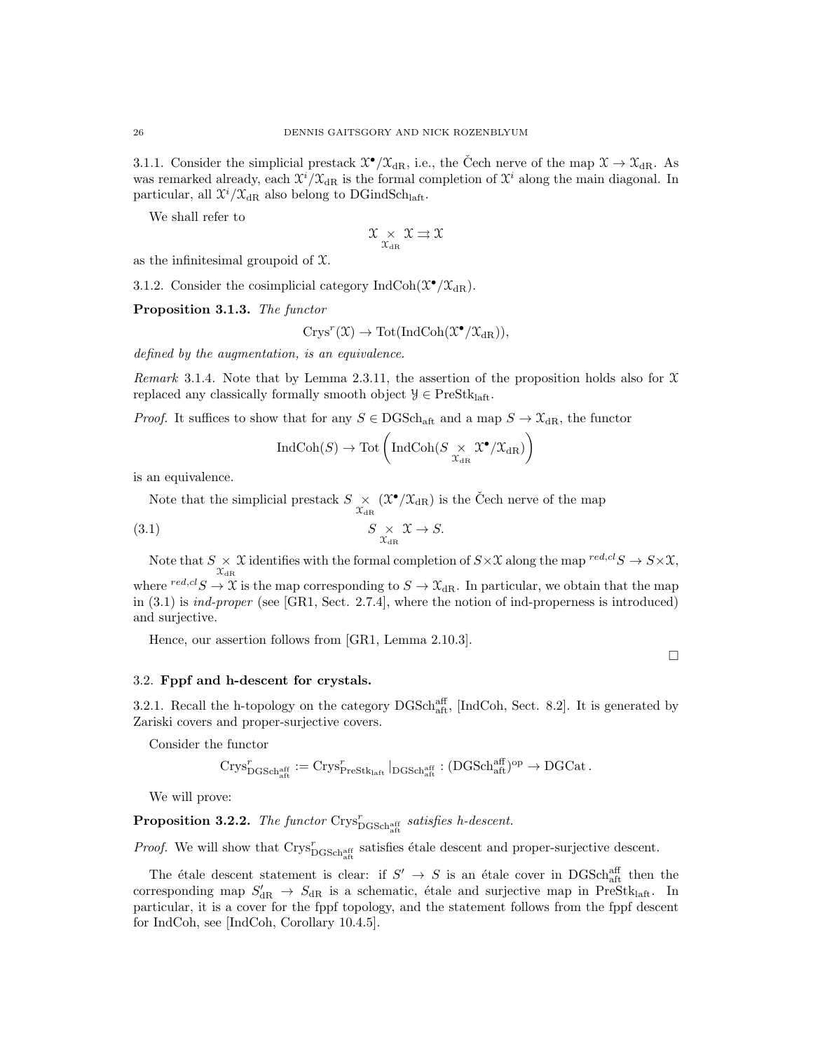3.1.1. Consider the simplicial prestack  $\mathfrak{X}^{\bullet}/\mathfrak{X}_{dR}$ , i.e., the Čech nerve of the map  $\mathfrak{X} \to \mathfrak{X}_{dR}$ . As was remarked already, each  $\mathfrak{X}^i/\mathfrak{X}_{\mathrm{dR}}$  is the formal completion of  $\mathfrak{X}^i$  along the main diagonal. In particular, all  $\mathfrak{X}^i/\mathfrak{X}_{\mathrm{dR}}$  also belong to DGindSch<sub>laft</sub>.

We shall refer to

$$
\mathfrak{X}_{\chi_{\rm dR}} \mathfrak{X} \rightrightarrows \mathfrak{X}
$$

as the infinitesimal groupoid of  $\mathfrak{X}$ .

3.1.2. Consider the cosimplicial category IndCoh( $\mathfrak{X}^{\bullet}/\mathfrak{X}_{\mathrm{dR}}$ ).

Proposition 3.1.3. The functor

$$
Crys^r(\mathfrak{X}) \to \mathrm{Tot}(\mathrm{IndCoh}(\mathfrak{X}^{\bullet}/\mathfrak{X}_{\mathrm{dR}})),
$$

defined by the augmentation, is an equivalence.

Remark 3.1.4. Note that by Lemma 2.3.11, the assertion of the proposition holds also for  $\mathfrak X$ replaced any classically formally smooth object  $\mathcal{Y} \in \text{PreStk}_{\text{laff}}$ .

*Proof.* It suffices to show that for any  $S \in \text{DGSch}_{\text{aff}}$  and a map  $S \to \mathfrak{X}_{\text{dR}}$ , the functor

$$
\operatorname{IndCoh}(S) \to \operatorname{Tot}\left(\operatorname{IndCoh}(S \underset{\mathfrak{X}_{\operatorname{dR}}}{\times} \mathfrak{X}^{\bullet}/\mathfrak{X}_{\operatorname{dR}})\right)
$$

is an equivalence.

Note that the simplicial prestack  $S \underset{\mathcal{X}_{\text{dR}}}{\times} (\mathcal{X}^{\bullet}/\mathcal{X}_{\text{dR}})$  is the Čech nerve of the map

$$
(3.1) \t\t S \underset{\mathcal{X}_{\mathrm{dR}}}{\times} \mathcal{X} \to S.
$$

Note that  $S \times \mathfrak{X}$  identifies with the formal completion of  $S \times \mathfrak{X}$  along the map  $^{red, cl} S \to S \times \mathfrak{X}$ , where  ${}^{red, cl}S \to \mathfrak{X}$  is the map corresponding to  $S \to \mathfrak{X}_{dR}$ . In particular, we obtain that the map in  $(3.1)$  is *ind-proper* (see [GR1, Sect. 2.7.4], where the notion of ind-properness is introduced) and surjective.

Hence, our assertion follows from [GR1, Lemma 2.10.3].

 $\Box$ 

## 3.2. Fppf and h-descent for crystals.

3.2.1. Recall the h-topology on the category  $DGSch<sub>aff</sub><sup>aff</sup>$ , [IndCoh, Sect. 8.2]. It is generated by Zariski covers and proper-surjective covers.

Consider the functor

$$
\mathrm{Crys}^r_{\mathrm{DGSch}^{\mathrm{aff}}_{\mathrm{aff}}}:=\mathrm{Crys}^r_{\mathrm{PreStk}_{\mathrm{laff}}}\mid_{\mathrm{DGSch}^{\mathrm{aff}}_{\mathrm{aff}}}:(\mathrm{DGSch}^{\mathrm{aff}}_{\mathrm{aff}})^{\mathrm{op}}\to\mathrm{DGCat}\,.
$$

We will prove:

**Proposition 3.2.2.** The functor  $\text{Crys}_{\text{DGSchaft}}^r$  satisfies h-descent.

*Proof.* We will show that  $\text{Crys}_{\text{DGSchaft}}^r$  satisfies étale descent and proper-surjective descent.

The étale descent statement is clear: if  $S' \rightarrow S$  is an étale cover in DGSch<sub>aft</sub> then the corresponding map  $S'_{\text{dR}} \to S_{\text{dR}}$  is a schematic, étale and surjective map in PreStklaft. In particular, it is a cover for the fppf topology, and the statement follows from the fppf descent for IndCoh, see [IndCoh, Corollary 10.4.5].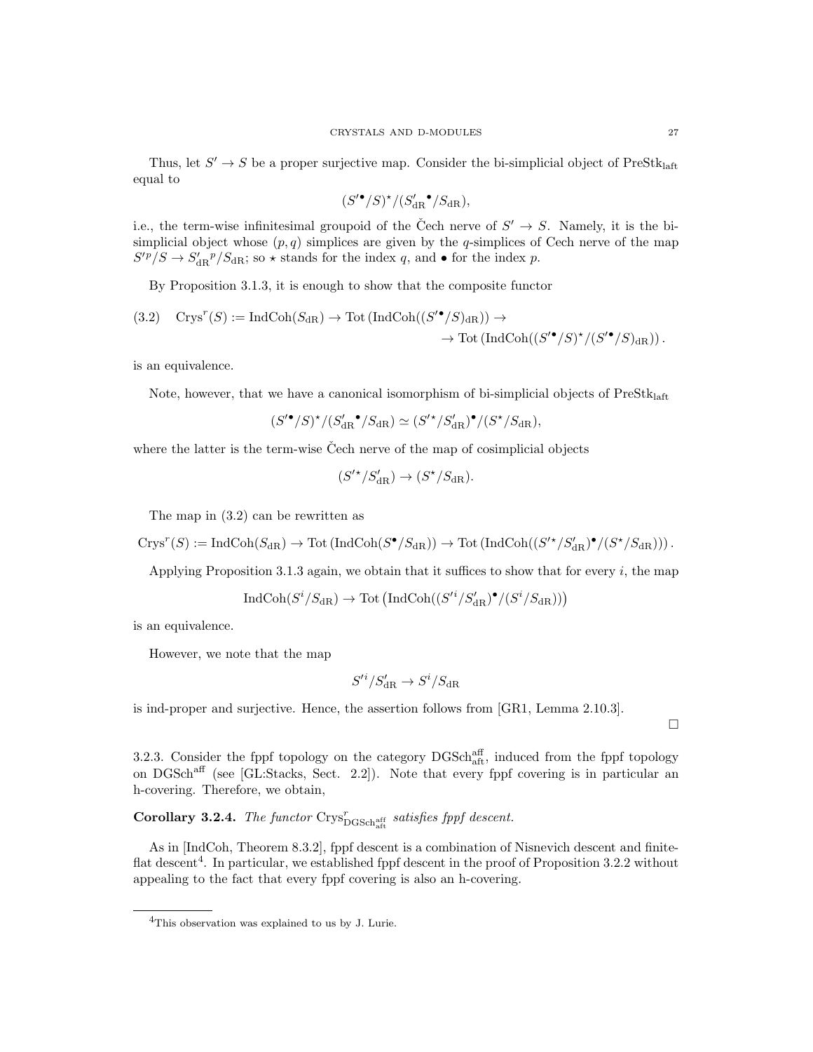Thus, let  $S' \to S$  be a proper surjective map. Consider the bi-simplicial object of PreStk<sub>laft</sub> equal to

$$
(S^{\prime\bullet}/S)^\star/(S_{\mathrm{dR}}^{\prime\bullet}/S_{\mathrm{dR}}),
$$

i.e., the term-wise infinitesimal groupoid of the Čech nerve of  $S' \to S$ . Namely, it is the bisimplicial object whose  $(p, q)$  simplices are given by the q-simplices of Cech nerve of the map  $S'^p/S \to S'_{\rm dR}{}^p/S_{\rm dR}$ ; so  $\star$  stands for the index q, and  $\bullet$  for the index p.

By Proposition 3.1.3, it is enough to show that the composite functor

$$
(3.2) \quad \mathrm{Crys}^r(S) := \mathrm{IndCoh}(S_{\mathrm{dR}}) \to \mathrm{Tot}(\mathrm{IndCoh}((S'^\bullet/S)_{\mathrm{dR}})) \to
$$

$$
\to \mathrm{Tot}(\mathrm{IndCoh}((S'^\bullet/S)^\star/(S'^\bullet/S)_{\mathrm{dR}})).
$$

is an equivalence.

Note, however, that we have a canonical isomorphism of bi-simplicial objects of  $PreStk<sub>laff</sub>$ 

$$
(S^{\prime\bullet}/S)^{\star}/(S_{\mathrm{dR}}^{\prime\bullet}/S_{\mathrm{dR}})\simeq (S^{\prime\star}/S_{\mathrm{dR}}^{\prime\bullet})^{\bullet}/(S^{\star}/S_{\mathrm{dR}}),
$$

where the latter is the term-wise Cech nerve of the map of cosimplicial objects

$$
(S'^\star/S'_{{\mathrm{dR}}}) \to (S^\star/S_{{\mathrm{dR}}}).
$$

The map in (3.2) can be rewritten as

$$
\mathrm{Crys}^r(S):=\mathrm{IndCoh}(S_{\mathrm{dR}})\to\mathrm{Tot}\left(\mathrm{IndCoh}(S^\bullet/S_{\mathrm{dR}})\right)\to\mathrm{Tot}\left(\mathrm{IndCoh}((S'^\star/S'_{\mathrm{dR}})^\bullet/(S^\star/S_{\mathrm{dR}}))\right).
$$

Applying Proposition 3.1.3 again, we obtain that it suffices to show that for every  $i$ , the map

$$
\operatorname{IndCoh}(S^i/S_{\mathrm{dR}}) \to \operatorname{Tot}\left(\operatorname{IndCoh}((S'^i/S'_{\mathrm{dR}})^{\bullet}/(S^i/S_{\mathrm{dR}}))\right)
$$

is an equivalence.

However, we note that the map

$$
S'^i/S'_{\mathrm{dR}}\to S^i/S_{\mathrm{dR}}
$$

is ind-proper and surjective. Hence, the assertion follows from [GR1, Lemma 2.10.3].

 $\Box$ 

3.2.3. Consider the fppf topology on the category  $DGSch<sub>aff</sub><sup>aff</sup>$ , induced from the fppf topology on DGSchaff (see [GL:Stacks, Sect. 2.2]). Note that every fppf covering is in particular an h-covering. Therefore, we obtain,

**Corollary 3.2.4.** The functor  $\text{Crys}_{\text{DGSch}_{\text{aff}}^{\text{aff}}}^r$  satisfies fppf descent.

As in [IndCoh, Theorem 8.3.2], fppf descent is a combination of Nisnevich descent and finiteflat descent<sup>4</sup>. In particular, we established fppf descent in the proof of Proposition 3.2.2 without appealing to the fact that every fppf covering is also an h-covering.

<sup>4</sup>This observation was explained to us by J. Lurie.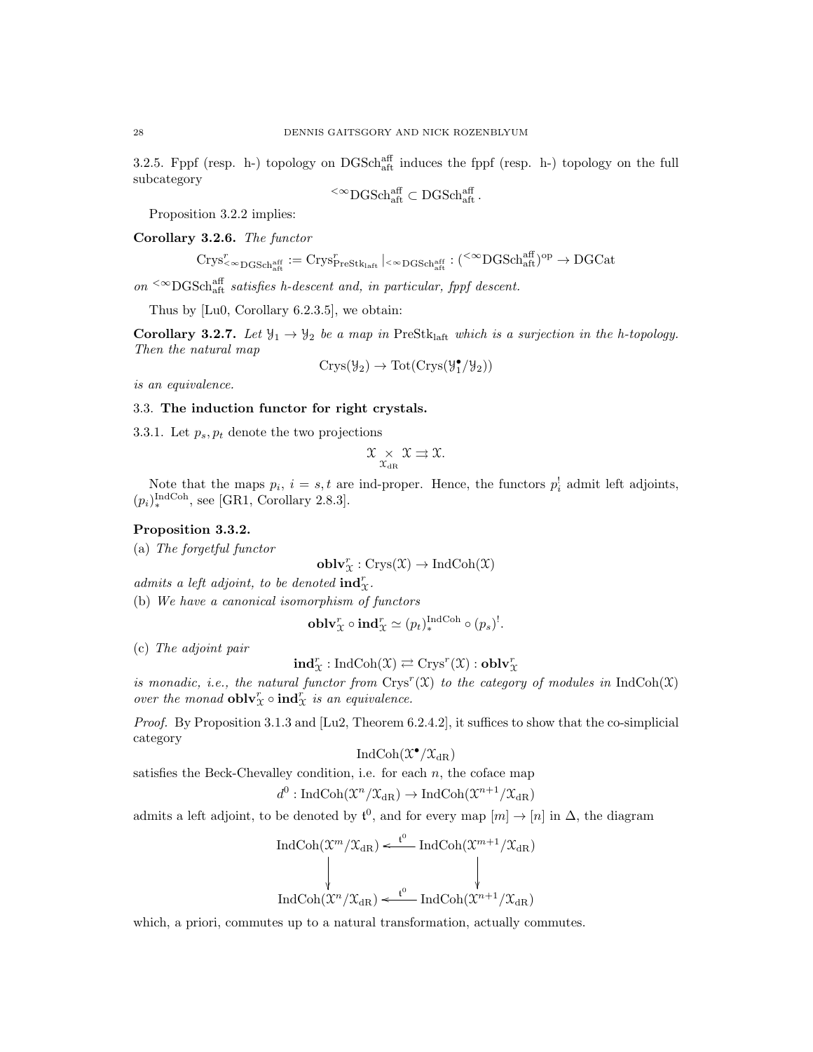3.2.5. Fppf (resp. h-) topology on DGSch<sup>aff</sup> induces the fppf (resp. h-) topology on the full subcategory

$$
{}^{\textstyle{<}\infty}{\rm DGSch}_{\rm aff}^{\rm aff} \subset {\rm DGSch}_{\rm aff}^{\rm aff}.
$$

Proposition 3.2.2 implies:

Corollary 3.2.6. The functor

$$
\mathrm{Crys}^r_{<\infty\mathrm{DGSch}^{\mathrm{aff}}_{\mathrm{aff}}}:=\mathrm{Crys}^r_{\mathrm{PreStk}_{\mathrm{laff}}}\left|_{<\infty\mathrm{DGSch}^{\mathrm{aff}}_{\mathrm{aff}}}:\right(^{<\infty}\mathrm{DGSch}^{\mathrm{aff}}_{\mathrm{aff}})^{\mathrm{op}}\to\mathrm{DGCat}
$$

on  $\leq \infty$ DGSchaff satisfies h-descent and, in particular, fppf descent.

Thus by [Lu0, Corollary 6.2.3.5], we obtain:

Corollary 3.2.7. Let  $\mathcal{Y}_1 \to \mathcal{Y}_2$  be a map in PreStklaft which is a surjection in the h-topology. Then the natural map

$$
Crys(\mathcal{Y}_2) \to Tot(Crys(\mathcal{Y}_1^{\bullet}/\mathcal{Y}_2))
$$

is an equivalence.

# 3.3. The induction functor for right crystals.

3.3.1. Let  $p_s, p_t$  denote the two projections

$$
\mathfrak{X}_{\chi_{\rm dR}} \chi \Rightarrow \mathfrak{X}.
$$

Note that the maps  $p_i$ ,  $i = s, t$  are ind-proper. Hence, the functors  $p_i^{\dagger}$  admit left adjoints,  $(p_i)_*^{\text{IndCoh}}$ , see [GR1, Corollary 2.8.3].

# Proposition 3.3.2.

(a) The forgetful functor

$$
\mathbf{oblv}^r_{\mathfrak{X}}:\mathrm{Crys}(\mathfrak{X})\rightarrow \mathrm{IndCoh}(\mathfrak{X})
$$

admits a left adjoint, to be denoted  $\text{ind}^r_{\mathfrak{X}}$ .

(b) We have a canonical isomorphism of functors

$$
\mathbf{oblv}_{\mathcal{X}}^r \circ \mathbf{ind}_{\mathcal{X}}^r \simeq (p_t)_*^{\mathrm{IndCoh}} \circ (p_s)^!
$$

(c) The adjoint pair

$$
\mathbf{ind}^r_{\mathfrak{X}} : \mathrm{IndCoh}(\mathfrak{X}) \rightleftarrows \mathrm{Crys}^r(\mathfrak{X}) : \mathbf{oblv}^r_{\mathfrak{X}}
$$

is monadic, i.e., the natural functor from  $Crys^{r}(\mathfrak{X})$  to the category of modules in IndCoh(X) over the monad  $\textbf{oblv}_\mathcal{X}^r \circ \textbf{ind}_\mathcal{X}^r$  is an equivalence.

Proof. By Proposition 3.1.3 and [Lu2, Theorem 6.2.4.2], it suffices to show that the co-simplicial category

$$
\operatorname{IndCoh}(\mathfrak X^\bullet/\mathfrak X_{\mathrm{dR}})
$$

satisfies the Beck-Chevalley condition, i.e. for each  $n$ , the coface map

$$
d^0: \operatorname{IndCoh}(\mathfrak{X}^n/\mathfrak{X}_{\mathrm{dR}}) \to \operatorname{IndCoh}(\mathfrak{X}^{n+1}/\mathfrak{X}_{\mathrm{dR}})
$$

admits a left adjoint, to be denoted by  $\mathfrak{t}^0$ , and for every map  $[m] \to [n]$  in  $\Delta$ , the diagram

$$
\operatorname{IndCoh}(\mathcal{X}^m/\mathcal{X}_{\mathrm{dR}}) \xleftarrow{\mathfrak{t}^0} \operatorname{IndCoh}(\mathcal{X}^{m+1}/\mathcal{X}_{\mathrm{dR}})
$$
  
\n
$$
\downarrow \qquad \qquad \downarrow
$$
  
\n
$$
\operatorname{IndCoh}(\mathcal{X}^n/\mathcal{X}_{\mathrm{dR}}) \xleftarrow{\mathfrak{t}^0} \operatorname{IndCoh}(\mathcal{X}^{n+1}/\mathcal{X}_{\mathrm{dR}})
$$

which, a priori, commutes up to a natural transformation, actually commutes.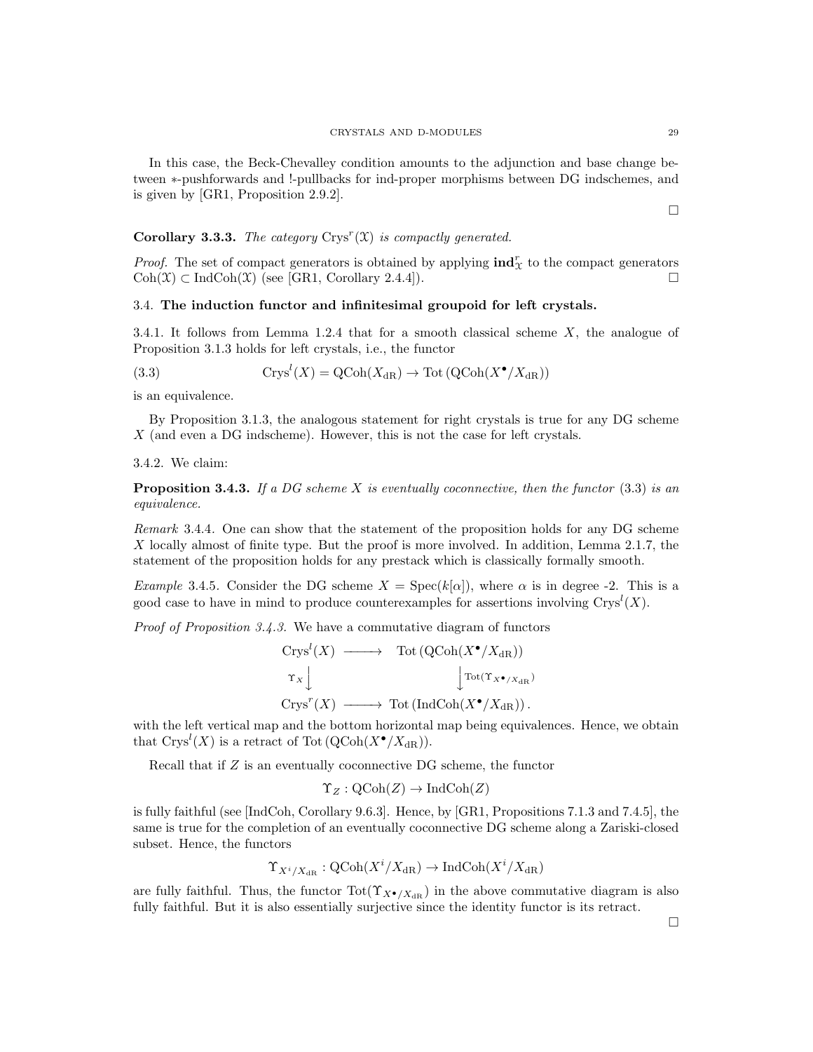In this case, the Beck-Chevalley condition amounts to the adjunction and base change between ∗-pushforwards and !-pullbacks for ind-proper morphisms between DG indschemes, and is given by [GR1, Proposition 2.9.2].

 $\Box$ 

# **Corollary 3.3.3.** The category  $Crys^{r}(\mathfrak{X})$  is compactly generated.

*Proof.* The set of compact generators is obtained by applying  $\text{ind}_{\mathcal{X}}^r$  to the compact generators  $\text{Coh}(\mathfrak{X}) \subset \text{IndCoh}(\mathfrak{X})$  (see [GR1, Corollary 2.4.4]).

## 3.4. The induction functor and infinitesimal groupoid for left crystals.

3.4.1. It follows from Lemma 1.2.4 that for a smooth classical scheme X, the analogue of Proposition 3.1.3 holds for left crystals, i.e., the functor

(3.3) 
$$
Crys^{l}(X) = Q\text{Coh}(X_{\text{dR}}) \to \text{Tot}(Q\text{Coh}(X^{\bullet}/X_{\text{dR}}))
$$

is an equivalence.

By Proposition 3.1.3, the analogous statement for right crystals is true for any DG scheme X (and even a DG indscheme). However, this is not the case for left crystals.

# 3.4.2. We claim:

**Proposition 3.4.3.** If a DG scheme X is eventually coconnective, then the functor  $(3.3)$  is an equivalence.

Remark 3.4.4. One can show that the statement of the proposition holds for any DG scheme X locally almost of finite type. But the proof is more involved. In addition, Lemma 2.1.7, the statement of the proposition holds for any prestack which is classically formally smooth.

Example 3.4.5. Consider the DG scheme  $X = \text{Spec}(k[\alpha])$ , where  $\alpha$  is in degree -2. This is a good case to have in mind to produce counterexamples for assertions involving  $Crys^l(X)$ .

Proof of Proposition 3.4.3. We have a commutative diagram of functors

$$
\begin{array}{ccc}\n\operatorname{Crys}^l(X) & \longrightarrow & \operatorname{Tot}(\operatorname{QCoh}(X^{\bullet}/X_{\operatorname{dR}})) \\
\uparrow_{X} & & \downarrow^{\operatorname{Tot}(T_{X^{\bullet}/X_{\operatorname{dR}})}} \\
\operatorname{Crys}^r(X) & \longrightarrow & \operatorname{Tot}(\operatorname{IndCoh}(X^{\bullet}/X_{\operatorname{dR}})).\n\end{array}
$$

with the left vertical map and the bottom horizontal map being equivalences. Hence, we obtain that  $\mathrm{Crys}^l(X)$  is a retract of Tot  $(\mathrm{QCoh}(X^{\bullet}/X_{\mathrm{dR}})).$ 

Recall that if Z is an eventually coconnective DG scheme, the functor

$$
\Upsilon_Z : \mathrm{QCoh}(Z) \to \mathrm{IndCoh}(Z)
$$

is fully faithful (see [IndCoh, Corollary 9.6.3]. Hence, by [GR1, Propositions 7.1.3 and 7.4.5], the same is true for the completion of an eventually coconnective DG scheme along a Zariski-closed subset. Hence, the functors

$$
\Upsilon_{X^i/X_{\mathrm{dR}}}:\mathrm{QCoh}(X^i/X_{\mathrm{dR}})\to\mathrm{IndCoh}(X^i/X_{\mathrm{dR}})
$$

are fully faithful. Thus, the functor  $\text{Tot}(\Upsilon_{X^{\bullet}/X_{\text{dB}}})$  in the above commutative diagram is also fully faithful. But it is also essentially surjective since the identity functor is its retract.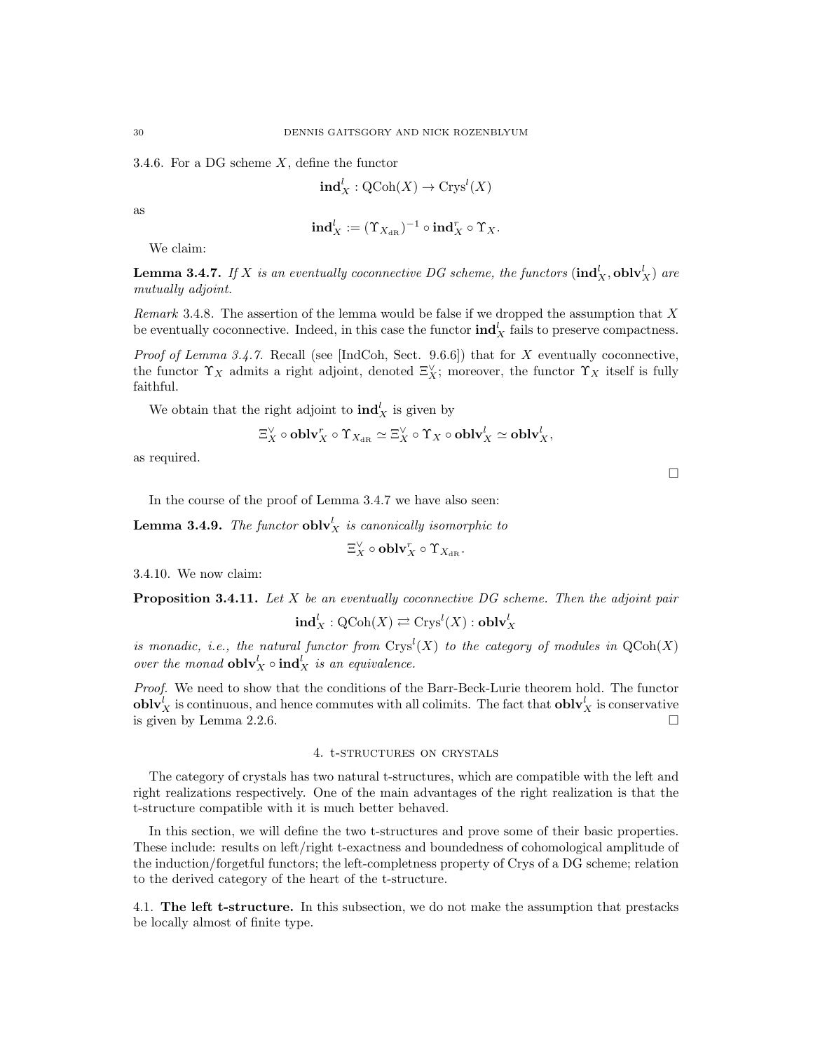3.4.6. For a DG scheme  $X$ , define the functor

$$
\mathbf{ind}_{X}^{l} : \mathrm{QCoh}(X) \to \mathrm{Crys}^{l}(X)
$$

as

$$
\mathbf{ind}_{X}^{l} := (\Upsilon_{X_{\mathrm{dR}}})^{-1} \circ \mathbf{ind}_{X}^{r} \circ \Upsilon_{X}.
$$

We claim:

**Lemma 3.4.7.** If X is an eventually coconnective DG scheme, the functors  $(\text{ind}_X^l, \text{oblv}_X^l)$  are mutually adjoint.

Remark 3.4.8. The assertion of the lemma would be false if we dropped the assumption that  $X$ be eventually coconnective. Indeed, in this case the functor  $\text{ind}_X^l$  fails to preserve compactness.

Proof of Lemma 3.4.7. Recall (see [IndCoh, Sect. 9.6.6]) that for X eventually coconnective, the functor  $\Upsilon_X$  admits a right adjoint, denoted  $\Xi_X^{\vee}$ ; moreover, the functor  $\Upsilon_X$  itself is fully faithful.

We obtain that the right adjoint to  $\text{ind}_X^l$  is given by

$$
\Xi_X^\vee\circ {\bf oblv}_X^r\circ\Upsilon_{X_{\mathrm{dR}}}\simeq\Xi_X^\vee\circ\Upsilon_X\circ{\bf oblv}_X^l\simeq{\bf oblv}_X^l,
$$

as required.

In the course of the proof of Lemma 3.4.7 we have also seen:

**Lemma 3.4.9.** The functor  $\textbf{oblv}_X^l$  is canonically isomorphic to

$$
\Xi_X^{\vee} \circ \mathbf{oblv}_X^r \circ \Upsilon_{X_{\mathrm{dR}}}.
$$

3.4.10. We now claim:

**Proposition 3.4.11.** Let  $X$  be an eventually coconnective DG scheme. Then the adjoint pair

$$
\mathbf{ind}_{X}^{l}: \mathrm{QCoh}(X) \rightleftarrows \mathrm{Crys}^{l}(X): \mathbf{oblv}_{X}^{l}
$$

is monadic, i.e., the natural functor from  $Crys^l(X)$  to the category of modules in  $\mathrm{QCoh}(X)$ over the monad  $\textbf{oblv}_X^l \circ \textbf{ind}_X^l$  is an equivalence.

Proof. We need to show that the conditions of the Barr-Beck-Lurie theorem hold. The functor  $\textbf{oblv}_X^l$  is continuous, and hence commutes with all colimits. The fact that  $\textbf{oblv}_X^l$  is conservative is given by Lemma 2.2.6.

# 4. t-structures on crystals

The category of crystals has two natural t-structures, which are compatible with the left and right realizations respectively. One of the main advantages of the right realization is that the t-structure compatible with it is much better behaved.

In this section, we will define the two t-structures and prove some of their basic properties. These include: results on left/right t-exactness and boundedness of cohomological amplitude of the induction/forgetful functors; the left-completness property of Crys of a DG scheme; relation to the derived category of the heart of the t-structure.

4.1. The left t-structure. In this subsection, we do not make the assumption that prestacks be locally almost of finite type.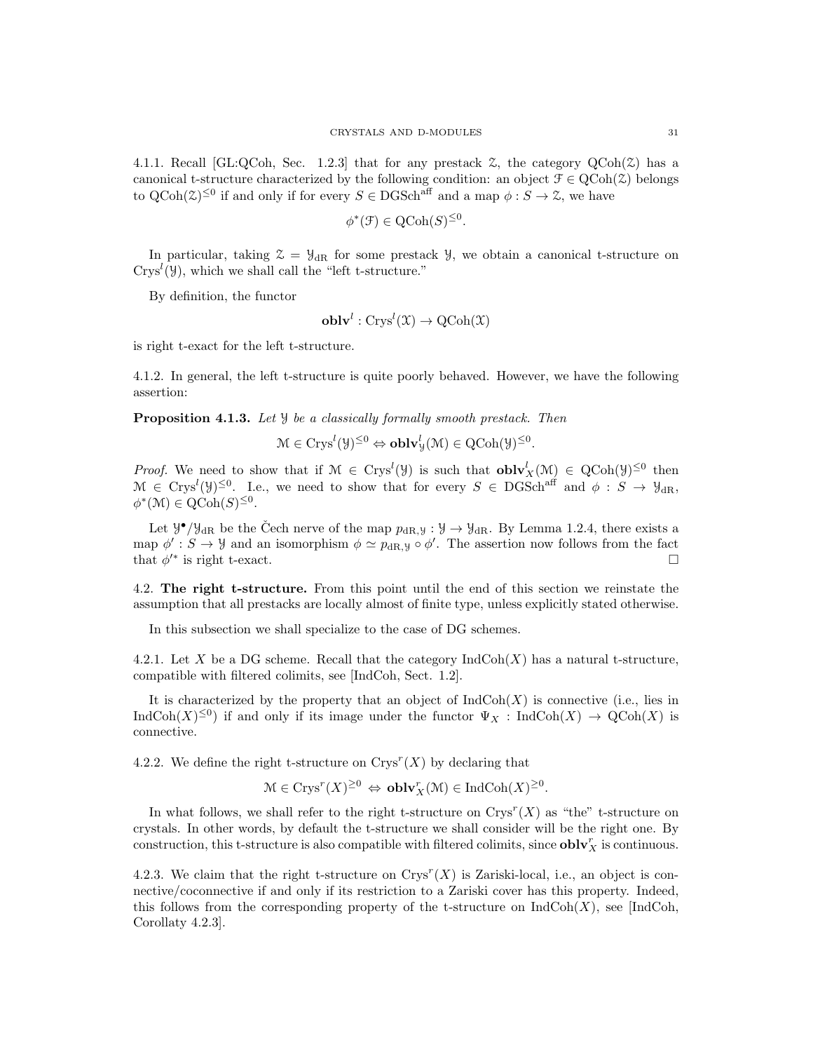4.1.1. Recall [GL:QCoh, Sec. 1.2.3] that for any prestack  $\mathcal{Z}$ , the category  $QCoh(\mathcal{Z})$  has a canonical t-structure characterized by the following condition: an object  $\mathcal{F} \in \text{QCoh}(\mathcal{Z})$  belongs to  $QCoh(\mathcal{Z})^{\leq 0}$  if and only if for every  $S \in DGSch^{aff}$  and a map  $\phi : S \to \mathcal{Z}$ , we have

$$
\phi^*(\mathfrak{F}) \in \text{QCoh}(S)^{\leq 0}.
$$

In particular, taking  $\mathcal{Z} = \mathcal{Y}_{dR}$  for some prestack  $\mathcal{Y}$ , we obtain a canonical t-structure on  $Crys<sup>l</sup>(\mathcal{Y})$ , which we shall call the "left t-structure."

By definition, the functor

$$
\mathbf{oblv}^l : \mathrm{Crys}^l(\mathfrak{X}) \to \mathrm{QCoh}(\mathfrak{X})
$$

is right t-exact for the left t-structure.

4.1.2. In general, the left t-structure is quite poorly behaved. However, we have the following assertion:

Proposition 4.1.3. Let *y* be a classically formally smooth prestack. Then

$$
\mathcal{M} \in \text{Crys}^l(\mathcal{Y})^{\leq 0} \Leftrightarrow \mathbf{oblv}^l_{\mathcal{Y}}(\mathcal{M}) \in \text{QCoh}(\mathcal{Y})^{\leq 0}.
$$

*Proof.* We need to show that if  $M \in Crys^l(\mathcal{Y})$  is such that  $oblv_X^l(M) \in QCoh(\mathcal{Y})^{\leq 0}$  then  $\mathcal{M} \in \text{Crys}^l(\mathcal{Y})^{\leq 0}$ . I.e., we need to show that for every  $S \in \text{DGSch}^{\text{aff}}$  and  $\phi : S \to \mathcal{Y}_{\text{dR}}$ ,  $\phi^*(\mathcal{M}) \in \text{QCoh}(S)^{\leq 0}.$ 

Let  $\mathcal{Y}^{\bullet}/\mathcal{Y}_{\text{dR}}$  be the Čech nerve of the map  $p_{\text{dR},y} : \mathcal{Y} \to \mathcal{Y}_{\text{dR}}$ . By Lemma 1.2.4, there exists a map  $\phi': S \to \mathcal{Y}$  and an isomorphism  $\phi \simeq p_{dR,Y} \circ \phi'.$  The assertion now follows from the fact that  $\phi'^*$  is right t-exact.

4.2. The right t-structure. From this point until the end of this section we reinstate the assumption that all prestacks are locally almost of finite type, unless explicitly stated otherwise.

In this subsection we shall specialize to the case of DG schemes.

4.2.1. Let X be a DG scheme. Recall that the category  $\text{IndCoh}(X)$  has a natural t-structure, compatible with filtered colimits, see [IndCoh, Sect. 1.2].

It is characterized by the property that an object of  $IndCoh(X)$  is connective (i.e., lies in  $\text{IndCoh}(X)^{\leq 0}$  if and only if its image under the functor  $\Psi_X$ : IndCoh $(X) \to \text{QCoh}(X)$  is connective.

4.2.2. We define the right t-structure on  $Crys^{r}(X)$  by declaring that

$$
\mathcal{M} \in \text{Crys}^r(X)^{\geq 0} \Leftrightarrow \text{oblv}_X^r(\mathcal{M}) \in \text{IndCoh}(X)^{\geq 0}.
$$

In what follows, we shall refer to the right t-structure on  $Crys^{r}(X)$  as "the" t-structure on crystals. In other words, by default the t-structure we shall consider will be the right one. By construction, this t-structure is also compatible with filtered colimits, since  $\textbf{oblv}_X^r$  is continuous.

4.2.3. We claim that the right t-structure on  $Crys^{r}(X)$  is Zariski-local, i.e., an object is connective/coconnective if and only if its restriction to a Zariski cover has this property. Indeed, this follows from the corresponding property of the t-structure on  $\text{IndCoh}(X)$ , see [IndCoh, Corollaty 4.2.3].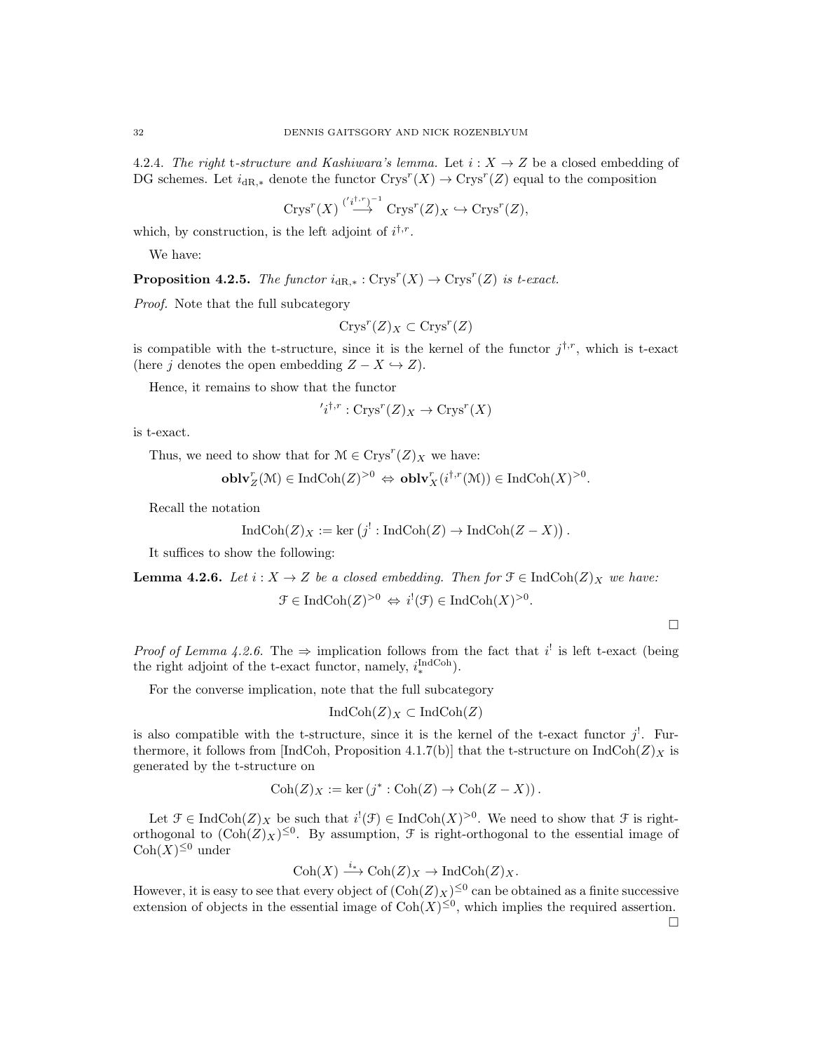4.2.4. The right t-structure and Kashiwara's lemma. Let  $i: X \rightarrow Z$  be a closed embedding of DG schemes. Let  $i_{\text{dR},*}$  denote the functor  $\text{Crys}^r(X) \to \text{Crys}^r(Z)$  equal to the composition

$$
Crys^{r}(X) \stackrel{({}'i^{1,r})^{-1}}{\longrightarrow} Crys^{r}(Z)_X \hookrightarrow Crys^{r}(Z),
$$

which, by construction, is the left adjoint of  $i^{\dagger,r}$ .

We have:

**Proposition 4.2.5.** The functor  $i_{dR,*}: Crys^{r}(X) \to Crys^{r}(Z)$  is t-exact.

Proof. Note that the full subcategory

$$
Crys^r(Z)_X \subset Crys^r(Z)
$$

is compatible with the t-structure, since it is the kernel of the functor  $j^{\dagger,r}$ , which is t-exact (here j denotes the open embedding  $Z - X \hookrightarrow Z$ ).

Hence, it remains to show that the functor

$$
i^{\dagger,r}: \text{Crys}^r(Z)_X \to \text{Crys}^r(X)
$$

is t-exact.

Thus, we need to show that for  $\mathcal{M} \in \text{Crys}^r(Z)_X$  we have:

$$
\mathbf{oblv}_Z^r(\mathcal{M}) \in \mathrm{IndCoh}(Z)^{>0} \Leftrightarrow \mathbf{oblv}_X^r(i^{\dagger,r}(\mathcal{M})) \in \mathrm{IndCoh}(X)^{>0}.
$$

Recall the notation

$$
IndCoh(Z)_X := \ker (j^!: IndCoh(Z) \to IndCoh(Z-X)).
$$

It suffices to show the following:

**Lemma 4.2.6.** Let  $i : X \to Z$  be a closed embedding. Then for  $\mathcal{F} \in \text{IndCoh}(Z)_X$  we have:

 $\mathcal{F} \in \text{IndCoh}(Z)^{>0} \Leftrightarrow i^{!}(\mathcal{F}) \in \text{IndCoh}(X)^{>0}.$ 

 $\Box$ 

*Proof of Lemma 4.2.6.* The  $\Rightarrow$  implication follows from the fact that i<sup>!</sup> is left t-exact (being the right adjoint of the t-exact functor, namely,  $i_{*}^{\text{IndCoh}}$ ).

For the converse implication, note that the full subcategory

$$
IndCoh(Z)_X \subset IndCoh(Z)
$$

is also compatible with the t-structure, since it is the kernel of the t-exact functor  $j^!$ . Furthermore, it follows from [IndCoh, Proposition 4.1.7(b)] that the t-structure on IndCoh( $Z$ ) $_X$  is generated by the t-structure on

$$
Coh(Z)_X := \ker(j^* : Coh(Z) \to Coh(Z - X)).
$$

Let  $\mathcal{F} \in \text{IndCoh}(Z)_X$  be such that  $i^!(\mathcal{F}) \in \text{IndCoh}(X)^{>0}$ . We need to show that  $\mathcal{F}$  is rightorthogonal to  $(\text{Coh}(Z)_X)^{\leq 0}$ . By assumption,  $\mathcal F$  is right-orthogonal to the essential image of  $\mathrm{Coh}(X)^{\leq 0}$  under

 $\text{Coh}(X) \xrightarrow{i_*} \text{Coh}(Z)_X \to \text{IndCoh}(Z)_X.$ 

However, it is easy to see that every object of  $(\text{Coh}(Z)_X)^{\leq 0}$  can be obtained as a finite successive extension of objects in the essential image of  $\text{Coh}(X)^{\leq 0}$ , which implies the required assertion.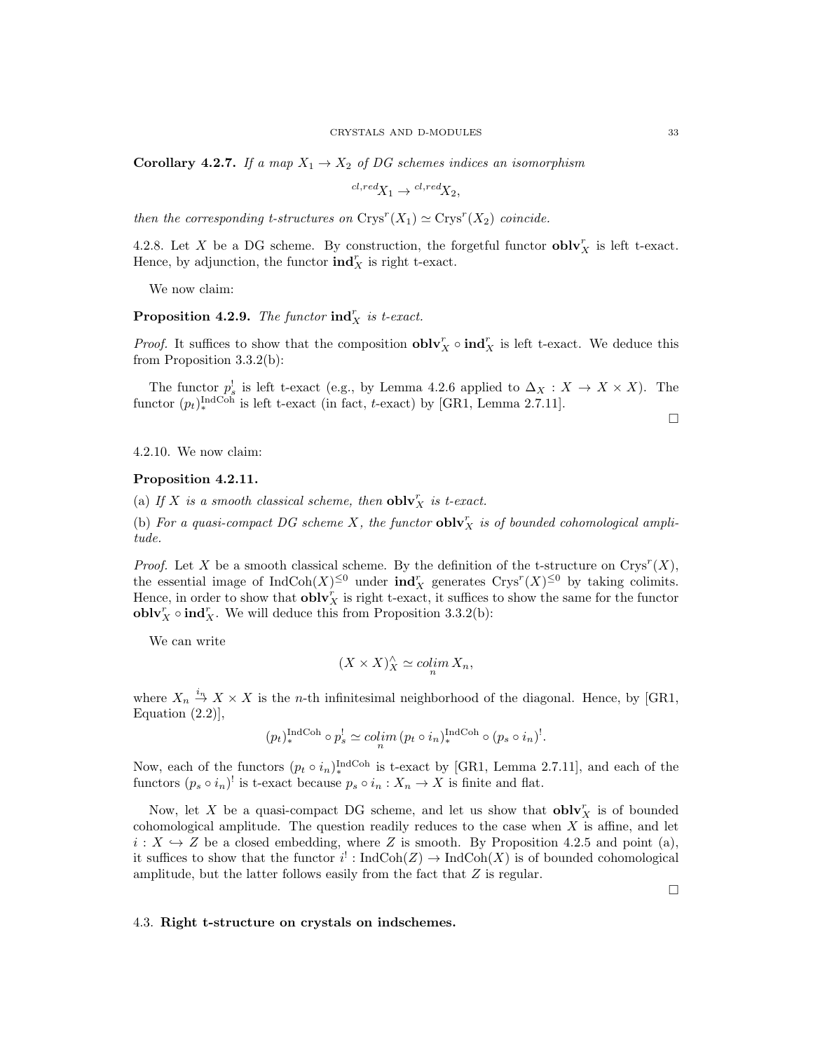**Corollary 4.2.7.** If a map  $X_1 \rightarrow X_2$  of DG schemes indices an isomorphism

$$
{}^{cl, red}X_1 \rightarrow {}^{cl, red}X_2,
$$

then the corresponding t-structures on  $Crys^{r}(X_1) \simeq Crys^{r}(X_2)$  coincide.

4.2.8. Let X be a DG scheme. By construction, the forgetful functor  $\textbf{oblv}_X^r$  is left t-exact. Hence, by adjunction, the functor  $\text{ind}_X^r$  is right t-exact.

We now claim:

**Proposition 4.2.9.** The functor  $\text{ind}_X^r$  is t-exact.

*Proof.* It suffices to show that the composition  $\textbf{oblv}_X^r \circ \textbf{ind}_X^r$  is left t-exact. We deduce this from Proposition 3.3.2(b):

The functor  $p_s^!$  is left t-exact (e.g., by Lemma 4.2.6 applied to  $\Delta_X : X \to X \times X$ ). The functor  $(p_t)_{*}^{\text{IndCoh}}$  is left t-exact (in fact, t-exact) by [GR1, Lemma 2.7.11].

 $\Box$ 

4.2.10. We now claim:

#### Proposition 4.2.11.

(a) If X is a smooth classical scheme, then  $\textbf{oblv}_X^r$  is t-exact.

(b) For a quasi-compact DG scheme X, the functor  $\textbf{oblv}_X^r$  is of bounded cohomological amplitude.

*Proof.* Let X be a smooth classical scheme. By the definition of the t-structure on  $Crys^{r}(X)$ , the essential image of  $IndCoh(X)^{\leq 0}$  under  $ind_X^r$  generates  $Crys^r(X)^{\leq 0}$  by taking colimits. Hence, in order to show that  $\textbf{oblv}_X^r$  is right t-exact, it suffices to show the same for the functor **oblv**<sub>X</sub><sup>*c*</sup> o **ind**<sub>X</sub><sup>*c*</sup>. We will deduce this from Proposition 3.3.2(b):

We can write

$$
(X \times X)^\wedge_X \simeq \operatorname{colim}_n X_n,
$$

where  $X_n \stackrel{i_n}{\to} X \times X$  is the *n*-th infinitesimal neighborhood of the diagonal. Hence, by [GR1, Equation  $(2.2)$ ],

$$
(p_t)_*^{\text{IndCoh}} \circ p_s^! \simeq \operatorname{colim}_n (p_t \circ i_n)_*^{\text{IndCoh}} \circ (p_s \circ i_n)^!.
$$

Now, each of the functors  $(p_t \circ i_n)_*^{\text{IndCoh}}$  is t-exact by [GR1, Lemma 2.7.11], and each of the functors  $(p_s \circ i_n)^!$  is t-exact because  $p_s \circ i_n : X_n \to X$  is finite and flat.

Now, let X be a quasi-compact DG scheme, and let us show that  $\textbf{oblv}_X^r$  is of bounded cohomological amplitude. The question readily reduces to the case when  $X$  is affine, and let  $i: X \hookrightarrow Z$  be a closed embedding, where Z is smooth. By Proposition 4.2.5 and point (a), it suffices to show that the functor  $i^!: \text{IndCoh}(Z) \to \text{IndCoh}(X)$  is of bounded cohomological amplitude, but the latter follows easily from the fact that  $Z$  is regular.

### 4.3. Right t-structure on crystals on indschemes.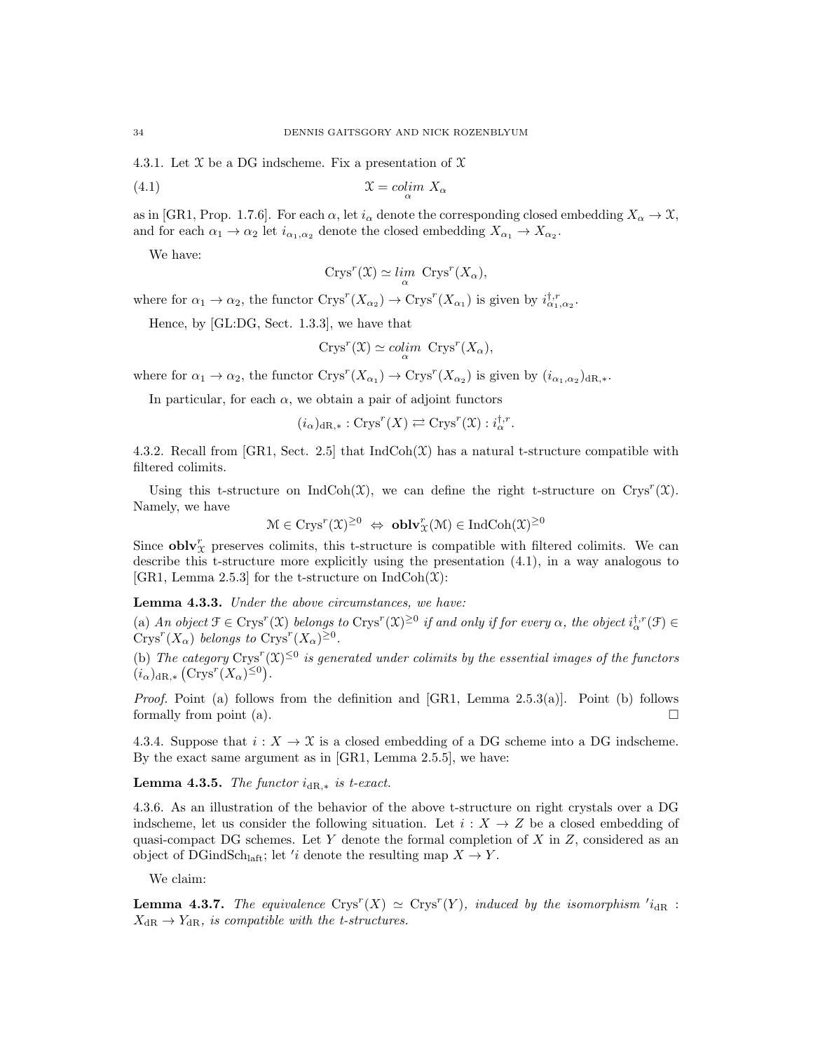4.3.1. Let X be a DG indscheme. Fix a presentation of X

(4.1) <sup>X</sup> <sup>=</sup> colim<sup>α</sup> X<sup>α</sup>

as in [GR1, Prop. 1.7.6]. For each  $\alpha$ , let  $i_{\alpha}$  denote the corresponding closed embedding  $X_{\alpha} \to \mathfrak{X}$ , and for each  $\alpha_1 \to \alpha_2$  let  $i_{\alpha_1,\alpha_2}$  denote the closed embedding  $X_{\alpha_1} \to X_{\alpha_2}$ .

We have:

$$
Crys^{r}(\mathfrak{X}) \simeq \lim_{\alpha} \text{ Crys}^{r}(X_{\alpha}),
$$

where for  $\alpha_1 \to \alpha_2$ , the functor  $\text{Crys}^r(X_{\alpha_2}) \to \text{Crys}^r(X_{\alpha_1})$  is given by  $i_{\alpha_1,\alpha_2}^{t,r}$ .

Hence, by [GL:DG, Sect. 1.3.3], we have that

$$
Crys^{r}(\mathfrak{X}) \simeq \mathit{colim}_{\alpha} Crys^{r}(X_{\alpha}),
$$

where for  $\alpha_1 \to \alpha_2$ , the functor  $\text{Crys}^r(X_{\alpha_1}) \to \text{Crys}^r(X_{\alpha_2})$  is given by  $(i_{\alpha_1,\alpha_2})_{dR,*}$ .

In particular, for each  $\alpha$ , we obtain a pair of adjoint functors

 $(i_{\alpha})_{dR,*}: \text{Crys}^r(X) \rightleftarrows \text{Crys}^r(\mathfrak{X}): i_{\alpha}^{\dagger,r}.$ 

4.3.2. Recall from [GR1, Sect. 2.5] that  $\text{IndCoh}(\mathfrak{X})$  has a natural t-structure compatible with filtered colimits.

Using this t-structure on IndCoh( $\mathfrak{X}$ ), we can define the right t-structure on Crys<sup>r</sup>( $\mathfrak{X}$ ). Namely, we have

$$
\mathcal{M} \in \text{Crys}^r(\mathfrak{X})^{\geq 0} \iff \mathbf{oblv}_{\mathfrak{X}}^r(\mathfrak{M}) \in \text{IndCoh}(\mathfrak{X})^{\geq 0}
$$

Since  $\textbf{oblv}_\mathcal{X}^r$  preserves colimits, this t-structure is compatible with filtered colimits. We can describe this t-structure more explicitly using the presentation (4.1), in a way analogous to [GR1, Lemma 2.5.3] for the t-structure on  $\text{IndCoh}(\mathfrak{X})$ :

# Lemma 4.3.3. Under the above circumstances, we have:

(a) An object  $\mathcal{F} \in \text{Crys}^r(\mathfrak{X})$  belongs to  $\text{Crys}^r(\mathfrak{X})^{\geq 0}$  if and only if for every  $\alpha$ , the object  $i_{\alpha}^{\dagger,r}(\mathcal{F}) \in$  $Crys^{r}(X_{\alpha})$  belongs to  $Crys^{r}(X_{\alpha})^{\geq 0}$ .

(b) The category  $\text{Crys}^r(\mathfrak{X})^{\leq 0}$  is generated under colimits by the essential images of the functors  $(i_{\alpha})_{dR,*}$   $(Crys^r(X_{\alpha})^{\leq 0}).$ 

*Proof.* Point (a) follows from the definition and [GR1, Lemma  $2.5.3(a)$ ]. Point (b) follows formally from point (a).  $\Box$ 

4.3.4. Suppose that  $i : X \to \mathcal{X}$  is a closed embedding of a DG scheme into a DG indscheme. By the exact same argument as in [GR1, Lemma 2.5.5], we have:

**Lemma 4.3.5.** The functor  $i_{dR,*}$  is t-exact.

4.3.6. As an illustration of the behavior of the above t-structure on right crystals over a DG indscheme, let us consider the following situation. Let  $i : X \to Z$  be a closed embedding of quasi-compact DG schemes. Let Y denote the formal completion of X in  $Z$ , considered as an object of DGindSch<sub>laft</sub>; let '*i* denote the resulting map  $X \to Y$ .

We claim:

**Lemma 4.3.7.** The equivalence  $Crys^{r}(X) \simeq Crys^{r}(Y)$ , induced by the isomorphism  $i_{dR}$ :  $X_{\text{dR}} \to Y_{\text{dR}}$ , is compatible with the t-structures.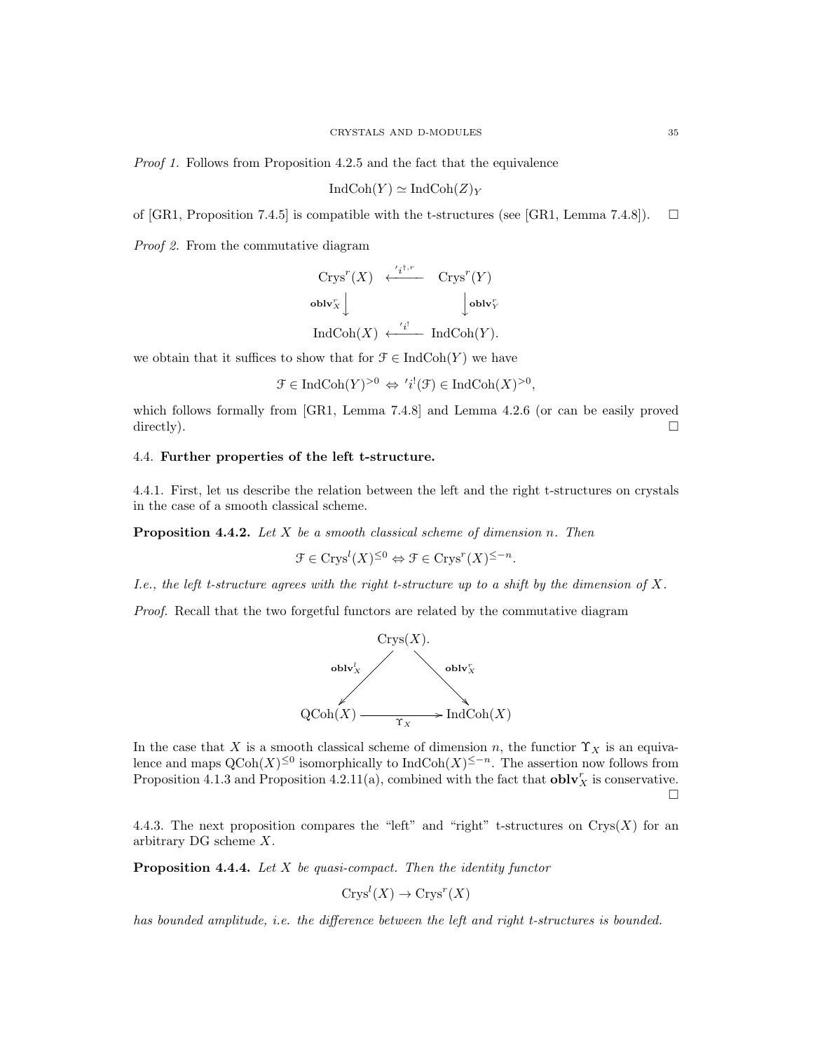Proof 1. Follows from Proposition 4.2.5 and the fact that the equivalence

$$
\text{IndCoh}(Y) \simeq \text{IndCoh}(Z)_Y
$$

of [GR1, Proposition 7.4.5] is compatible with the t-structures (see [GR1, Lemma 7.4.8]).  $\square$ 

Proof 2. From the commutative diagram

$$
\begin{array}{ccc}\n\text{Crys}^r(X) & \xleftarrow{'i^{1,r}} & \text{Crys}^r(Y) \\
\text{oblv}_X^r & & \downarrow \text{oblv}_Y^r \\
\text{IndCoh}(X) & \xleftarrow{'i!} & \text{IndCoh}(Y).\n\end{array}
$$

we obtain that it suffices to show that for  $\mathcal{F} \in \text{IndCoh}(Y)$  we have

$$
\mathcal{F} \in \mathrm{IndCoh}(Y)^{>0} \Leftrightarrow 'i^!(\mathcal{F}) \in \mathrm{IndCoh}(X)^{>0},
$$

which follows formally from [GR1, Lemma 7.4.8] and Lemma 4.2.6 (or can be easily proved directly).  $\Box$ 

# 4.4. Further properties of the left t-structure.

4.4.1. First, let us describe the relation between the left and the right t-structures on crystals in the case of a smooth classical scheme.

**Proposition 4.4.2.** Let  $X$  be a smooth classical scheme of dimension n. Then

$$
\mathcal{F} \in \text{Crys}^l(X)^{\leq 0} \Leftrightarrow \mathcal{F} \in \text{Crys}^r(X)^{\leq -n}.
$$

I.e., the left t-structure agrees with the right t-structure up to a shift by the dimension of  $X$ .

Proof. Recall that the two forgetful functors are related by the commutative diagram



In the case that X is a smooth classical scheme of dimension n, the functior  $\Upsilon_X$  is an equivalence and maps  $\mathrm{QCoh}(X)^{\leq 0}$  isomorphically to  $\mathrm{IndCoh}(X)^{\leq -n}$ . The assertion now follows from Proposition 4.1.3 and Proposition 4.2.11(a), combined with the fact that  $\textbf{oblv}_X^r$  is conservative.  $\Box$ 

4.4.3. The next proposition compares the "left" and "right" t-structures on  $Crys(X)$  for an arbitrary DG scheme X.

**Proposition 4.4.4.** Let  $X$  be quasi-compact. Then the identity functor

$$
Crys^l(X) \to Crys^r(X)
$$

has bounded amplitude, i.e. the difference between the left and right t-structures is bounded.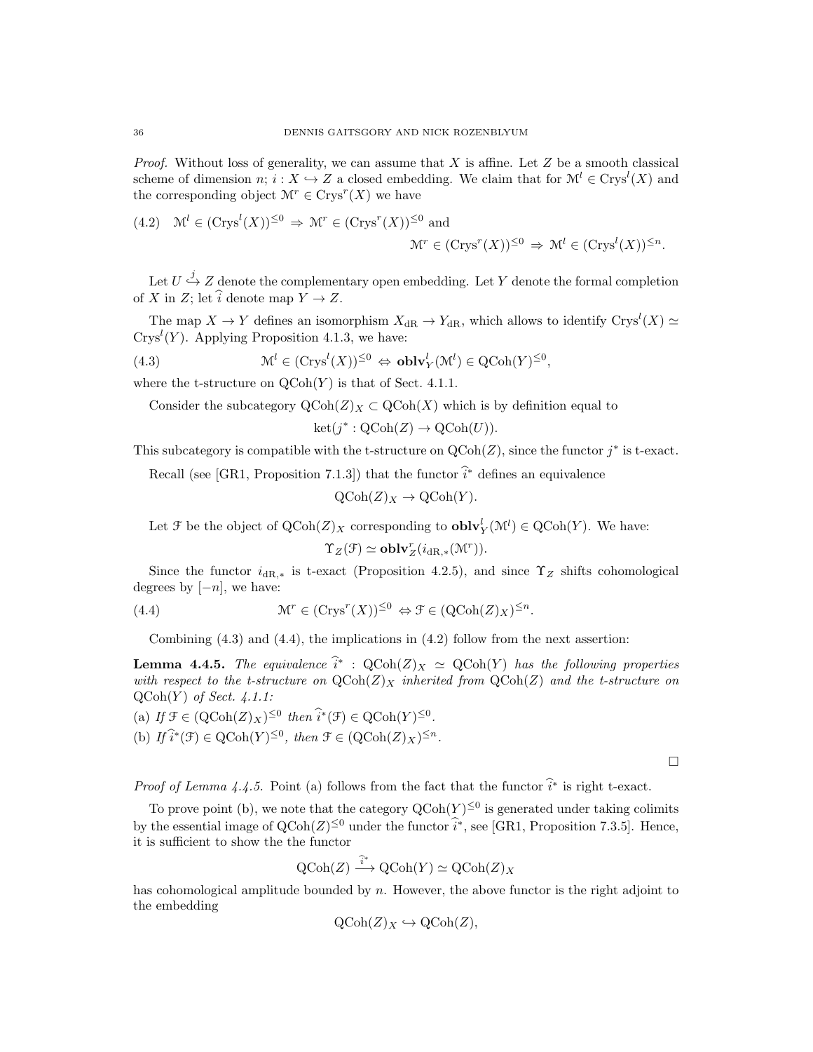*Proof.* Without loss of generality, we can assume that  $X$  is affine. Let  $Z$  be a smooth classical scheme of dimension  $n; i: X \hookrightarrow Z$  a closed embedding. We claim that for  $\mathcal{M}^l \in Crys^l(X)$  and the corresponding object  $\mathcal{M}^r \in \text{Crys}^r(X)$  we have

(4.2) 
$$
\mathcal{M}^l \in (\text{Crys}^l(X))^{\leq 0} \Rightarrow \mathcal{M}^r \in (\text{Crys}^r(X))^{\leq 0}
$$
 and 
$$
\mathcal{M}^r \in (\text{Crys}^r(X))^{\leq 0} \Rightarrow \mathcal{M}^l \in (\text{Crys}^l(X))^{\leq n}.
$$

Let  $U \stackrel{j}{\hookrightarrow} Z$  denote the complementary open embedding. Let Y denote the formal completion of X in Z; let  $\hat{i}$  denote map  $Y \to Z$ .

The map  $X \to Y$  defines an isomorphism  $X_{\text{dR}} \to Y_{\text{dR}}$ , which allows to identify  $\text{Crys}^l(X) \simeq$  $Crys<sup>l</sup>(Y)$ . Applying Proposition 4.1.3, we have:

,

(4.3) 
$$
\mathcal{M}^l \in (\text{Crys}^l(X))^{\leq 0} \Leftrightarrow \textbf{oblv}_Y^l(\mathcal{M}^l) \in \text{QCoh}(Y)^{\leq 0}
$$

where the t-structure on  $\mathrm{QCoh}(Y)$  is that of Sect. 4.1.1.

Consider the subcategory  $\mathrm{QCoh}(Z)_X \subset \mathrm{QCoh}(X)$  which is by definition equal to

$$
ket(j^* : QCoh(Z) \to QCoh(U)).
$$

This subcategory is compatible with the t-structure on  $Q\text{Coh}(Z)$ , since the functor  $j^*$  is t-exact.

Recall (see [GR1, Proposition 7.1.3]) that the functor  $\hat{i}^*$  defines an equivalence

$$
\mathrm{QCoh}(Z)_X \to \mathrm{QCoh}(Y).
$$

Let  $\mathcal F$  be the object of  $Q\text{Coh}(Z)_X$  corresponding to  $\text{oblv}_Y^l(\mathcal M^l) \in Q\text{Coh}(Y)$ . We have:

$$
\Upsilon_Z(\mathcal{F}) \simeq \mathbf{oblv}_Z^r(i_{\mathrm{dR},*}(\mathcal{M}^r)).
$$

Since the functor  $i_{\text{dR},*}$  is t-exact (Proposition 4.2.5), and since  $\Upsilon_Z$  shifts cohomological degrees by  $[-n]$ , we have:

(4.4) 
$$
\mathcal{M}^r \in (\text{Crys}^r(X))^{\leq 0} \Leftrightarrow \mathcal{F} \in (\text{QCoh}(Z)_X)^{\leq n}.
$$

Combining (4.3) and (4.4), the implications in (4.2) follow from the next assertion:

**Lemma 4.4.5.** The equivalence  $\hat{i}^* : \text{QCoh}(Z)_X \simeq \text{QCoh}(Y)$  has the following properties with respect to the t-structure on  $QCoh(Z)_{X}$  inherited from  $QCoh(Z)$  and the t-structure on  $QCoh(Y)$  of Sect. 4.1.1:

(a) If  $\mathcal{F} \in (\mathrm{QCoh}(Z)_X)^{\leq 0}$  then  $\widehat{i}^*(\mathcal{F}) \in \mathrm{QCoh}(Y)^{\leq 0}$ .

(b)  $If \hat{i}^*(\mathcal{F}) \in \mathrm{QCoh}(Y)^{\leq 0}, \text{ then } \mathcal{F} \in (\mathrm{QCoh}(Z)_X)^{\leq n}.$ 

 $\Box$ 

*Proof of Lemma 4.4.5.* Point (a) follows from the fact that the functor  $\hat{i}^*$  is right t-exact.

To prove point (b), we note that the category  $Q\text{Coh}(Y)^{\leq 0}$  is generated under taking colimits by the essential image of  $Q\text{Coh}(Z)^{\leq 0}$  under the functor  $\hat{i}^*$ , see [GR1, Proposition 7.3.5]. Hence, it is sufficient to show the the functor

$$
\text{QCoh}(Z) \xrightarrow{\widehat{i}^*} \text{QCoh}(Y) \simeq \text{QCoh}(Z)_X
$$

has cohomological amplitude bounded by  $n$ . However, the above functor is the right adjoint to the embedding

$$
\mathrm{QCoh}(Z)_X \hookrightarrow \mathrm{QCoh}(Z),
$$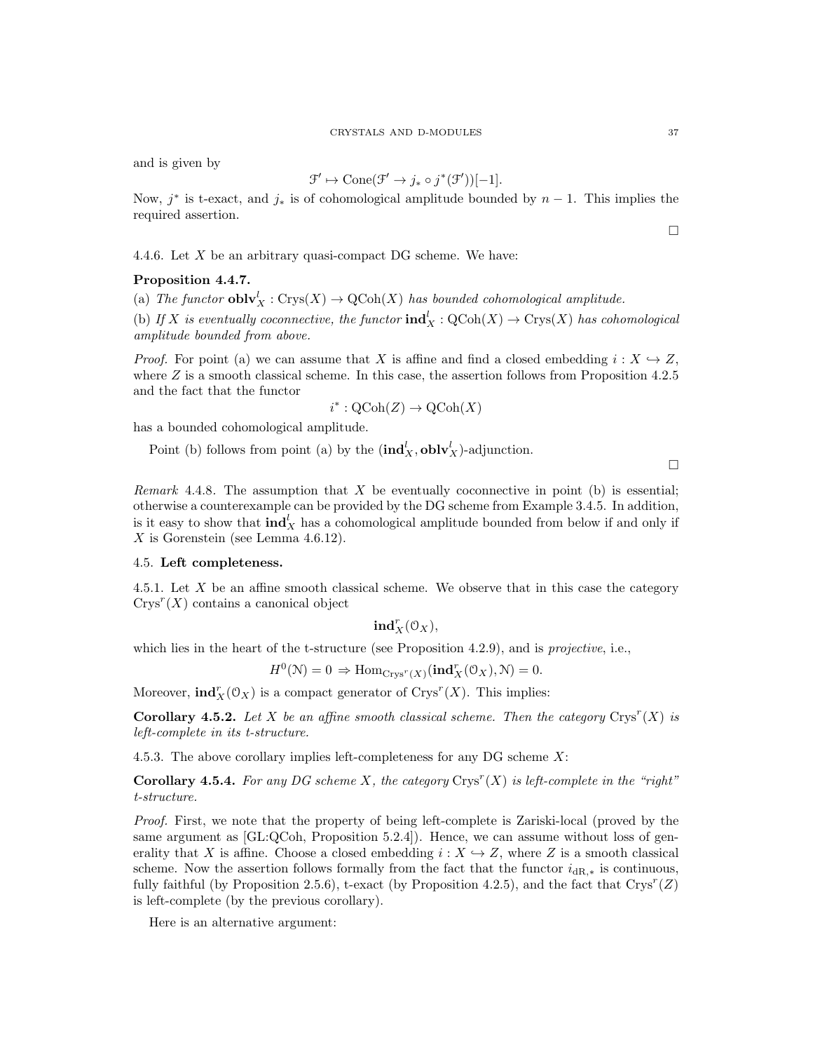and is given by

$$
\mathcal{F}' \mapsto \text{Cone}(\mathcal{F}' \to j_* \circ j^*(\mathcal{F}'))[-1].
$$

Now,  $j^*$  is t-exact, and  $j_*$  is of cohomological amplitude bounded by  $n-1$ . This implies the required assertion.

4.4.6. Let  $X$  be an arbitrary quasi-compact DG scheme. We have:

### Proposition 4.4.7.

(a) The functor  $\textbf{oblv}_X^l : \text{Crys}(X) \to \text{QCoh}(X)$  has bounded cohomological amplitude.

(b) If X is eventually coconnective, the functor  $\text{ind}_X^l : \text{QCoh}(X) \to \text{Crys}(X)$  has cohomological amplitude bounded from above.

*Proof.* For point (a) we can assume that X is affine and find a closed embedding  $i : X \rightarrow Z$ , where  $Z$  is a smooth classical scheme. In this case, the assertion follows from Proposition 4.2.5 and the fact that the functor

$$
i^*: \mathrm{QCoh}(Z) \to \mathrm{QCoh}(X)
$$

has a bounded cohomological amplitude.

Point (b) follows from point (a) by the  $(\text{ind}_X^l, \text{oblv}_X^l)$ -adjunction.

 $\Box$ 

*Remark* 4.4.8. The assumption that  $X$  be eventually coconnective in point (b) is essential; otherwise a counterexample can be provided by the DG scheme from Example 3.4.5. In addition, is it easy to show that  $\text{ind}_X^l$  has a cohomological amplitude bounded from below if and only if  $X$  is Gorenstein (see Lemma 4.6.12).

# 4.5. Left completeness.

4.5.1. Let X be an affine smooth classical scheme. We observe that in this case the category  $Crys^r(X)$  contains a canonical object

 $\mathbf{ind}_X^r(\mathcal{O}_X),$ 

which lies in the heart of the t-structure (see Proposition 4.2.9), and is *projective*, i.e.,

 $H^0(\mathcal{N}) = 0 \Rightarrow \text{Hom}_{\text{Crys}^r(X)}(\text{ind}_X^r(\mathcal{O}_X), \mathcal{N}) = 0.$ 

Moreover,  $\text{ind}_X^r(\mathcal{O}_X)$  is a compact generator of  $\text{Crys}^r(X)$ . This implies:

**Corollary 4.5.2.** Let X be an affine smooth classical scheme. Then the category  $Crys^{r}(X)$  is left-complete in its t-structure.

4.5.3. The above corollary implies left-completeness for any DG scheme  $X$ :

**Corollary 4.5.4.** For any DG scheme X, the category  $Crys^{r}(X)$  is left-complete in the "right" t-structure.

Proof. First, we note that the property of being left-complete is Zariski-local (proved by the same argument as  $[GL:QCoh,$  Proposition 5.2.4]). Hence, we can assume without loss of generality that X is affine. Choose a closed embedding  $i : X \hookrightarrow Z$ , where Z is a smooth classical scheme. Now the assertion follows formally from the fact that the functor  $i_{dR,*}$  is continuous, fully faithful (by Proposition 2.5.6), t-exact (by Proposition 4.2.5), and the fact that  $Crys^{r}(Z)$ is left-complete (by the previous corollary).

Here is an alternative argument: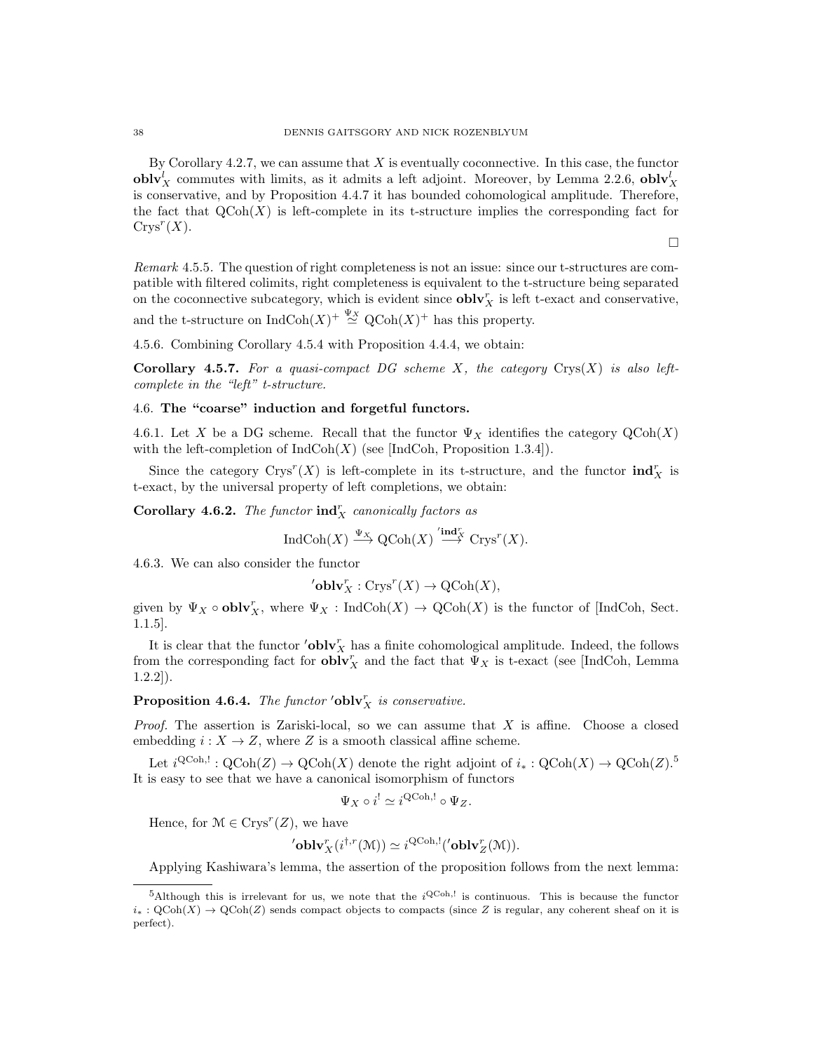By Corollary  $4.2.7$ , we can assume that  $X$  is eventually coconnective. In this case, the functor  $\textbf{oblv}_X^l$  commutes with limits, as it admits a left adjoint. Moreover, by Lemma 2.2.6,  $\textbf{oblv}_X^l$ is conservative, and by Proposition 4.4.7 it has bounded cohomological amplitude. Therefore, the fact that  $QCoh(X)$  is left-complete in its t-structure implies the corresponding fact for  $Crys^r(X)$ .

 $\Box$ 

Remark 4.5.5. The question of right completeness is not an issue: since our t-structures are compatible with filtered colimits, right completeness is equivalent to the t-structure being separated on the coconnective subcategory, which is evident since  $\textbf{oblv}_X^r$  is left t-exact and conservative, and the t-structure on  $\text{IndCoh}(X)^{+\frac{\Psi_X}{\sim}} \text{QCoh}(X)^{+\text{ }}$  has this property.

4.5.6. Combining Corollary 4.5.4 with Proposition 4.4.4, we obtain:

Corollary 4.5.7. For a quasi-compact DG scheme X, the category  $Crys(X)$  is also leftcomplete in the "left" t-structure.

# 4.6. The "coarse" induction and forgetful functors.

4.6.1. Let X be a DG scheme. Recall that the functor  $\Psi_X$  identifies the category  $\mathrm{QCoh}(X)$ with the left-completion of  $IndCoh(X)$  (see [IndCoh, Proposition 1.3.4]).

Since the category  $\text{Crys}^r(X)$  is left-complete in its t-structure, and the functor  $\text{ind}_X^r$  is t-exact, by the universal property of left completions, we obtain:

Corollary 4.6.2. The functor  $\text{ind}_X^r$  canonically factors as

$$
\operatorname{IndCoh}(X) \xrightarrow{\Psi_X} \operatorname{QCoh}(X) \xrightarrow{\prime \operatorname{ind}_X^r} \operatorname{Crys}^r(X).
$$

4.6.3. We can also consider the functor

$$
^{\prime }\mathbf{oblv}_{X}^{r}:\mathrm{Crys}^{r}(X)\rightarrow \mathrm{QCoh}(X),
$$

given by  $\Psi_X \circ \textbf{oblv}_X^r$ , where  $\Psi_X : \text{IndCoh}(X) \to \text{QCoh}(X)$  is the functor of [IndCoh, Sect. 1.1.5].

It is clear that the functor  $\prime$ **oblv**<sup>*r*</sup><sub>*x*</sub> has a finite cohomological amplitude. Indeed, the follows from the corresponding fact for  $\textbf{oblv}_X^r$  and the fact that  $\Psi_X$  is t-exact (see [IndCoh, Lemma 1.2.2]).

**Proposition 4.6.4.** The functor  $\prime$ **oblv** $\overline{X}$  is conservative.

*Proof.* The assertion is Zariski-local, so we can assume that  $X$  is affine. Choose a closed embedding  $i : X \to Z$ , where Z is a smooth classical affine scheme.

Let  $i^{\text{QCoh},!} : \text{QCoh}(Z) \to \text{QCoh}(X)$  denote the right adjoint of  $i_* : \text{QCoh}(X) \to \text{QCoh}(Z)$ .<sup>5</sup> It is easy to see that we have a canonical isomorphism of functors

$$
\Psi_X \circ i^! \simeq i^{\text{QCoh},!} \circ \Psi_Z.
$$

Hence, for  $\mathcal{M} \in \text{Crys}^r(Z)$ , we have

$$
{}^{\prime}\mathbf{oblv}_{X}^{r}(i^{\dagger,r}(\mathcal{M}))\simeq i^{\mathrm{QCoh},!}({\prime}\mathbf{oblv}_{Z}^{r}(\mathcal{M})).
$$

Applying Kashiwara's lemma, the assertion of the proposition follows from the next lemma:

 $5$ Although this is irrelevant for us, we note that the  $i^{\text{QCoh},!}$  is continuous. This is because the functor  $i_*: \text{QCoh}(X) \to \text{QCoh}(Z)$  sends compact objects to compacts (since Z is regular, any coherent sheaf on it is perfect).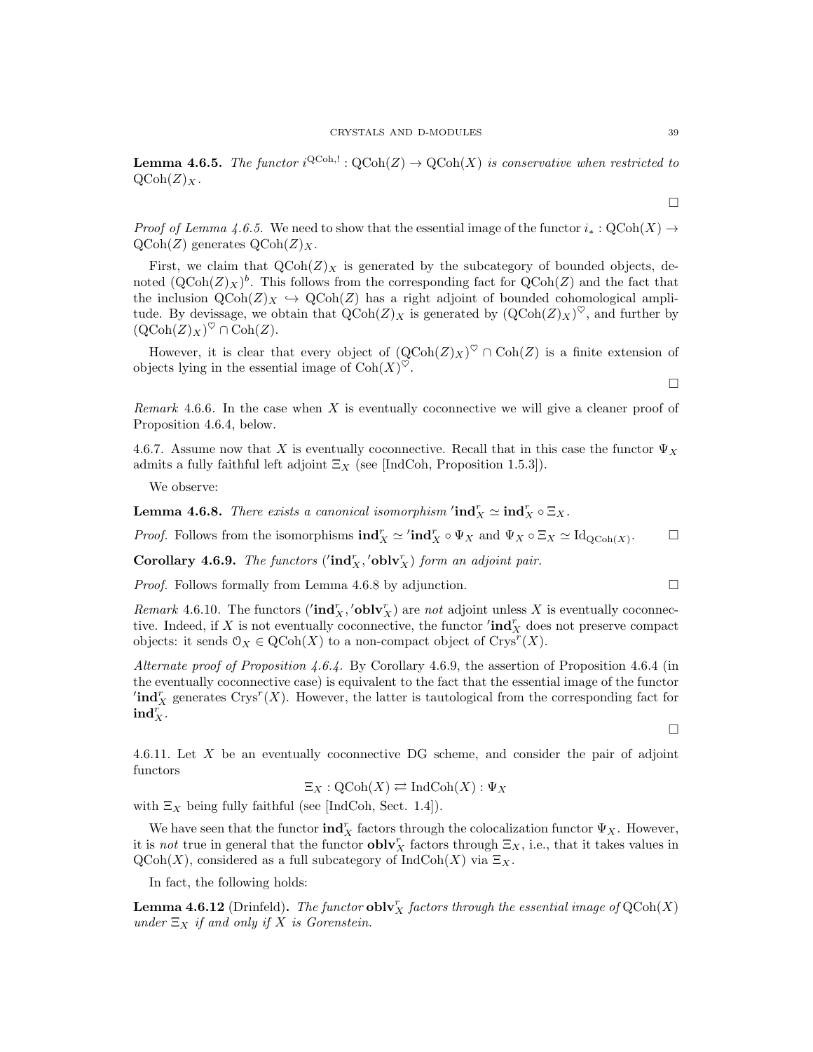**Lemma 4.6.5.** The functor  $i^{\text{QCoh}}$ :  $\text{QCoh}(Z) \to \text{QCoh}(X)$  is conservative when restricted to  $QCoh(Z)<sub>X</sub>$ .

*Proof of Lemma 4.6.5.* We need to show that the essential image of the functor  $i_* : \text{QCoh}(X) \rightarrow$  $Q\text{Coh}(Z)$  generates  $Q\text{Coh}(Z)_X$ .

First, we claim that  $Q\text{Coh}(Z)_X$  is generated by the subcategory of bounded objects, denoted  $(QCoh(Z)_X)^b$ . This follows from the corresponding fact for  $QCoh(Z)$  and the fact that the inclusion  $QCoh(Z)<sub>X</sub> \hookrightarrow QCoh(Z)$  has a right adjoint of bounded cohomological amplitude. By devissage, we obtain that  $\mathrm{QCoh}(Z)_X$  is generated by  $(\mathrm{QCoh}(Z)_X)^\heartsuit$ , and further by  $(\mathrm{QCoh}(Z)_X)^\heartsuit \cap \mathrm{Coh}(Z).$ 

However, it is clear that every object of  $(QCoh(Z)_X)^\heartsuit \cap Coh(Z)$  is a finite extension of objects lying in the essential image of  $\text{Coh}(X)^\heartsuit$ .

*Remark* 4.6.6. In the case when  $X$  is eventually coconnective we will give a cleaner proof of Proposition 4.6.4, below.

4.6.7. Assume now that X is eventually coconnective. Recall that in this case the functor  $\Psi_X$ admits a fully faithful left adjoint  $\Xi_X$  (see [IndCoh, Proposition 1.5.3]).

We observe:

**Lemma 4.6.8.** There exists a canonical isomorphism  $'\text{ind}_X^r \simeq \text{ind}_X^r \circ \Xi_X$ .

*Proof.* Follows from the isomorphisms  $\text{ind}_X^r \simeq \text{ind}_X^r \circ \Psi_X$  and  $\Psi_X \circ \Xi_X \simeq \text{Id}_{\text{QCoh}(X)}$  $\Box$ 

Corollary 4.6.9. The functors ( $\text{ind}_X^r$ , 'obl $\mathbf{v}_X^r$ ) form an adjoint pair.

*Proof.* Follows formally from Lemma 4.6.8 by adjunction.  $\square$ 

Remark 4.6.10. The functors  $(\text{ind}_X^r, \text{'oblv}_X^r)$  are not adjoint unless X is eventually coconnective. Indeed, if X is not eventually coconnective, the functor  $'\text{ind}_X^r$  does not preserve compact objects: it sends  $\mathcal{O}_X \in \text{QCoh}(X)$  to a non-compact object of  $\text{Crys}^r(X)$ .

Alternate proof of Proposition 4.6.4. By Corollary 4.6.9, the assertion of Proposition 4.6.4 (in the eventually coconnective case) is equivalent to the fact that the essential image of the functor  $\operatorname{ind}_X^r$  generates Crys<sup>r</sup>(X). However, the latter is tautological from the corresponding fact for  $ind_X^r$ .

4.6.11. Let X be an eventually coconnective DG scheme, and consider the pair of adjoint functors

$$
\Xi_X: \mathrm{QCoh}(X) \rightleftarrows \mathrm{IndCoh}(X): \Psi_X
$$

with  $\Xi_X$  being fully faithful (see [IndCoh, Sect. 1.4]).

We have seen that the functor  $\textbf{ind}_X^r$  factors through the colocalization functor  $\Psi_X$ . However, it is not true in general that the functor **obly**  $\mathbf{y}_X^r$  factors through  $\Xi_X$ , i.e., that it takes values in  $\mathrm{QCoh}(X)$ , considered as a full subcategory of  $\mathrm{IndCoh}(X)$  via  $\Xi_X$ .

In fact, the following holds:

**Lemma 4.6.12** (Drinfeld). The functor  $\textbf{oblv}_X^r$  factors through the essential image of  $\text{QCoh}(X)$ under  $\Xi_X$  if and only if X is Gorenstein.

 $\Box$ 

 $\Box$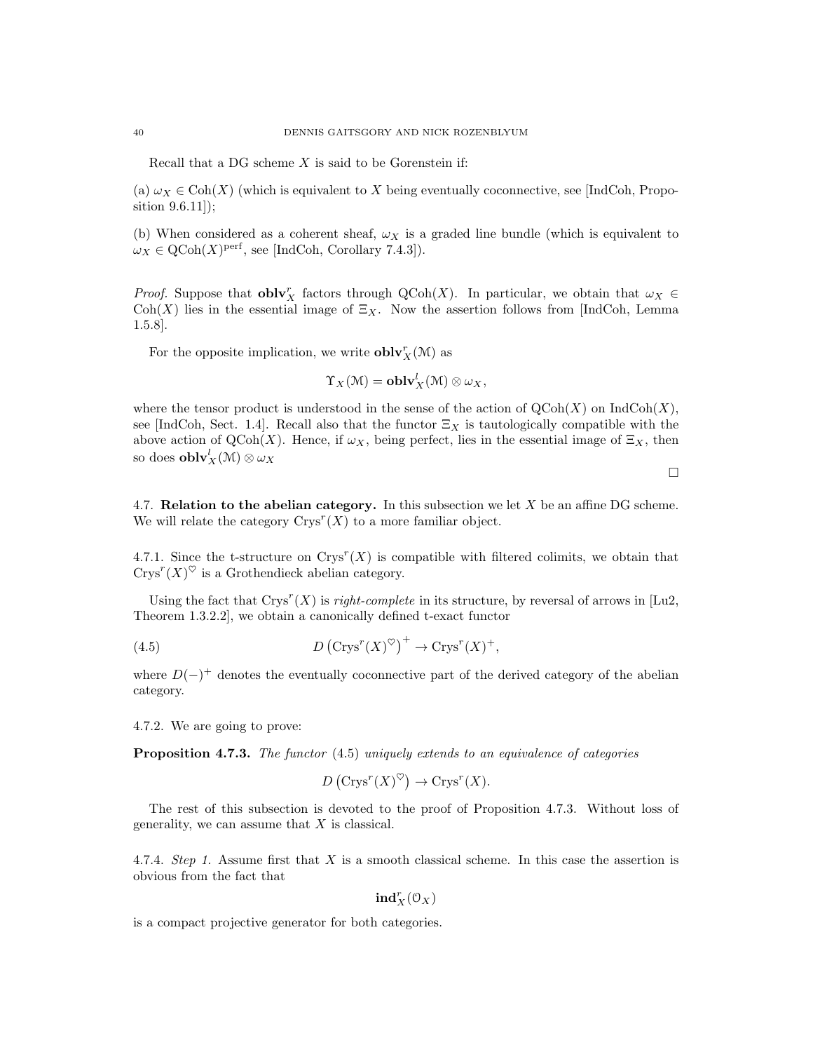Recall that a DG scheme  $X$  is said to be Gorenstein if:

(a)  $\omega_X \in \text{Coh}(X)$  (which is equivalent to X being eventually coconnective, see [IndCoh, Proposition 9.6.11]);

(b) When considered as a coherent sheaf,  $\omega_X$  is a graded line bundle (which is equivalent to  $\omega_X \in \text{QCoh}(X)^\text{perf}$ , see [IndCoh, Corollary 7.4.3]).

*Proof.* Suppose that  $\text{oblv}_X^r$  factors through  $Q\text{Coh}(X)$ . In particular, we obtain that  $\omega_X \in$ Coh(X) lies in the essential image of  $\Xi_X$ . Now the assertion follows from [IndCoh, Lemma 1.5.8].

For the opposite implication, we write  $\textbf{oblv}_X^r(\mathcal{M})$  as

$$
\Upsilon_X(\mathfrak{M})=\mathbf{oblv}_X^l(\mathfrak{M})\otimes \omega_X,
$$

where the tensor product is understood in the sense of the action of  $\mathrm{QCoh}(X)$  on  $\mathrm{IndCoh}(X)$ , see [IndCoh, Sect. 1.4]. Recall also that the functor  $\Xi_X$  is tautologically compatible with the above action of QCoh(X). Hence, if  $\omega_X$ , being perfect, lies in the essential image of  $\Xi_X$ , then so does  $\textbf{oblv}_X^l(\mathcal{M})\otimes \omega_X$ 

 $\Box$ 

4.7. **Relation to the abelian category.** In this subsection we let  $X$  be an affine DG scheme. We will relate the category  $Crys^r(X)$  to a more familiar object.

4.7.1. Since the t-structure on  $Crys^{r}(X)$  is compatible with filtered colimits, we obtain that  $C$ rys<sup>r</sup> $(X)^\heartsuit$  is a Grothendieck abelian category.

Using the fact that  $Crys^{r}(X)$  is *right-complete* in its structure, by reversal of arrows in [Lu2, Theorem 1.3.2.2], we obtain a canonically defined t-exact functor

(4.5) 
$$
D\left(\text{Crys}^r(X)^\heartsuit\right)^+ \to \text{Crys}^r(X)^+,
$$

where  $D(-)^+$  denotes the eventually coconnective part of the derived category of the abelian category.

4.7.2. We are going to prove:

Proposition 4.7.3. The functor (4.5) uniquely extends to an equivalence of categories

$$
D\left(\text{Crys}^r(X)^\heartsuit\right) \to \text{Crys}^r(X).
$$

The rest of this subsection is devoted to the proof of Proposition 4.7.3. Without loss of generality, we can assume that  $X$  is classical.

4.7.4. Step 1. Assume first that X is a smooth classical scheme. In this case the assertion is obvious from the fact that

 $\mathbf{ind}_X^r(\mathbb{O}_X)$ 

is a compact projective generator for both categories.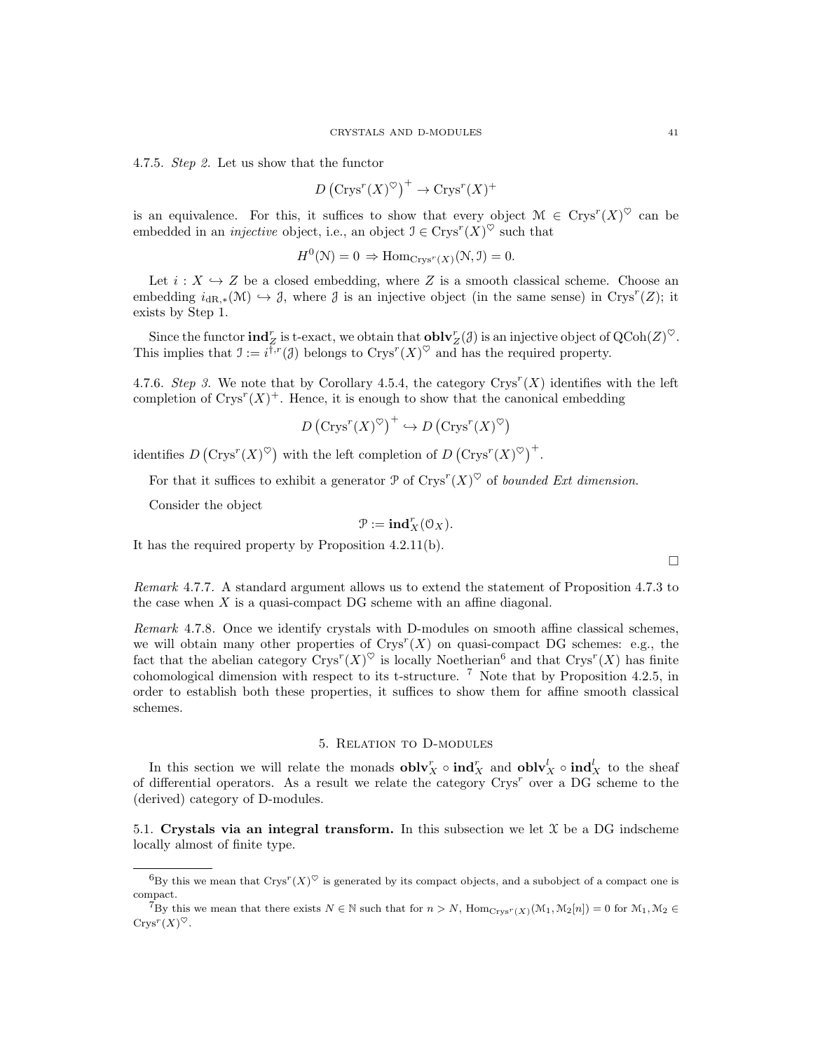4.7.5. Step 2. Let us show that the functor

$$
D\left(\text{Crys}^r(X)^\heartsuit\right)^+ \to \text{Crys}^r(X)^+
$$

is an equivalence. For this, it suffices to show that every object  $\mathcal{M} \in \text{Crys}^r(X)^\heartsuit$  can be embedded in an *injective* object, i.e., an object  $\mathcal{I} \in \text{Crys}^r(X)^\heartsuit$  such that

$$
H^{0}(\mathcal{N}) = 0 \Rightarrow \text{Hom}_{\text{Crys}^{r}(X)}(\mathcal{N}, \mathcal{I}) = 0.
$$

Let  $i : X \hookrightarrow Z$  be a closed embedding, where Z is a smooth classical scheme. Choose an embedding  $i_{dR,*}(M) \hookrightarrow \mathcal{J}$ , where  $\mathcal J$  is an injective object (in the same sense) in Crys<sup>r</sup>(Z); it exists by Step 1.

Since the functor  $\textbf{ind}_Z^r$  is t-exact, we obtain that  $\textbf{oblv}_Z^r(\mathcal{J})$  is an injective object of  $\text{QCoh}(Z)^\heartsuit$ . This implies that  $\mathfrak{I} := i^{\overline{\dagger},r}(\mathfrak{J})$  belongs to  $Crys^{r}(X)^{\heartsuit}$  and has the required property.

4.7.6. Step 3. We note that by Corollary 4.5.4, the category  $Crys^{r}(X)$  identifies with the left completion of  $Crys^{r}(X)^{+}$ . Hence, it is enough to show that the canonical embedding

$$
D\left(\text{Crys}^r(X)^\heartsuit\right)^+ \hookrightarrow D\left(\text{Crys}^r(X)^\heartsuit\right)
$$

identifies  $D\left(\text{Crys}^r(X)^\heartsuit\right)$  with the left completion of  $D\left(\text{Crys}^r(X)^\heartsuit\right)^+$ .

For that it suffices to exhibit a generator  $\mathcal P$  of  $\text{Crys}^r(X)^\heartsuit$  of bounded Ext dimension.

Consider the object

$$
\mathcal{P}:=\mathbf{ind}_X^r(\mathcal{O}_X).
$$

It has the required property by Proposition 4.2.11(b).

Remark 4.7.7. A standard argument allows us to extend the statement of Proposition 4.7.3 to the case when  $X$  is a quasi-compact DG scheme with an affine diagonal.

Remark 4.7.8. Once we identify crystals with D-modules on smooth affine classical schemes, we will obtain many other properties of  $Crys^r(X)$  on quasi-compact DG schemes: e.g., the fact that the abelian category  $\text{Crys}^r(X)^\heartsuit$  is locally Noetherian<sup>6</sup> and that  $\text{Crys}^r(X)$  has finite cohomological dimension with respect to its t-structure. <sup>7</sup> Note that by Proposition 4.2.5, in order to establish both these properties, it suffices to show them for affine smooth classical schemes.

# 5. Relation to D-modules

In this section we will relate the monads  $\textbf{oblv}_X^r \circ \textbf{ind}_X^r$  and  $\textbf{oblv}_X^l \circ \textbf{ind}_X^l$  to the sheaf of differential operators. As a result we relate the category  $Crys^r$  over a DG scheme to the (derived) category of D-modules.

5.1. Crystals via an integral transform. In this subsection we let  $\mathfrak X$  be a DG indscheme locally almost of finite type.

 ${}^6By$  this we mean that Crys<sup>r</sup>(X)<sup> $\heartsuit$ </sup> is generated by its compact objects, and a subobject of a compact one is compact.

<sup>&</sup>lt;sup>7</sup>By this we mean that there exists  $N \in \mathbb{N}$  such that for  $n > N$ ,  $\text{Hom}_{\text{Crys}^r(X)}(\mathcal{M}_1, \mathcal{M}_2[n]) = 0$  for  $\mathcal{M}_1, \mathcal{M}_2 \in$  $\mathrm{Crys}^r(X)^\heartsuit.$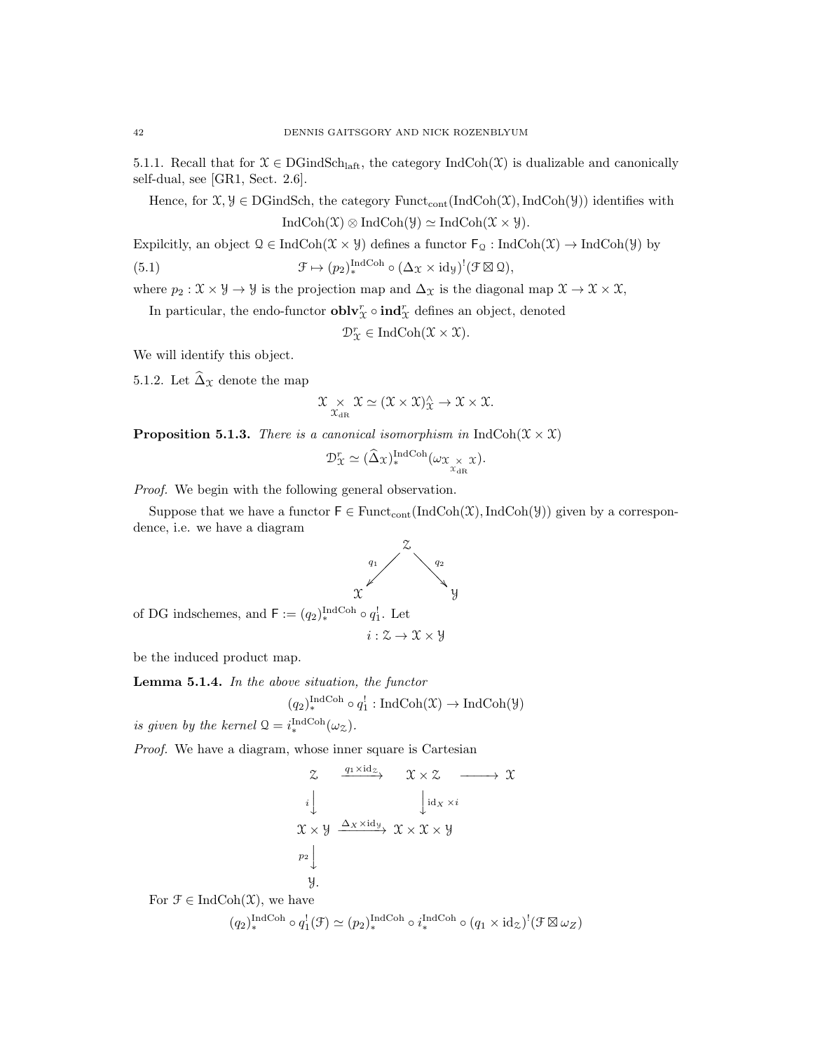5.1.1. Recall that for  $\mathfrak{X} \in \text{DGindSch}_{\text{laff}}$ , the category  $\text{IndCoh}(\mathfrak{X})$  is dualizable and canonically self-dual, see [GR1, Sect. 2.6].

Hence, for  $\mathfrak{X}, \mathcal{Y} \in \text{DGindSch}$ , the category  $\text{Funct}_{\text{cont}}(\text{IndCoh}(\mathfrak{X}), \text{IndCoh}(\mathcal{Y}))$  identifies with  $IndCoh(\mathfrak{X}) \otimes IndCoh(\mathfrak{Y}) \simeq IndCoh(\mathfrak{X} \times \mathfrak{Y}).$ 

Expilcitly, an object  $\mathcal{Q} \in \text{IndCoh}(\mathcal{X} \times \mathcal{Y})$  defines a functor  $\mathsf{F}_{\mathcal{Q}} : \text{IndCoh}(\mathcal{X}) \to \text{IndCoh}(\mathcal{Y})$  by

(5.1) 
$$
\mathcal{F} \mapsto (p_2)_*^{\text{IndCoh}} \circ (\Delta_{\mathcal{X}} \times \text{id}_{\mathcal{Y}})^!(\mathcal{F} \boxtimes \mathcal{Q}),
$$

where  $p_2 : \mathfrak{X} \times \mathfrak{Y} \to \mathfrak{Y}$  is the projection map and  $\Delta_{\mathfrak{X}}$  is the diagonal map  $\mathfrak{X} \to \mathfrak{X} \times \mathfrak{X}$ ,

In particular, the endo-functor  ${\bf oblv}_\mathcal{X}^r \circ {\bf ind}_\mathcal{X}^r$  defines an object, denoted

 $\mathcal{D}^r_{\mathcal{X}} \in \mathrm{IndCoh}(\mathcal{X} \times \mathcal{X}).$ 

We will identify this object.

5.1.2. Let  $\widehat{\Delta}_{\mathfrak{X}}$  denote the map

$$
\mathfrak{X}\underset{\mathfrak{X}_{\mathrm{dR}}}{\times}\mathfrak{X}\simeq(\mathfrak{X}\times\mathfrak{X})_{\mathfrak{X}}^{\wedge}\to\mathfrak{X}\times\mathfrak{X}.
$$

**Proposition 5.1.3.** There is a canonical isomorphism in IndCoh( $\mathcal{X} \times \mathcal{X}$ )

$$
\mathcal{D}_{\mathcal{X}}^r \simeq (\widehat{\Delta}_{\mathcal{X}})_*^{\text{IndCoh}}(\omega_{\mathcal{X}_{\chi_{\text{dR}}^{\times}}\mathcal{X}}).
$$

Proof. We begin with the following general observation.

Suppose that we have a functor  $F \in \text{Funct}_{\text{cont}}(\text{IndCoh}(\mathfrak{X}), \text{IndCoh}(\mathcal{Y}))$  given by a correspondence, i.e. we have a diagram



of DG indschemes, and  $\mathsf{F} := (q_2)_{\ast}^{\text{IndCoh}} \circ q_1^!$ . Let

$$
i:\mathcal{Z}\to\mathcal{X}\times\mathcal{Y}
$$

be the induced product map.

Lemma 5.1.4. In the above situation, the functor

$$
(q_2)_*^{\text{IndCoh}} \circ q_1^!: \text{IndCoh}(\mathfrak{X}) \to \text{IndCoh}(\mathcal{Y})
$$

is given by the kernel  $\mathcal{Q} = i_*^{\text{IndCoh}}(\omega_{\mathcal{Z}})$ .

Proof. We have a diagram, whose inner square is Cartesian

$$
\begin{array}{ccc}\n\mathcal{Z} & \xrightarrow{q_1 \times \text{id}_{\mathcal{Z}}} & \mathcal{X} \times \mathcal{Z} & \longrightarrow & \mathcal{X} \\
i & \downarrow & \downarrow & \text{id}_{X} \times i \\
\mathcal{X} \times \mathcal{Y} & \xrightarrow{\Delta_X \times \text{id}_{\mathcal{Y}}} & \mathcal{X} \times \mathcal{X} \times \mathcal{Y} \\
p_2 & \downarrow & & \\
\mathcal{Y} & & & \\
\end{array}
$$

For  $\mathfrak{F} \in \mathrm{IndCoh}(\mathfrak{X})$ , we have

$$
(q_2)^{\operatorname{IndCoh}}_* \circ q_1^!(\mathfrak{F}) \simeq (p_2)^{\operatorname{IndCoh}}_* \circ i_*^{\operatorname{IndCoh}} \circ (q_1 \times \operatorname{id}_{\mathcal{Z}})^!(\mathfrak{F} \boxtimes \omega_{\mathcal{Z}})
$$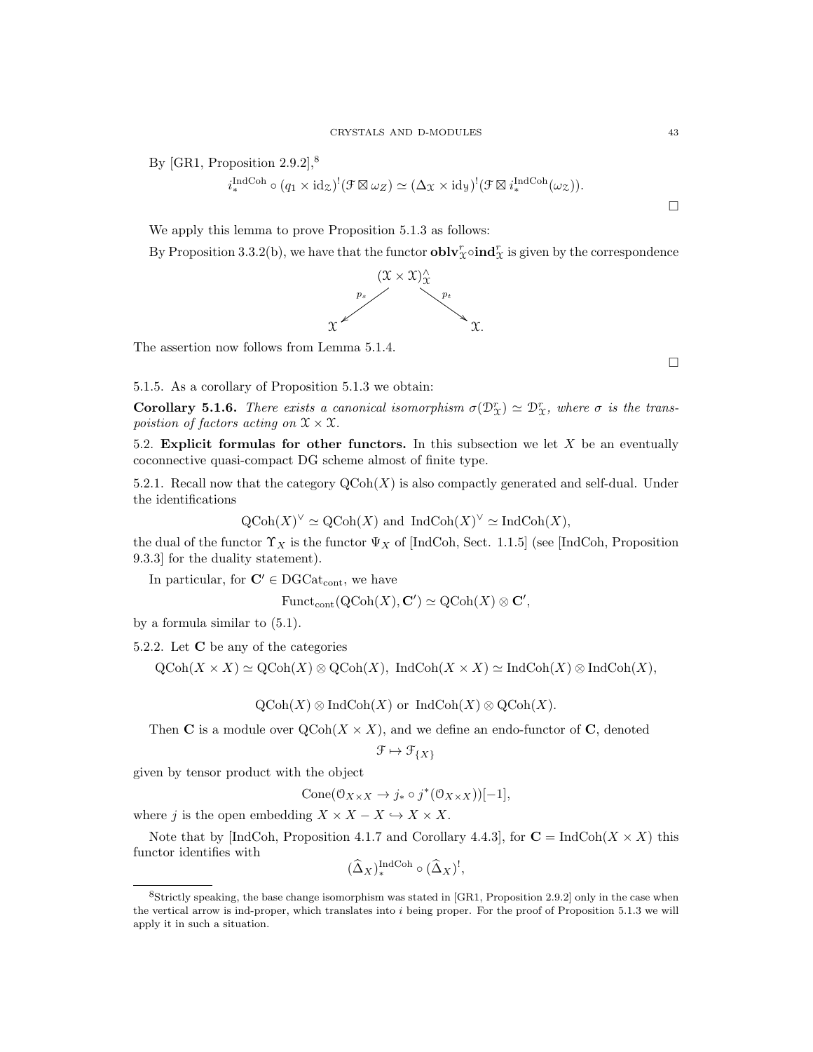By [GR1, Proposition  $2.9.2$ ],<sup>8</sup>

$$
i_*^{\text{IndCoh}} \circ (q_1 \times \mathrm{id}_{\mathcal{Z}})^!(\mathcal{F} \boxtimes \omega_Z) \simeq (\Delta_{\mathcal{X}} \times \mathrm{id}_{\mathcal{Y}})^!(\mathcal{F} \boxtimes i_*^{\text{IndCoh}}(\omega_{\mathcal{Z}})).
$$

We apply this lemma to prove Proposition 5.1.3 as follows:

By Proposition 3.3.2(b), we have that the functor  $\textbf{oblv}_\mathcal{X}^r \circ \textbf{ind}_\mathcal{X}^r$  is given by the correspondence



The assertion now follows from Lemma 5.1.4.

5.1.5. As a corollary of Proposition 5.1.3 we obtain:

**Corollary 5.1.6.** There exists a canonical isomorphism  $\sigma(\mathcal{D}_\mathcal{X}) \simeq \mathcal{D}_\mathcal{X}^r$ , where  $\sigma$  is the transpoistion of factors acting on  $\mathfrak{X} \times \mathfrak{X}$ .

5.2. Explicit formulas for other functors. In this subsection we let  $X$  be an eventually coconnective quasi-compact DG scheme almost of finite type.

5.2.1. Recall now that the category  $\mathrm{QCoh}(X)$  is also compactly generated and self-dual. Under the identifications

 $\mathrm{QCoh}(X)^\vee \simeq \mathrm{QCoh}(X)$  and  $\mathrm{IndCoh}(X)^\vee \simeq \mathrm{IndCoh}(X)$ ,

the dual of the functor  $\Upsilon_X$  is the functor  $\Psi_X$  of [IndCoh, Sect. 1.1.5] (see [IndCoh, Proposition 9.3.3] for the duality statement).

In particular, for  $\mathbf{C}' \in \text{DGCat}_{\text{cont}}$ , we have

$$
\mathrm{Funct}_{\mathrm{cont}}(\mathrm{QCoh}(X), \mathbf{C}') \simeq \mathrm{QCoh}(X) \otimes \mathbf{C}',
$$

by a formula similar to (5.1).

5.2.2. Let C be any of the categories

 $\mathrm{QCoh}(X \times X) \simeq \mathrm{QCoh}(X) \otimes \mathrm{QCoh}(X)$ , IndCoh $(X \times X) \simeq \mathrm{IndCoh}(X) \otimes \mathrm{IndCoh}(X)$ ,

 $\mathrm{QCoh}(X) \otimes \mathrm{IndCoh}(X)$  or  $\mathrm{IndCoh}(X) \otimes \mathrm{QCoh}(X)$ .

Then C is a module over  $Q\text{Coh}(X \times X)$ , and we define an endo-functor of C, denoted

 $\mathcal{F} \mapsto \mathcal{F}_{\{X\}}$ 

given by tensor product with the object

$$
Cone(\mathcal{O}_{X\times X}\to j_*\circ j^*(\mathcal{O}_{X\times X}))[-1],
$$

where j is the open embedding  $X \times X - X \hookrightarrow X \times X$ .

Note that by [IndCoh, Proposition 4.1.7 and Corollary 4.4.3], for  $C = \text{IndCoh}(X \times X)$  this functor identifies with

$$
(\widehat{\Delta}_X)^{\text{IndCoh}}_* \circ (\widehat{\Delta}_X)^!,
$$

 $\Box$ 

<sup>8</sup>Strictly speaking, the base change isomorphism was stated in [GR1, Proposition 2.9.2] only in the case when the vertical arrow is ind-proper, which translates into i being proper. For the proof of Proposition 5.1.3 we will apply it in such a situation.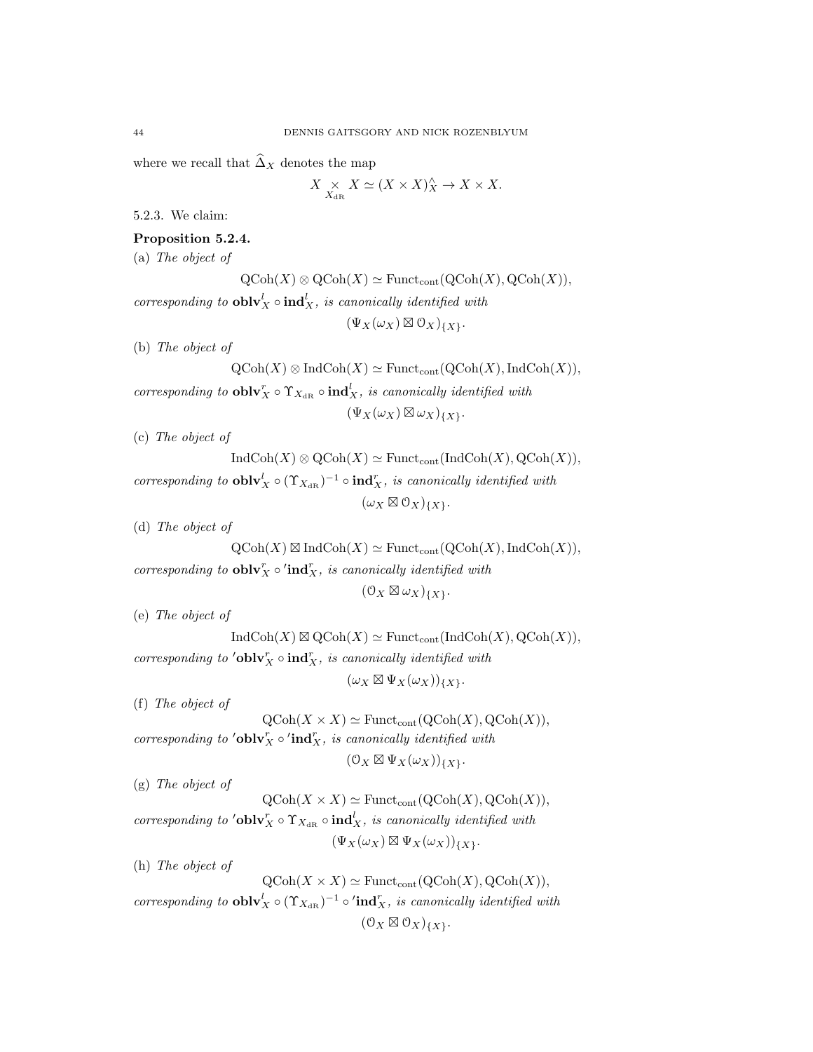where we recall that  $\widehat{\Delta}_X$  denotes the map

$$
X \underset{X_{\mathrm{dR}}}{\times} X \simeq (X \times X)_{X}^{\wedge} \to X \times X.
$$

5.2.3. We claim:

### Proposition 5.2.4.

(a) The object of

 $\mathrm{QCoh}(X) \otimes \mathrm{QCoh}(X) \simeq \mathrm{Funct}_{\mathrm{cont}}(\mathrm{QCoh}(X), \mathrm{QCoh}(X)),$ corresponding to  $\textbf{oblv}_X^l \circ \textbf{ind}_X^l$ , is canonically identified with

 $(\Psi_X(\omega_X) \boxtimes \mathcal{O}_X)_{\{X\}}.$ 

(b) The object of

 $\mathrm{QCoh}(X) \otimes \mathrm{IndCoh}(X) \simeq \mathrm{Funct}_{\mathrm{cont}}(\mathrm{QCoh}(X),\mathrm{IndCoh}(X)),$ corresponding to  $\textbf{oblv}_X^r \circ \Upsilon_{X_{\text{dR}}} \circ \textbf{ind}_X^l$ , is canonically identified with  $(\Psi_X(\omega_X) \boxtimes \omega_X)_{\{X\}}.$ 

(c) The object of

 $\text{IndCoh}(X) \otimes \text{QCoh}(X) \simeq \text{Funct}_{\text{cont}}(\text{IndCoh}(X), \text{QCoh}(X)),$ corresponding to  $\textbf{oblv}_X^l \circ (\Upsilon_{X_{\text{dR}}})^{-1} \circ \textbf{ind}_X^r$ , is canonically identified with  $(\omega_X \boxtimes \mathfrak{O}_X)_{\{X\}}.$ 

(d) The object of

 $\mathrm{QCoh}(X) \boxtimes \mathrm{IndCoh}(X) \simeq \mathrm{Funct}_{\mathrm{cont}}(\mathrm{QCoh}(X),\mathrm{IndCoh}(X)),$ corresponding to  $\textbf{oblv}_X^r \circ' \textbf{ind}_X^r$ , is canonically identified with

 $(\mathcal{O}_X \boxtimes \omega_X)_{\{X\}}.$ 

(e) The object of

 $\text{IndCoh}(X) \boxtimes \text{QCoh}(X) \simeq \text{Funct}_{\text{cont}}(\text{IndCoh}(X), \text{QCoh}(X)),$ corresponding to  $\prime$ **oblv** $_{X}^{r}$   $\circ$ **ind** $_{X}^{r}$ , is canonically identified with

 $(\omega_X \boxtimes \Psi_X(\omega_X))_{\{X\}}.$ 

(f) The object of

 $\mathrm{QCoh}(X \times X) \simeq \mathrm{Funct}_{\mathrm{cont}}(\mathrm{QCoh}(X), \mathrm{QCoh}(X)),$ corresponding to  $\prime$ **oblv** $_{X}^{r} \circ \prime$ **ind** $_{X}^{r}$ , is canonically identified with

 $(0_X \boxtimes \Psi_X(\omega_X))_{\{X\}}.$ 

(g) The object of

 $\mathrm{QCoh}(X \times X) \simeq \mathrm{Funct}_{\mathrm{cont}}(\mathrm{QCoh}(X), \mathrm{QCoh}(X)),$ corresponding to ' $\textbf{oblv}_X^r \circ \Upsilon_{X_{\text{dR}}} \circ \textbf{ind}_X^l$ , is canonically identified with  $(\Psi_X(\omega_X) \boxtimes \Psi_X(\omega_X))_{\{X\}}.$ 

(h) The object of

 $\mathrm{QCoh}(X \times X) \simeq \mathrm{Funct}_{\mathrm{cont}}(\mathrm{QCoh}(X), \mathrm{QCoh}(X)),$ corresponding to  $\textbf{oblv}_X^l \circ (\Upsilon_{X_{\text{dR}}})^{-1} \circ' \textbf{ind}_X^r$ , is canonically identified with  $(\mathcal{O}_X \boxtimes \mathcal{O}_X)_{\{X\}}.$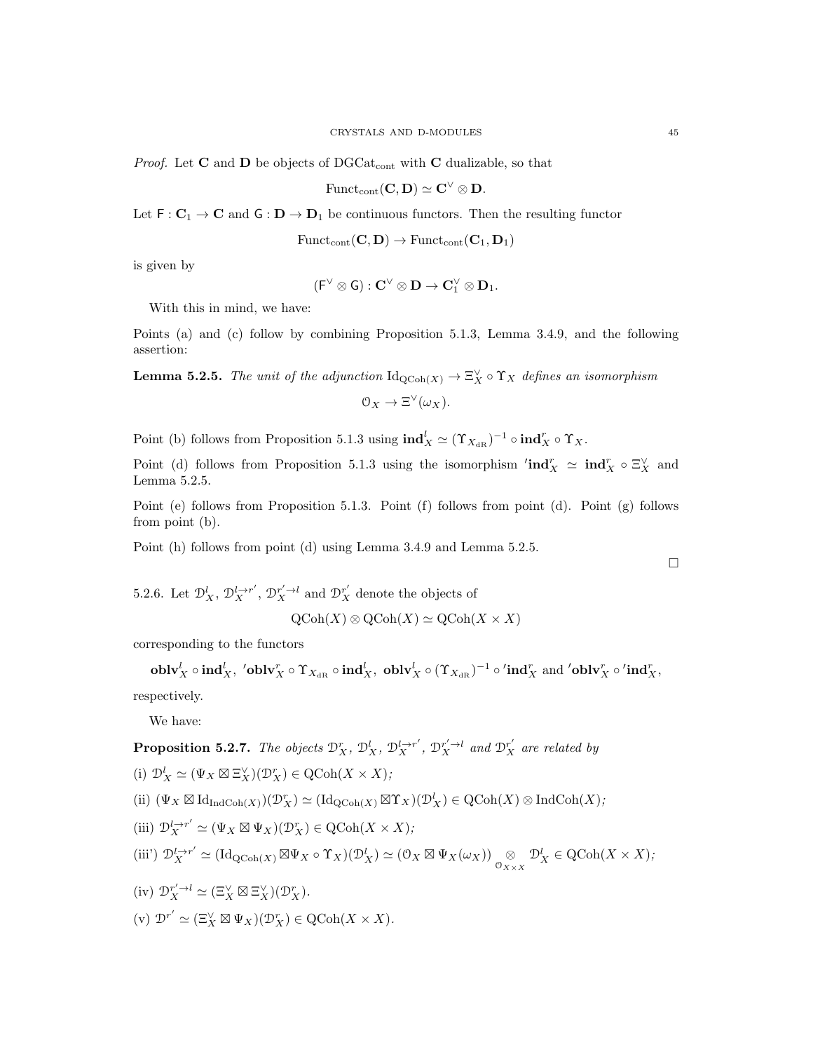*Proof.* Let **C** and **D** be objects of DGCat<sub>cont</sub> with **C** dualizable, so that

$$
\mathrm{Funct}_{\mathrm{cont}}(\mathbf{C},\mathbf{D})\simeq \mathbf{C}^\vee\otimes \mathbf{D}.
$$

Let  $F: C_1 \to C$  and  $G: D \to D_1$  be continuous functors. Then the resulting functor

$$
\mathrm{Funct}_{\mathrm{cont}}(\mathbf{C},\mathbf{D}) \to \mathrm{Funct}_{\mathrm{cont}}(\mathbf{C}_1,\mathbf{D}_1)
$$

is given by

$$
({\mathsf F}^\vee\otimes{\mathsf G}):{\mathbf C}^\vee\otimes{\mathbf D}\to{\mathbf C}_1^\vee\otimes{\mathbf D}_1.
$$

With this in mind, we have:

Points (a) and (c) follow by combining Proposition 5.1.3, Lemma 3.4.9, and the following assertion:

**Lemma 5.2.5.** The unit of the adjunction  $\mathrm{Id}_{\mathrm{QCoh}(X)} \to \Xi_X^{\vee} \circ \Upsilon_X$  defines an isomorphism

$$
0_X \to \Xi^{\vee}(\omega_X).
$$

Point (b) follows from Proposition 5.1.3 using  $\mathrm{ind}_X^l \simeq (\Upsilon_{X_{\mathrm{dR}}})^{-1} \circ \mathrm{ind}_X^r \circ \Upsilon_X$ .

Point (d) follows from Proposition 5.1.3 using the isomorphism  $'ind_X^r \simeq ind_X^r \circ \Xi_X^{\vee}$  and Lemma 5.2.5.

Point (e) follows from Proposition 5.1.3. Point (f) follows from point (d). Point (g) follows from point (b).

Point (h) follows from point (d) using Lemma 3.4.9 and Lemma 5.2.5.

5.2.6. Let  $\mathcal{D}_X^l, \mathcal{D}_X^{l \to r'}, \mathcal{D}_X^{r' \to l}$  and  $\mathcal{D}_X^{r'}$  denote the objects of

$$
\mathrm{QCoh}(X) \otimes \mathrm{QCoh}(X) \simeq \mathrm{QCoh}(X \times X)
$$

corresponding to the functors

 $\operatorname{\textbf{oblv}}_X^l \circ \operatorname{\textbf{ind}}_X^l, \; {}'\operatorname{\textbf{oblv}}_X^r \circ \Upsilon_{X_{\operatorname{dR}}} \circ \operatorname{\textbf{ind}}_X^l, \; \operatorname{\textbf{oblv}}_X^l \circ (\Upsilon_{X_{\operatorname{dR}}})^{-1} \circ' \operatorname{\textbf{ind}}_X^r, \; \text{and \; }' \operatorname{\textbf{oblv}}_X^r \circ' \operatorname{\textbf{ind}}_X^r,$ respectively.

We have:

**Proposition 5.2.7.** The objects  $\mathcal{D}_X^r$ ,  $\mathcal{D}_X^l$ ,  $\mathcal{D}_X^{l\rightarrow r'}$ ,  $\mathcal{D}_X^{r'\rightarrow l}$  and  $\mathcal{D}_X^{r'}$  are related by

(i) 
$$
\mathcal{D}_X^l \simeq (\Psi_X \boxtimes \Xi_X^{\vee})(\mathcal{D}_X^r) \in \mathrm{QCoh}(X \times X);
$$

(ii) 
$$
(\Psi_X \boxtimes \mathrm{Id}_{\mathrm{IndCoh}(X)})(\mathcal{D}_X^r) \simeq (\mathrm{Id}_{\mathrm{QCoh}(X)} \boxtimes \Upsilon_X)(\mathcal{D}_X^l) \in \mathrm{QCoh}(X) \otimes \mathrm{IndCoh}(X);
$$

(iii) 
$$
\mathcal{D}_X^{l \to r'} \simeq (\Psi_X \boxtimes \Psi_X)(\mathcal{D}_X^r) \in \mathrm{QCoh}(X \times X);
$$

$$
\text{(iii') } \mathcal{D}^{l\to r'}_X \simeq (\text{Id}_{\text{QCoh}(X)} \boxtimes \Psi_X \circ \Upsilon_X)(\mathcal{D}^l_X) \simeq (\mathcal{O}_X \boxtimes \Psi_X(\omega_X)) \underset{\mathcal{O}_{X \times X}}{\otimes} \mathcal{D}^l_X \in \text{QCoh}(X \times X);
$$

(iv) 
$$
\mathcal{D}_X^{r'\to l} \simeq (\Xi_X^{\vee} \boxtimes \Xi_X^{\vee})(\mathcal{D}_X^r).
$$

(v) 
$$
\mathcal{D}^{r'} \simeq (\Xi_X^{\vee} \boxtimes \Psi_X)(\mathcal{D}_X^r) \in \mathrm{QCoh}(X \times X).
$$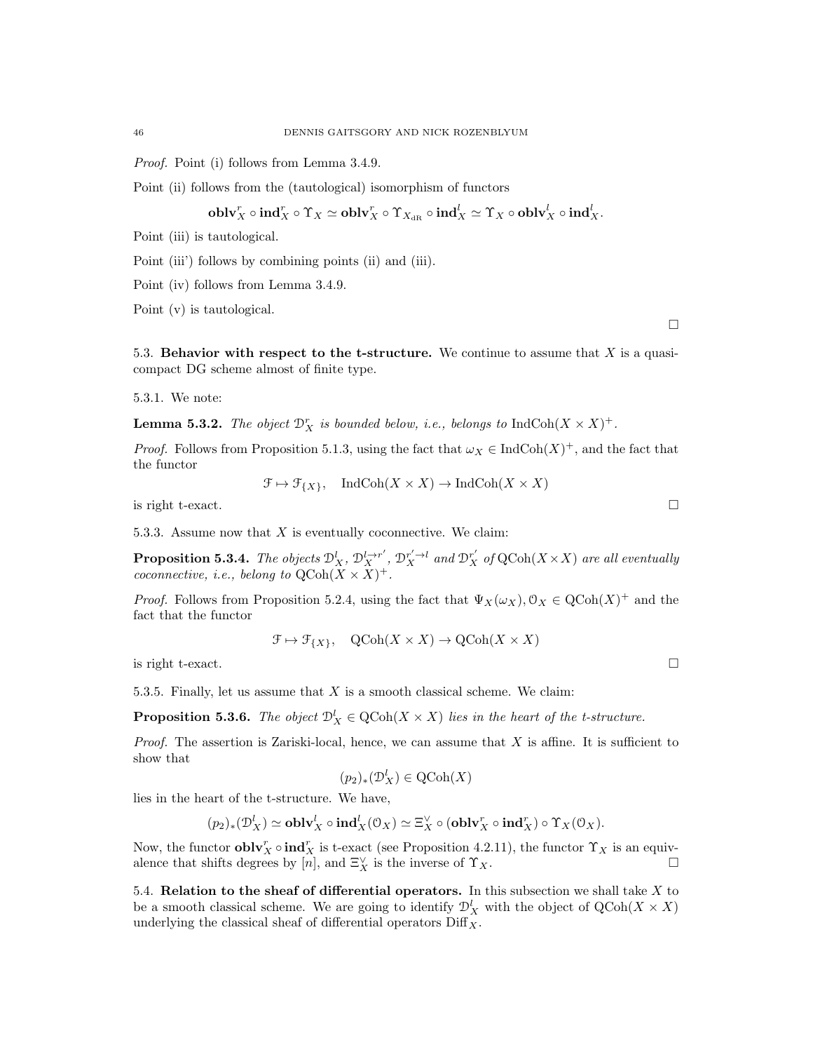Proof. Point (i) follows from Lemma 3.4.9.

Point (ii) follows from the (tautological) isomorphism of functors

$$
\mathbf{oblv}_{X}^{r} \circ \mathbf{ind}_{X}^{r} \circ \Upsilon_{X} \simeq \mathbf{oblv}_{X}^{r} \circ \Upsilon_{X_{\mathbf{dR}}} \circ \mathbf{ind}_{X}^{l} \simeq \Upsilon_{X} \circ \mathbf{oblv}_{X}^{l} \circ \mathbf{ind}_{X}^{l}.
$$

Point (iii) is tautological.

Point (iii') follows by combining points (ii) and (iii).

Point (iv) follows from Lemma 3.4.9.

Point (v) is tautological.

5.3. Behavior with respect to the t-structure. We continue to assume that X is a quasicompact DG scheme almost of finite type.

5.3.1. We note:

**Lemma 5.3.2.** The object  $\mathcal{D}_X^r$  is bounded below, i.e., belongs to  $\text{IndCoh}(X \times X)^+$ .

*Proof.* Follows from Proposition 5.1.3, using the fact that  $\omega_X \in \text{IndCoh}(X)^+$ , and the fact that the functor

 $\mathfrak{F} \mapsto \mathfrak{F}_{\{X\}}, \quad \textup{Ind}\textup{Coh}(X \times X) \to \textup{Ind}\textup{Coh}(X \times X)$ 

is right t-exact.  $\Box$ 

5.3.3. Assume now that  $X$  is eventually coconnective. We claim:

**Proposition 5.3.4.** The objects  $\mathcal{D}_X^l$ ,  $\mathcal{D}_X^{l\to r'}$ ,  $\mathcal{D}_X^{r'\to l}$  and  $\mathcal{D}_X^{r'}$  of  $\mathrm{QCoh}(X\times X)$  are all eventually coconnective, *i.e.*, belong to  $\mathrm{QCoh}(X \times X)^+$ .

*Proof.* Follows from Proposition 5.2.4, using the fact that  $\Psi_X(\omega_X)$ ,  $\mathcal{O}_X \in \text{QCoh}(X)^+$  and the fact that the functor

$$
\mathcal{F} \mapsto \mathcal{F}_{\{X\}}, \quad \text{QCoh}(X \times X) \to \text{QCoh}(X \times X)
$$

is right t-exact.  $\Box$ 

5.3.5. Finally, let us assume that  $X$  is a smooth classical scheme. We claim:

**Proposition 5.3.6.** The object  $\mathcal{D}_X^l \in \text{QCoh}(X \times X)$  lies in the heart of the t-structure.

*Proof.* The assertion is Zariski-local, hence, we can assume that  $X$  is affine. It is sufficient to show that

$$
(p_2)_*(\mathcal{D}_X^l) \in \mathrm{QCoh}(X)
$$

lies in the heart of the t-structure. We have,

$$
(p_2)_*(\mathcal{D}_X^l) \simeq \mathbf{oblv}_X^l \circ \mathbf{ind}_X^l(\mathcal{O}_X) \simeq \Xi_X^{\vee} \circ (\mathbf{oblv}_X^r \circ \mathbf{ind}_X^r) \circ \Upsilon_X(\mathcal{O}_X).
$$

Now, the functor  $\textbf{oblv}_X^r \circ \textbf{ind}_X^r$  is t-exact (see Proposition 4.2.11), the functor  $\Upsilon_X$  is an equivalence that shifts degrees by  $[n]$ , and  $\Xi_X^{\vee}$  is the inverse of  $\Upsilon_X$ .

5.4. Relation to the sheaf of differential operators. In this subsection we shall take  $X$  to be a smooth classical scheme. We are going to identify  $\mathcal{D}_X^l$  with the object of  $\mathrm{QCoh}(X \times X)$ underlying the classical sheaf of differential operators  $\text{Diff}_X$ .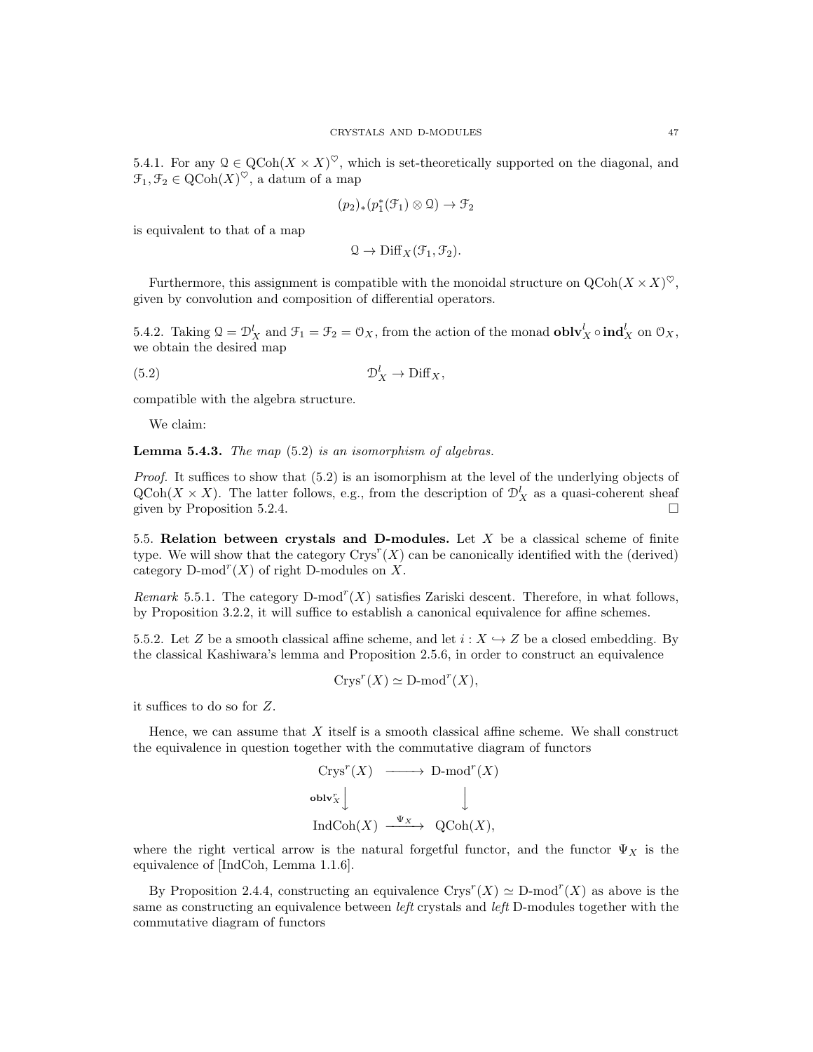5.4.1. For any  $\mathcal{Q} \in \text{QCoh}(X \times X)^\heartsuit$ , which is set-theoretically supported on the diagonal, and  $\mathfrak{T}_1, \mathfrak{T}_2 \in \mathrm{QCoh}(X)^\heartsuit$ , a datum of a map

$$
(p_2)_*(p_1^*(\mathcal{F}_1) \otimes \mathcal{Q}) \to \mathcal{F}_2
$$

is equivalent to that of a map

$$
\mathcal{Q} \to \mathrm{Diff}_X(\mathcal{F}_1, \mathcal{F}_2).
$$

Furthermore, this assignment is compatible with the monoidal structure on  $Q\text{Coh}(X \times X)^{\heartsuit}$ , given by convolution and composition of differential operators.

5.4.2. Taking  $\mathfrak{Q} = \mathcal{D}_X^l$  and  $\mathfrak{F}_1 = \mathfrak{F}_2 = \mathfrak{O}_X$ , from the action of the monad  $\mathbf{oblv}_X^l \circ \mathbf{ind}_X^l$  on  $\mathfrak{O}_X$ , we obtain the desired map

 $(5.2)$   $\mathcal{D}_1^l$  $\mathcal{D}_X^l \to \mathrm{Diff}_X$ 

compatible with the algebra structure.

We claim:

**Lemma 5.4.3.** The map  $(5.2)$  is an isomorphism of algebras.

Proof. It suffices to show that  $(5.2)$  is an isomorphism at the level of the underlying objects of  $\text{QCoh}(X \times X)$ . The latter follows, e.g., from the description of  $\mathcal{D}_X^l$  as a quasi-coherent sheaf given by Proposition 5.2.4.

5.5. Relation between crystals and D-modules. Let  $X$  be a classical scheme of finite type. We will show that the category  $\text{Crys}^r(X)$  can be canonically identified with the (derived) category  $D$ -mod<sup>r</sup> $(X)$  of right D-modules on X.

Remark 5.5.1. The category  $D\text{-mod}^r(X)$  satisfies Zariski descent. Therefore, in what follows, by Proposition 3.2.2, it will suffice to establish a canonical equivalence for affine schemes.

5.5.2. Let Z be a smooth classical affine scheme, and let  $i : X \rightarrow Z$  be a closed embedding. By the classical Kashiwara's lemma and Proposition 2.5.6, in order to construct an equivalence

$$
Crys^r(X) \simeq \mathbf{D}\text{-mod}^r(X),
$$

it suffices to do so for Z.

Hence, we can assume that  $X$  itself is a smooth classical affine scheme. We shall construct the equivalence in question together with the commutative diagram of functors

$$
\begin{array}{ccc}\n\text{Crys}^r(X) & \xrightarrow{\hspace{15mm}} \text{D-mod}^r(X) \\
\text{oblv}_X^r & \downarrow & \downarrow \\
\text{IndCoh}(X) & \xrightarrow{\Psi_X} & \text{QCoh}(X),\n\end{array}
$$

where the right vertical arrow is the natural forgetful functor, and the functor  $\Psi_X$  is the equivalence of [IndCoh, Lemma 1.1.6].

By Proposition 2.4.4, constructing an equivalence  $Crys^{r}(X) \simeq D\text{-mod}^{r}(X)$  as above is the same as constructing an equivalence between *left* crystals and *left* D-modules together with the commutative diagram of functors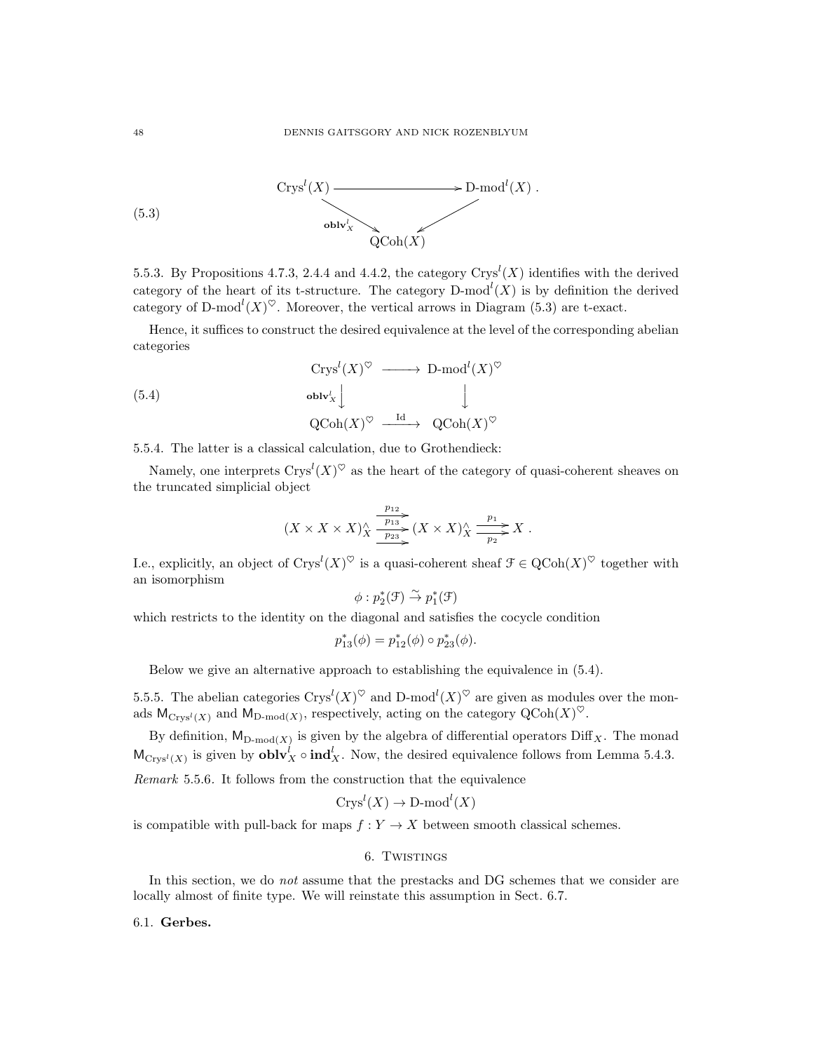

5.5.3. By Propositions 4.7.3, 2.4.4 and 4.4.2, the category  $\text{Crys}^l(X)$  identifies with the derived category of the heart of its t-structure. The category  $D\text{-mod}^l(X)$  is by definition the derived category of D-mod<sup>l</sup> $(X)^\heartsuit$ . Moreover, the vertical arrows in Diagram (5.3) are t-exact.

Hence, it suffices to construct the desired equivalence at the level of the corresponding abelian categories

$$
\begin{array}{ccc}\n\operatorname{Crys}^l(X)^{\heartsuit} & \longrightarrow & \operatorname{D-mod}^l(X)^{\heartsuit} \\
\oplus & \operatorname{blv}_X^l \downarrow & & \downarrow \\
\operatorname{QCoh}(X)^{\heartsuit} & \xrightarrow{\operatorname{Id}} & \operatorname{QCoh}(X)^{\heartsuit}\n\end{array}
$$

5.5.4. The latter is a classical calculation, due to Grothendieck:

Namely, one interprets  $\text{Crys}^l(X)^\heartsuit$  as the heart of the category of quasi-coherent sheaves on the truncated simplicial object

$$
(X \times X \times X)_{X}^{\wedge} \xrightarrow[p_{13}]{p_{12}} (X \times X)_{X}^{\wedge} \xrightarrow[p_{2}]{p_{1}} X.
$$

I.e., explicitly, an object of  $\text{Crys}^l(X)^\heartsuit$  is a quasi-coherent sheaf  $\mathcal{F} \in \text{QCoh}(X)^\heartsuit$  together with an isomorphism

$$
\phi: p_2^*(\mathcal{F}) \overset{\sim}{\to} p_1^*(\mathcal{F})
$$

which restricts to the identity on the diagonal and satisfies the cocycle condition

$$
p_{13}^*(\phi) = p_{12}^*(\phi) \circ p_{23}^*(\phi).
$$

Below we give an alternative approach to establishing the equivalence in (5.4).

5.5.5. The abelian categories  $Crys^l(X)^\heartsuit$  and  $D\text{-mod}^l(X)^\heartsuit$  are given as modules over the monads  $M_{\text{Crys}^l(X)}$  and  $M_{\text{D-mod}(X)}$ , respectively, acting on the category  $\text{QCoh}(X)^\heartsuit$ .

By definition,  $M_{D-mod(X)}$  is given by the algebra of differential operators Diff<sub>X</sub>. The monad  $M_{\text{Crys}^l(X)}$  is given by  $\text{oblv}_X^l \circ \text{ind}_X^l$ . Now, the desired equivalence follows from Lemma 5.4.3.

Remark 5.5.6. It follows from the construction that the equivalence

$$
Crys^l(X) \to \mathop{\mathrm{D-mod}}^l(X)
$$

is compatible with pull-back for maps  $f: Y \to X$  between smooth classical schemes.

# 6. Twistings

In this section, we do *not* assume that the prestacks and DG schemes that we consider are locally almost of finite type. We will reinstate this assumption in Sect. 6.7.

### 6.1. Gerbes.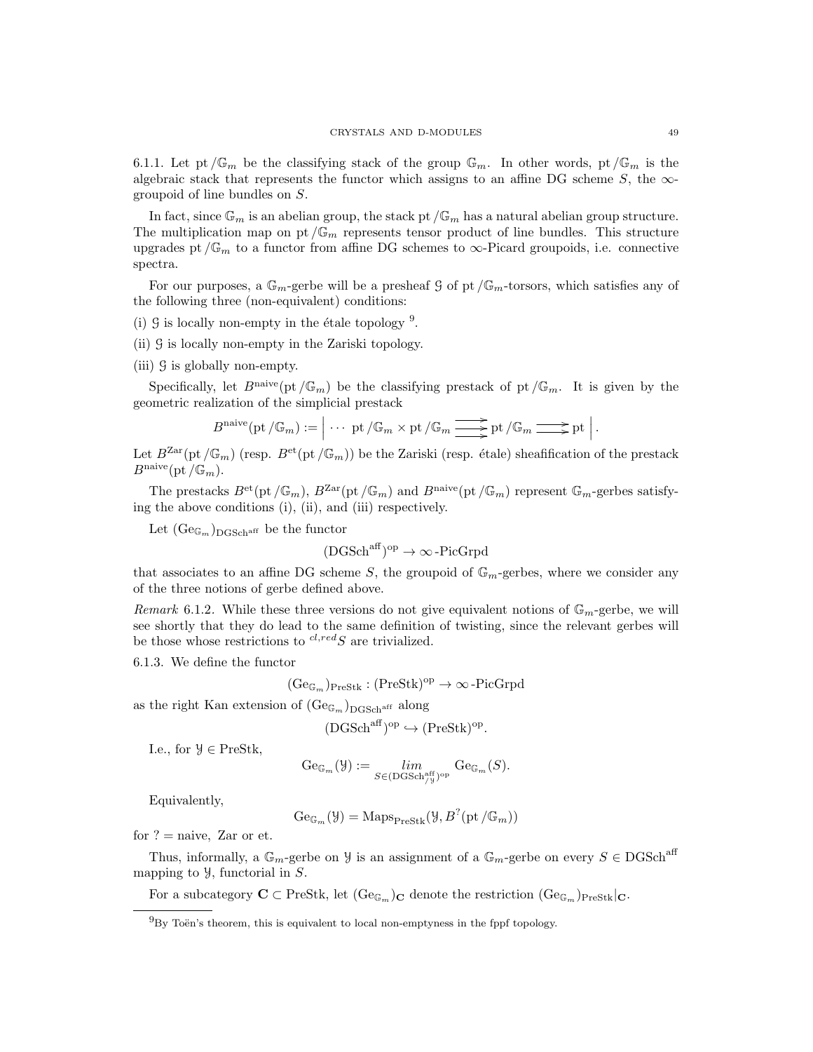6.1.1. Let pt  $\mathbb{G}_m$  be the classifying stack of the group  $\mathbb{G}_m$ . In other words, pt  $/\mathbb{G}_m$  is the algebraic stack that represents the functor which assigns to an affine DG scheme  $S$ , the  $\infty$ groupoid of line bundles on S.

In fact, since  $\mathbb{G}_m$  is an abelian group, the stack pt  $/\mathbb{G}_m$  has a natural abelian group structure. The multiplication map on pt  $/\mathbb{G}_m$  represents tensor product of line bundles. This structure upgrades pt / $\mathbb{G}_m$  to a functor from affine DG schemes to  $\infty$ -Picard groupoids, i.e. connective spectra.

For our purposes, a  $\mathbb{G}_m$ -gerbe will be a presheaf G of pt / $\mathbb{G}_m$ -torsors, which satisfies any of the following three (non-equivalent) conditions:

- (i)  $\mathcal G$  is locally non-empty in the étale topology  $^9$ .
- (ii) G is locally non-empty in the Zariski topology.
- (iii) G is globally non-empty.

Specifically, let  $B<sup>naive</sup>(pt/\mathbb{G}_m)$  be the classifying prestack of pt  $/\mathbb{G}_m$ . It is given by the geometric realization of the simplicial prestack

$$
B^{\text{naive}}(\text{pt }\!/\mathbb{G}_m):=\Big|\cdots\text{pt }\!/\mathbb{G}_m\times\text{pt }\!/\mathbb{G}_m\xrightarrow{\text{def}}\text{pt }\!/\mathbb{G}_m\xrightarrow{\text{def}}\text{pt }\Big|\,.
$$

Let  $B^{Zar}(\text{pt }/\mathbb{G}_m)$  (resp.  $B^{et}(\text{pt }/\mathbb{G}_m)$ ) be the Zariski (resp. étale) sheafification of the prestack  $B^{\text{naive}}(\text{pt }\mathscr{f}\mathbb{G}_m).$ 

The prestacks  $B^{\text{et}}(\text{pt }/\mathbb{G}_m)$ ,  $B^{\text{Zar}}(\text{pt }/\mathbb{G}_m)$  and  $B^{\text{naive}}(\text{pt }/\mathbb{G}_m)$  represent  $\mathbb{G}_m$ -gerbes satisfying the above conditions (i), (ii), and (iii) respectively.

Let  $(\text{Ge}_{\mathbb{G}_m})_{\text{DCSch}^{\text{aff}}}$  be the functor

$$
(DGSch^{aff})^{op} \to \infty\text{-PicGrpd}
$$

that associates to an affine DG scheme S, the groupoid of  $\mathbb{G}_m$ -gerbes, where we consider any of the three notions of gerbe defined above.

Remark 6.1.2. While these three versions do not give equivalent notions of  $\mathbb{G}_m$ -gerbe, we will see shortly that they do lead to the same definition of twisting, since the relevant gerbes will be those whose restrictions to  $^{cl, red}S$  are trivialized.

6.1.3. We define the functor

$$
(\mathrm{Ge}_{\mathbb{G}_m})_{\mathrm{PreStk}} : (\mathrm{PreStk})^{\mathrm{op}} \to \infty\,\text{-}\mathrm{PicGrpd}
$$

as the right Kan extension of  $(\text{Ge}_{\mathbb{G}_m})_{\text{DGSch}^{\text{aff}}}$  along

$$
(\text{DGSch}^{\text{aff}})^{\text{op}} \hookrightarrow (\text{PreStk})^{\text{op}}.
$$

I.e., for  $\mathcal{Y} \in \text{PreStk},$ 

$$
\mathrm{Ge}_{\mathbb{G}_m}(\mathcal{Y}):=\lim_{S\in(\mathrm{DGSch}_{/\mathcal{Y}}^{\mathrm{aff}})^{\mathrm{op}}}\mathrm{Ge}_{\mathbb{G}_m}(S).
$$

Equivalently,

$$
\mathrm{Ge}_{\mathbb{G}_m}(\mathcal{Y}) = \mathrm{Maps}_{\mathrm{PreStk}}(\mathcal{Y}, B^?(\mathrm{pt}\,/\mathbb{G}_m))
$$

for  $? = \text{naive}$ , Zar or et.

Thus, informally, a  $\mathbb{G}_m$ -gerbe on Y is an assignment of a  $\mathbb{G}_m$ -gerbe on every  $S \in DGSch<sup>aff</sup>$ mapping to  $\mathcal{Y}$ , functorial in  $S$ .

For a subcategory  $C \subset \text{PreStk}$ , let  $(\text{Ge}_{\mathbb{G}_m})_C$  denote the restriction  $(\text{Ge}_{\mathbb{G}_m})_{\text{PreStk}}|_C$ .

 $^{9}$ Bv Toën's theorem, this is equivalent to local non-emptyness in the fppf topology.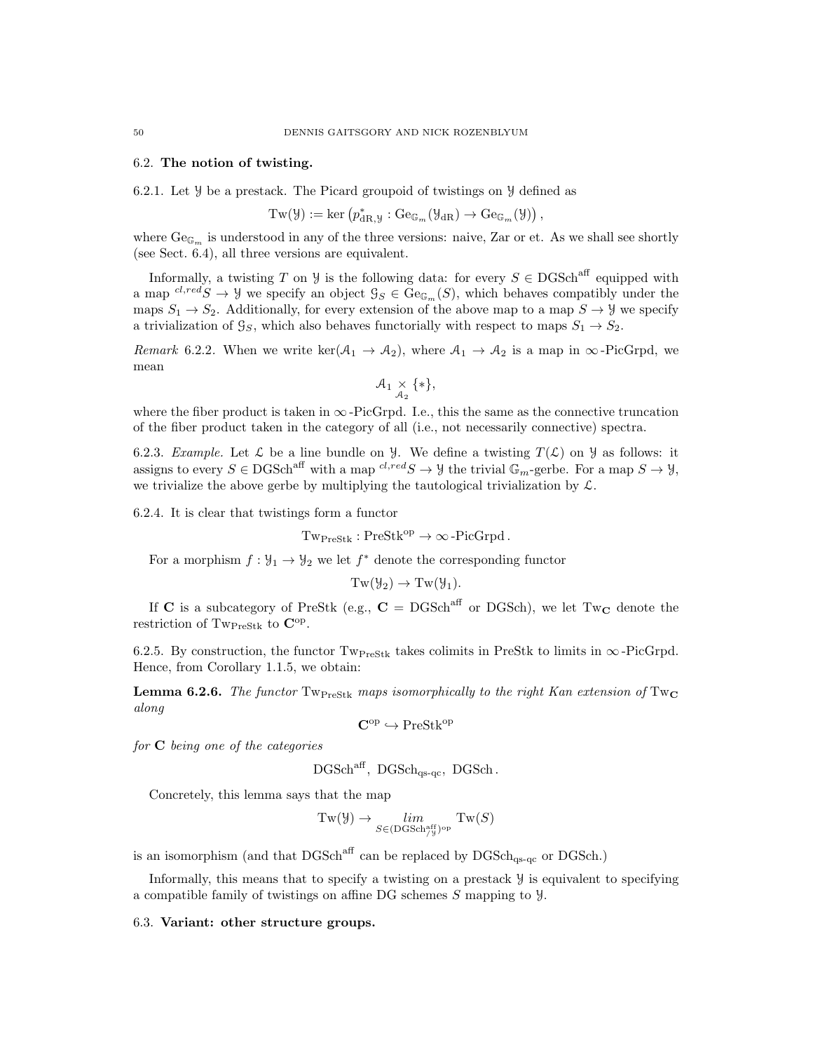#### 6.2. The notion of twisting.

6.2.1. Let Y be a prestack. The Picard groupoid of twistings on Y defined as

$$
Tw(\mathcal{Y}) := \ker \left( p_{\mathrm{dR},\mathcal{Y}}^* : \mathrm{Ge}_{\mathbb{G}_m}(\mathcal{Y}_{\mathrm{dR}}) \to \mathrm{Ge}_{\mathbb{G}_m}(\mathcal{Y}) \right),
$$

where  $Ge_{\mathbb{G}_m}$  is understood in any of the three versions: naive, Zar or et. As we shall see shortly (see Sect. 6.4), all three versions are equivalent.

Informally, a twisting T on Y is the following data: for every  $S \in \text{DGSch}^{\text{aff}}$  equipped with a map  ${}^{cl,red}S \to \mathcal{Y}$  we specify an object  $\mathcal{G}_S \in \mathrm{Ge}_{\mathbb{G}_m}(S)$ , which behaves compatibly under the maps  $S_1 \rightarrow S_2$ . Additionally, for every extension of the above map to a map  $S \rightarrow \mathcal{Y}$  we specify a trivialization of  $\mathcal{G}_S$ , which also behaves functorially with respect to maps  $S_1 \rightarrow S_2$ .

Remark 6.2.2. When we write ker( $A_1 \rightarrow A_2$ ), where  $A_1 \rightarrow A_2$  is a map in  $\infty$ -PicGrpd, we mean

$$
\mathcal{A}_1 \underset{\mathcal{A}_2}{\times} \{*\},
$$

where the fiber product is taken in  $\infty$ -PicGrpd. I.e., this the same as the connective truncation of the fiber product taken in the category of all (i.e., not necessarily connective) spectra.

6.2.3. Example. Let  $\mathcal L$  be a line bundle on  $\mathcal Y$ . We define a twisting  $T(\mathcal L)$  on  $\mathcal Y$  as follows: it assigns to every  $S \in DGSch<sup>aff</sup>$  with a map  ${}^{cl,red}S \to \mathcal{Y}$  the trivial  $\mathbb{G}_m$ -gerbe. For a map  $S \to \mathcal{Y}$ , we trivialize the above gerbe by multiplying the tautological trivialization by  $\mathcal{L}$ .

6.2.4. It is clear that twistings form a functor

 $Tw_{\text{PreStk}} : \text{PreStk}^{\text{op}} \to \infty$ -PicGrpd.

For a morphism  $f: \mathcal{Y}_1 \to \mathcal{Y}_2$  we let  $f^*$  denote the corresponding functor

$$
Tw(\mathcal{Y}_2) \to Tw(\mathcal{Y}_1).
$$

If C is a subcategory of PreStk (e.g.,  $C = DGSch<sup>aff</sup>$  or DGSch), we let Tw<sub>C</sub> denote the restriction of Tw<sub>PreStk</sub> to  $\mathbf{C}^{\mathrm{op}}$ .

6.2.5. By construction, the functor  $Tw_{PreStk}$  takes colimits in PreStk to limits in  $\infty$ -PicGrpd. Hence, from Corollary 1.1.5, we obtain:

**Lemma 6.2.6.** The functor  $Tw_{\text{Preskt}}$  maps isomorphically to the right Kan extension of  $Tw_{\text{C}}$ along

$$
\mathbf{C}^{\mathrm{op}} \hookrightarrow \mathrm{PreStk}^{\mathrm{op}}
$$

for C being one of the categories

$$
\rm DGSch^{aff},\ DGSch_{qs\text{-}qc},\ DGSch.
$$

Concretely, this lemma says that the map

$$
\operatorname{Tw}(\mathcal{Y}) \to \lim_{S \in (\operatorname{DGSch}_{/\mathcal{Y}}^{\operatorname{aff}})^{\operatorname{op}}} \operatorname{Tw}(S)
$$

is an isomorphism (and that  $DGSch^{aff}$  can be replaced by  $DGSch_{gs-gc}$  or DGSch.)

Informally, this means that to specify a twisting on a prestack  $\mathcal Y$  is equivalent to specifying a compatible family of twistings on affine DG schemes S mapping to Y.

6.3. Variant: other structure groups.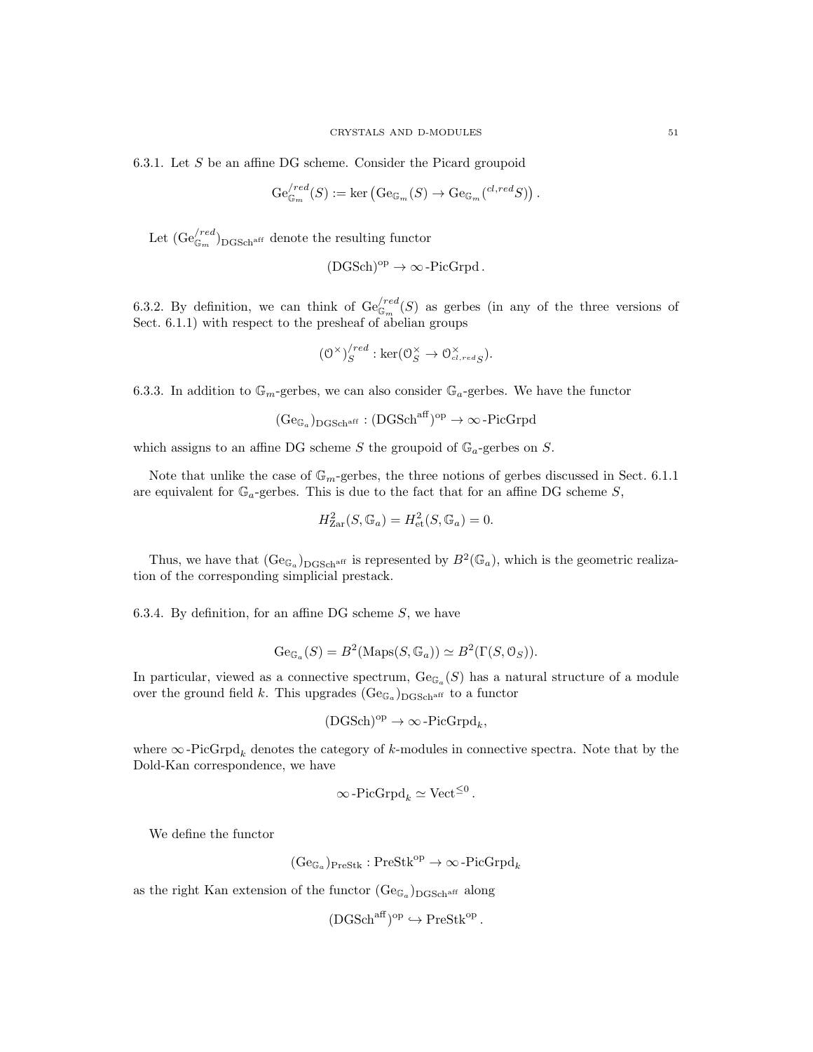6.3.1. Let  $S$  be an affine DG scheme. Consider the Picard groupoid

$$
\mathrm{Ge}_{\mathbb{G}_m}^{/red}(S) := \mathrm{ker} \left( \mathrm{Ge}_{\mathbb{G}_m}(S) \to \mathrm{Ge}_{\mathbb{G}_m} ({}^{cl,red}S) \right).
$$

Let  $(\text{Ge}_{\mathbb{G}_m}^{(red})_{\text{DGSch}^{\text{aff}}}$  denote the resulting functor

$$
(\mathrm{DGSch})^{\mathrm{op}} \to \infty\,\text{-}\mathrm{PicGrpd}\,.
$$

6.3.2. By definition, we can think of  $\mathrm{Ge}_{\mathbb{G}_m}^{(red)}(S)$  as gerbes (in any of the three versions of Sect. 6.1.1) with respect to the presheaf of abelian groups

$$
(\mathcal{O}^{\times})_{S}^{/red} : \ker(\mathcal{O}_{S}^{\times} \to \mathcal{O}_{cl,redS}^{\times}).
$$

6.3.3. In addition to  $\mathbb{G}_m$ -gerbes, we can also consider  $\mathbb{G}_a$ -gerbes. We have the functor

 $(\mathrm{Ge}_{\mathbb{G}_a})_{\mathrm{DGSch}^{\mathrm{aff}}}: (\mathrm{DGSch}^{\mathrm{aff}})^{\mathrm{op}}\to \infty\operatorname{-PicGrpd}$ 

which assigns to an affine DG scheme S the groupoid of  $\mathbb{G}_a$ -gerbes on S.

Note that unlike the case of  $\mathbb{G}_m$ -gerbes, the three notions of gerbes discussed in Sect. 6.1.1 are equivalent for  $\mathbb{G}_a$ -gerbes. This is due to the fact that for an affine DG scheme S,

$$
H_{\text{Zar}}^2(S, \mathbb{G}_a) = H_{\text{et}}^2(S, \mathbb{G}_a) = 0.
$$

Thus, we have that  $(\text{Ge}_{\mathbb{G}_a})_{\text{DGSch}^{\text{aff}}}$  is represented by  $B^2(\mathbb{G}_a)$ , which is the geometric realization of the corresponding simplicial prestack.

6.3.4. By definition, for an affine DG scheme  $S$ , we have

$$
Ge_{\mathbb{G}_a}(S) = B^2(\text{Maps}(S, \mathbb{G}_a)) \simeq B^2(\Gamma(S, \mathbb{O}_S)).
$$

In particular, viewed as a connective spectrum,  $Ge_{\mathbb{G}_a}(S)$  has a natural structure of a module over the ground field k. This upgrades  $(\text{Ge}_{\mathbb{G}_a})_{\text{DGSch}^{\text{aff}}}$  to a functor

$$
(\mathrm{DGSch})^{\mathrm{op}}\rightarrow\infty\operatorname{-PicGrpd}\nolimits_k,
$$

where  $\infty$ -PicGrpd<sub>k</sub> denotes the category of k-modules in connective spectra. Note that by the Dold-Kan correspondence, we have

$$
\infty
$$
-PicGrpd<sub>k</sub>  $\simeq$  Vect <sup>$\leq 0$</sup> .

We define the functor

$$
(\mathrm{Ge}_{\mathbb{G}_a})_{\mathrm{PreStk}}:\mathrm{PreStk}^{\mathrm{op}}\to\infty\operatorname{-PicGrpd}_k
$$

as the right Kan extension of the functor  $(\text{Ge}_{\mathbb{G}_a})_{\text{DGSch}^{\text{aff}}}$  along

$$
(\mathrm{DGSch}^{\mathrm{aff}})^{\mathrm{op}} \hookrightarrow \mathrm{PreStk}^{\mathrm{op}}.
$$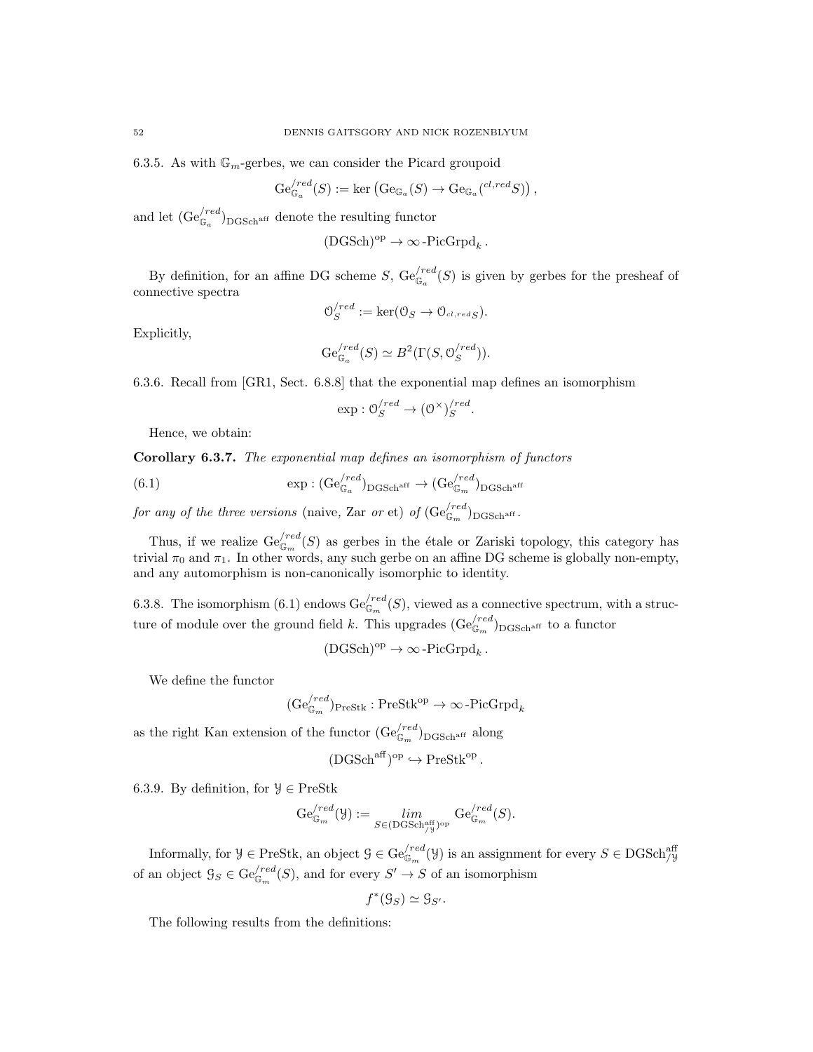6.3.5. As with  $\mathbb{G}_m$ -gerbes, we can consider the Picard groupoid

$$
\mathrm{Ge}_{\mathbb{G}_a}^{\prime red}(S) := \mathrm{ker} \left( \mathrm{Ge}_{\mathbb{G}_a}(S) \to \mathrm{Ge}_{\mathbb{G}_a}^{\prime} \left( \mathrm{c}^{l, red} S \right) \right),
$$

and let  $(\text{Ge}_{\mathbb{G}_a}^{/red})_{\text{DGSch}^{\text{aff}}}$  denote the resulting functor

$$
(\text{DGSch})^{\text{op}} \to \infty\text{-}\text{PicGrpd}_k\,.
$$

By definition, for an affine DG scheme S,  $\text{Ge}_{\mathbb{G}_a}^{(red)}(S)$  is given by gerbes for the presheaf of connective spectra

$$
\mathcal{O}_S^{/red} := \ker(\mathcal{O}_S \to \mathcal{O}_{cl, redS}).
$$

Explicitly,

$$
\mathrm{Ge}_{\mathbb{G}_a}^{\prime red}(S) \simeq B^2(\Gamma(S, \mathcal{O}_S^{\prime red})).
$$

6.3.6. Recall from [GR1, Sect. 6.8.8] that the exponential map defines an isomorphism

$$
\exp: \mathcal{O}_S^{/red} \to (\mathcal{O}^\times)^{/red}_S.
$$

Hence, we obtain:

Corollary 6.3.7. The exponential map defines an isomorphism of functors

(6.1)  $\exp : (\text{Ge}_{\mathbb{G}_a}^{\langle red \rangle}_{\text{DGSch}^{\text{aff}}} \to (\text{Ge}_{\mathbb{G}_m}^{\langle red \rangle}_{\text{DGSch}^{\text{aff}}}$ 

for any of the three versions (naive, Zar or et) of  $(\text{Ge}_{\mathbb{G}_m}^{(red})_{\text{DGSch}^{\text{aff}}}.$ 

Thus, if we realize  $\mathrm{Ge}_{\mathbb{G}_m}^{/red}(S)$  as gerbes in the étale or Zariski topology, this category has trivial  $\pi_0$  and  $\pi_1$ . In other words, any such gerbe on an affine DG scheme is globally non-empty, and any automorphism is non-canonically isomorphic to identity.

6.3.8. The isomorphism (6.1) endows  $\text{Ge}_{\mathbb{G}_m}^{(red)}(S)$ , viewed as a connective spectrum, with a structure of module over the ground field k. This upgrades  $(\text{Ge}_{\mathbb{G}_m}^{(red})_{\text{DGSch}^{\text{aff}}}$  to a functor

$$
(\mathrm{DGSch})^{\mathrm{op}}\to\infty\operatorname{-PicGrpd}\nolimits_k.
$$

We define the functor

$$
(\mathrm{Ge}_{\mathbb{G}_m}^{/red})_{\mathrm{PreStk}} : \mathrm{PreStk}^{\mathrm{op}} \to \infty \text{-}\mathrm{PicGrpd}_k
$$

as the right Kan extension of the functor  $(\text{Ge}_{\mathbb{G}_m}^{/red})_{\text{DGSch}^{\text{aff}}}$  along

$$
(\mathrm{DGSch}^{\mathrm{aff}})^{\mathrm{op}} \hookrightarrow \mathrm{PreStk}^{\mathrm{op}}.
$$

6.3.9. By definition, for  $\mathcal{Y} \in \text{PreStk}$ 

$$
\mathrm{Ge}_{\mathbb{G}_m}^{/red}(\mathcal{Y}):=\lim_{S\in (\mathrm{DGSch}_{/\mathcal{Y}}^{\mathrm{aff}})^{\mathrm{op}}} \mathrm{Ge}_{\mathbb{G}_m}^{/red}(S).
$$

Informally, for  $\mathcal{Y} \in \text{PreStk}$ , an object  $\mathcal{G} \in \text{Ge}_{\mathbb{G}_m}^{/red}(\mathcal{Y})$  is an assignment for every  $S \in \text{DGSch}_{/\mathcal{Y}}^{\text{aff}}$ of an object  $\mathcal{G}_S \in \mathrm{Ge}_{\mathbb{G}_m}^{(red)}(S)$ , and for every  $S' \to S$  of an isomorphism

$$
f^*(\mathcal{G}_S) \simeq \mathcal{G}_{S'}.
$$

The following results from the definitions: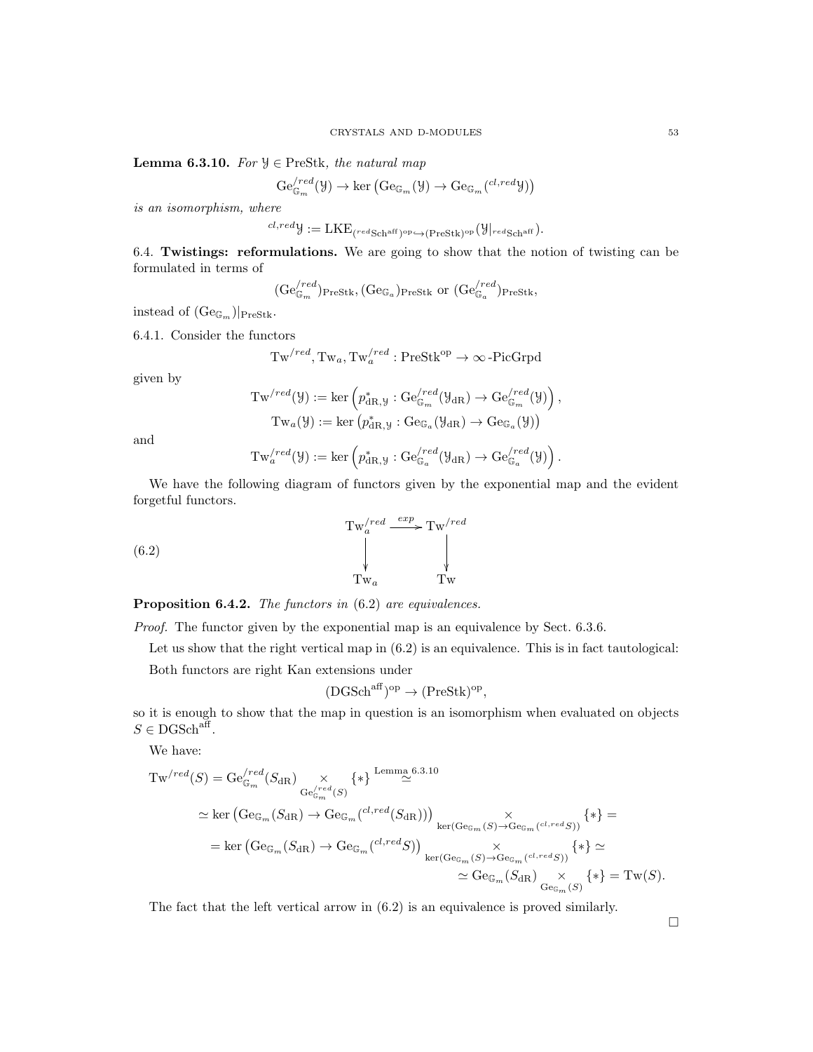Lemma 6.3.10. For  $\mathcal{Y} \in \text{PreStk},$  the natural map

$$
\mathrm{Ge}_{\mathbb{G}_m}^{/red}(\mathcal{Y}) \to \ker \left( \mathrm{Ge}_{\mathbb{G}_m}(\mathcal{Y}) \to \mathrm{Ge}_{\mathbb{G}_m}(^{cl,red} \mathcal{Y}) \right)
$$

is an isomorphism, where

$$
{}^{cl,red}{\mathcal Y}:=\text{LKE}_{({}^{red}\text{Sch}^{\text{aff}})^{\text{op}} \hookrightarrow ({\text{PreStk})}^{\text{op}}}({\mathcal Y}|_{red\text{Sch}^{\text{aff}}}).
$$

6.4. Twistings: reformulations. We are going to show that the notion of twisting can be formulated in terms of

 $(\text{Ge}_{\mathbb{G}_m}^{\textit{(red)}})_{\text{PreStk}}, (\text{Ge}_{\mathbb{G}_a})_{\text{PreStk}}$  or  $(\text{Ge}_{\mathbb{G}_a}^{\textit{(red)}})_{\text{PreStk}},$ 

instead of  $(\text{Ge}_{\mathbb{G}_m})|_{\text{PreStk}}$ .

6.4.1. Consider the functors

$$
\mathrm{Tw}^{/red}, \mathrm{Tw}_a, \mathrm{Tw}^{/red}_a : \mathrm{PreStk}^{\mathrm{op}} \to \infty\text{-PicGrpd}
$$

given by

$$
Tw^{/red}(\mathcal{Y}) := \ker \left( p_{dR,\mathcal{Y}}^* : Ge_{\mathbb{G}_m}^{/red}(\mathcal{Y}_{dR}) \to Ge_{\mathbb{G}_m}^{/red}(\mathcal{Y}) \right),
$$
  

$$
Tw_a(\mathcal{Y}) := \ker \left( p_{dR,\mathcal{Y}}^* : Ge_{\mathbb{G}_a}(\mathcal{Y}_{dR}) \to Ge_{\mathbb{G}_a}(\mathcal{Y}) \right)
$$

and

$$
\mathrm{Tw}_{a}^{/red}(\mathcal{Y}):=\mathrm{ker}\left(p^*_{\mathrm{dR},\mathcal{Y}}:\mathrm{Ge}_{\mathbb{G}_a}^{/red}(\mathcal{Y}_{\mathrm{dR}})\to \mathrm{Ge}_{\mathbb{G}_a}^{/red}(\mathcal{Y})\right).
$$

We have the following diagram of functors given by the exponential map and the evident forgetful functors.

(6.2) 
$$
\begin{array}{ccc}\n & \text{Tw}_{a}^{\prime \text{red}} \xrightarrow{\text{exp}} \text{Tw}_{\text{w}}^{\prime \text{red}} \\
 & \downarrow \qquad & \downarrow \qquad \qquad \downarrow \\
 & \text{Tw}_{a} & \text{Tw}_{a}\n\end{array}
$$

Proposition 6.4.2. The functors in  $(6.2)$  are equivalences.

Proof. The functor given by the exponential map is an equivalence by Sect. 6.3.6.

Let us show that the right vertical map in  $(6.2)$  is an equivalence. This is in fact tautological:

Both functors are right Kan extensions under

$$
(\text{DGSch}^{\text{aff}})^{\text{op}} \to (\text{PreStk})^{\text{op}},
$$

so it is enough to show that the map in question is an isomorphism when evaluated on objects  $S \in \text{DGSch}^{\text{aff}}$ .

We have:

$$
\begin{split} \operatorname{Tw}^{\prime red}(S) &= \operatorname{Ge}_{\mathbb{G}_m}^{\prime red}(S_{\operatorname{dR}}) \underset{\operatorname{Ge}_{\mathbb{G}_m}^{\prime red}(S)}{\times} \{*\}^{\operatorname{Lemma 6.3.10}} \\ &\simeq \ker \left(\operatorname{Ge}_{\mathbb{G}_m}(S_{\operatorname{dR}}) \to \operatorname{Ge}_{\mathbb{G}_m}^{\prime \circ \operatorname{red}}(S_{\operatorname{dR}}))\right)_{\ker(\operatorname{Ge}_{\mathbb{G}_m}(S) \to \operatorname{Ge}_{\mathbb{G}_m}(c^l, redS))} \{*\} = \\ &= \ker \left(\operatorname{Ge}_{\mathbb{G}_m}(S_{\operatorname{dR}}) \to \operatorname{Ge}_{\mathbb{G}_m}^{\prime \circ \operatorname{cl}, red}S)\right)_{\ker(\operatorname{Ge}_{\mathbb{G}_m}(S) \to \operatorname{Ge}_{\mathbb{G}_m}^{\prime \circ \operatorname{cl}, redS))}} \{*\} \simeq \\ &\simeq \operatorname{Ge}_{\mathbb{G}_m}(S_{\operatorname{dR}}) \underset{\operatorname{Ge}_{\mathbb{G}_m}(S)}{\times} \{*\} = \operatorname{Tw}(S). \end{split}
$$

The fact that the left vertical arrow in (6.2) is an equivalence is proved similarly.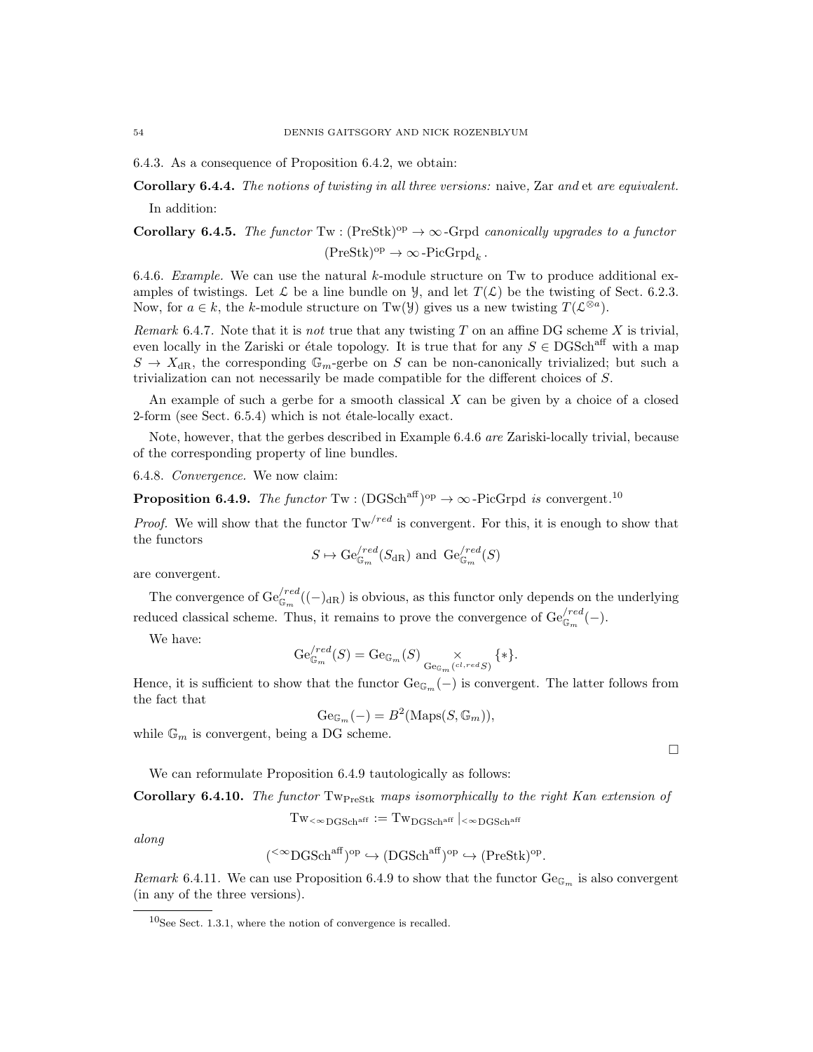6.4.3. As a consequence of Proposition 6.4.2, we obtain:

Corollary 6.4.4. The notions of twisting in all three versions: naive, Zar and et are equivalent. In addition:

Corollary 6.4.5. The functor Tw : (PreStk)<sup>op</sup>  $\rightarrow \infty$ -Grpd canonically upgrades to a functor  $(PreStk)^{op} \to \infty$ -PicGrpd<sub>k</sub>.

6.4.6. Example. We can use the natural k-module structure on Tw to produce additional examples of twistings. Let  $\mathcal L$  be a line bundle on  $\mathcal Y$ , and let  $T(\mathcal L)$  be the twisting of Sect. 6.2.3. Now, for  $a \in k$ , the k-module structure on Tw( $\mathcal{Y}$ ) gives us a new twisting  $T(\mathcal{L}^{\otimes a})$ .

Remark 6.4.7. Note that it is not true that any twisting  $T$  on an affine DG scheme  $X$  is trivial, even locally in the Zariski or étale topology. It is true that for any  $S \in \text{DGSch}^{\text{aff}}$  with a map  $S \to X_{\text{dR}}$ , the corresponding  $\mathbb{G}_m$ -gerbe on S can be non-canonically trivialized; but such a trivialization can not necessarily be made compatible for the different choices of S.

An example of such a gerbe for a smooth classical  $X$  can be given by a choice of a closed  $2$ -form (see Sect. 6.5.4) which is not étale-locally exact.

Note, however, that the gerbes described in Example 6.4.6 are Zariski-locally trivial, because of the corresponding property of line bundles.

6.4.8. Convergence. We now claim:

**Proposition 6.4.9.** The functor  $Tw : (DGSch^{aff})^{op} \to \infty$ -PicGrpd is convergent.<sup>10</sup>

*Proof.* We will show that the functor  $Tw^{/red}$  is convergent. For this, it is enough to show that the functors

$$
S \mapsto \mathrm{Ge}_{\mathbb{G}_m}^{\prime \mathrm{red}}(S_{\mathrm{dR}})
$$
 and  $\mathrm{Ge}_{\mathbb{G}_m}^{\prime \mathrm{red}}(S)$ 

are convergent.

The convergence of  $\text{Ge}_{\mathbb{G}_m}^{/red}((-)_{\text{dR}})$  is obvious, as this functor only depends on the underlying reduced classical scheme. Thus, it remains to prove the convergence of  $\mathrm{Ge}_{\mathbb{G}_m}^{(red)}(-)$ .

We have:

$$
\mathrm{Ge}_{\mathbb{G}_m}^{\prime red}(S) = \mathrm{Ge}_{\mathbb{G}_m}(S) \underset{\mathrm{Ge}_{\mathbb{G}_m}(^{cl, red}S)}{\times} \{*\}.
$$

Hence, it is sufficient to show that the functor  $Ge_{\mathbb{G}_m}(-)$  is convergent. The latter follows from the fact that

$$
\mathrm{Ge}_{\mathbb{G}_m}(-) = B^2(\mathrm{Maps}(S, \mathbb{G}_m)),
$$

while  $\mathbb{G}_m$  is convergent, being a DG scheme.

 $\Box$ 

We can reformulate Proposition 6.4.9 tautologically as follows:

Corollary 6.4.10. The functor  $Tw_{\text{PreStk}}$  maps isomorphically to the right Kan extension of

$$
\mathrm{Tw}_{<\infty \mathrm{DGSch}^{\mathrm{aff}}}:=\mathrm{Tw}_{\mathrm{DGSch}^{\mathrm{aff}}}\mid_{<\infty \mathrm{DGSch}^{\mathrm{aff}}}
$$

along

$$
(\leq^{\infty}DGSch^{aff})^{op} \hookrightarrow (DGSch^{aff})^{op} \hookrightarrow (PreStk)^{op}.
$$

Remark 6.4.11. We can use Proposition 6.4.9 to show that the functor  $Ge_{\mathbb{G}_m}$  is also convergent (in any of the three versions).

 $10$ See Sect. 1.3.1, where the notion of convergence is recalled.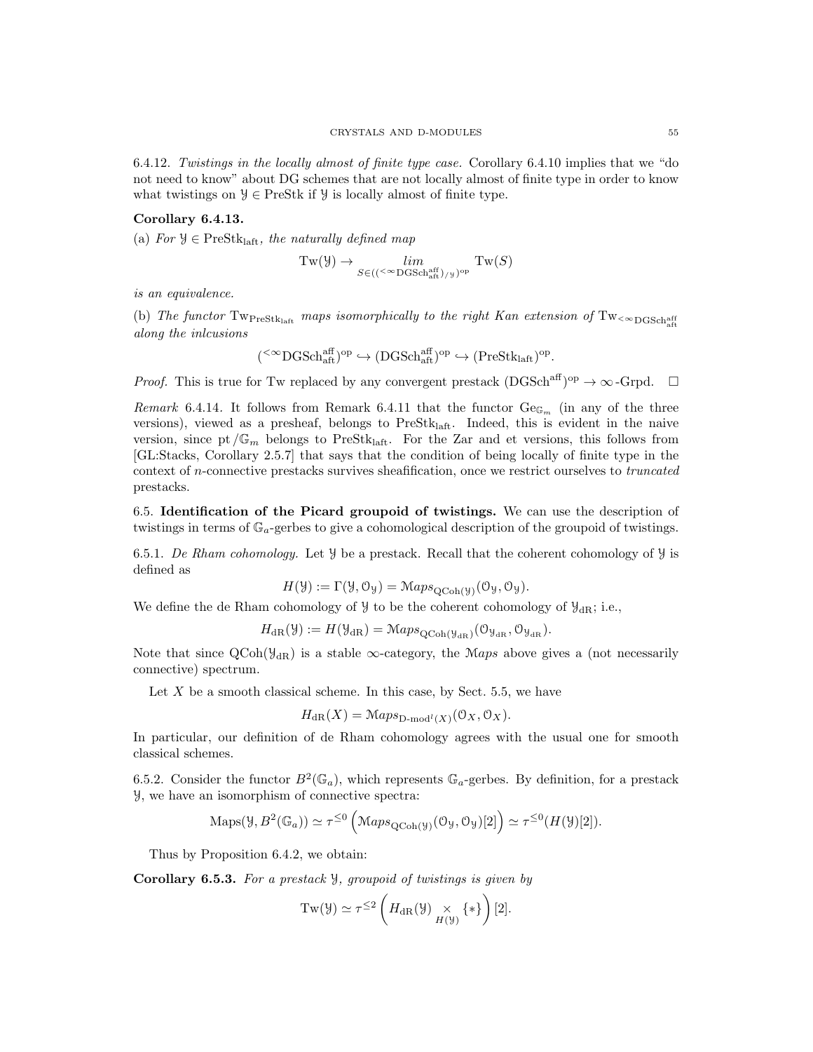6.4.12. Twistings in the locally almost of finite type case. Corollary 6.4.10 implies that we "do not need to know" about DG schemes that are not locally almost of finite type in order to know what twistings on  $\mathcal{Y} \in \text{PreStk}$  if  $\mathcal{Y}$  is locally almost of finite type.

# Corollary 6.4.13.

(a) For  $\mathcal{Y} \in \text{PreStk}_{\text{laff}}$ , the naturally defined map

$$
\operatorname{Tw}(\mathcal{Y}) \to \lim_{S \in (({}^{\leq \infty} \operatorname{DGSch}^{\operatorname{aff}}_{\operatorname{alt}})_{/\mathcal{Y}})^{\operatorname{op}}} \operatorname{Tw}(S)
$$

is an equivalence.

(b) The functor  $Tw_{\text{PreStk}_{\text{laff}}}$  maps isomorphically to the right Kan extension of  $Tw_{\leq \infty \text{DGSch}_{\text{aff}}^{\text{aff}}}$ along the inlcusions

$$
({}^{<\infty}{\mathrm{DGSch}}^{{\mathrm{aff}}}_{{\mathrm{aff}}})^{{\mathrm{op}}}\hookrightarrow({\mathrm{DGSch}}^{{\mathrm{aff}}}_{{\mathrm{aff}}})^{{\mathrm{op}}}\hookrightarrow({\mathrm{PreStk}}_{{\mathrm{laft}}})^{{\mathrm{op}}}.
$$

*Proof.* This is true for Tw replaced by any convergent prestack  $(DGSch^{aff})^{op} \to \infty$ -Grpd.  $\square$ 

Remark 6.4.14. It follows from Remark 6.4.11 that the functor  $Ge_{\mathbb{G}_m}$  (in any of the three versions), viewed as a presheaf, belongs to  $PreStk<sub>laff</sub>$ . Indeed, this is evident in the naive version, since pt  $/\mathbb{G}_m$  belongs to PreStk<sub>laft</sub>. For the Zar and et versions, this follows from [GL:Stacks, Corollary 2.5.7] that says that the condition of being locally of finite type in the context of n-connective prestacks survives sheafification, once we restrict ourselves to truncated prestacks.

6.5. Identification of the Picard groupoid of twistings. We can use the description of twistings in terms of  $\mathbb{G}_a$ -gerbes to give a cohomological description of the groupoid of twistings.

6.5.1. De Rham cohomology. Let  $\mathcal Y$  be a prestack. Recall that the coherent cohomology of  $\mathcal Y$  is defined as

$$
H(\mathcal{Y}) := \Gamma(\mathcal{Y}, \mathcal{O}_{\mathcal{Y}}) = \mathcal{M}aps_{\mathrm{QCoh}(\mathcal{Y})}(\mathcal{O}_{\mathcal{Y}}, \mathcal{O}_{\mathcal{Y}}).
$$

We define the de Rham cohomology of  $\mathcal{Y}$  to be the coherent cohomology of  $\mathcal{Y}_{dR}$ ; i.e.,

$$
H_{\mathrm{dR}}(\mathcal{Y}) := H(\mathcal{Y}_{\mathrm{dR}}) = \mathcal{M}aps_{\mathrm{QCoh}(\mathcal{Y}_{\mathrm{dR}})}(\mathcal{O}_{\mathcal{Y}_{\mathrm{dR}}}, \mathcal{O}_{\mathcal{Y}_{\mathrm{dR}}}).
$$

Note that since  $QCoh(\mathcal{Y}_{dR})$  is a stable  $\infty$ -category, the Maps above gives a (not necessarily connective) spectrum.

Let  $X$  be a smooth classical scheme. In this case, by Sect. 5.5, we have

$$
H_{\mathrm{dR}}(X) = \mathrm{Maps}_{\mathrm{D-mod}^l(X)}(\mathcal{O}_X, \mathcal{O}_X).
$$

In particular, our definition of de Rham cohomology agrees with the usual one for smooth classical schemes.

6.5.2. Consider the functor  $B^2(\mathbb{G}_a)$ , which represents  $\mathbb{G}_a$ -gerbes. By definition, for a prestack Y, we have an isomorphism of connective spectra:

$$
\mathrm{Maps}(\mathcal{Y}, B^2(\mathbb{G}_a)) \simeq \tau^{\leq 0} \left( \mathcal{M}aps_{\mathrm{QCoh}(\mathcal{Y})}(\mathcal{O}_{\mathcal{Y}}, \mathcal{O}_{\mathcal{Y}})[2] \right) \simeq \tau^{\leq 0} (H(\mathcal{Y})[2]).
$$

Thus by Proposition 6.4.2, we obtain:

Corollary 6.5.3. For a prestack Y, groupoid of twistings is given by

$$
Tw(\mathcal{Y}) \simeq \tau^{\leq 2} \left( H_{\mathrm{dR}}(\mathcal{Y}) \underset{H(\mathcal{Y})}{\times} \{ * \} \right) [2].
$$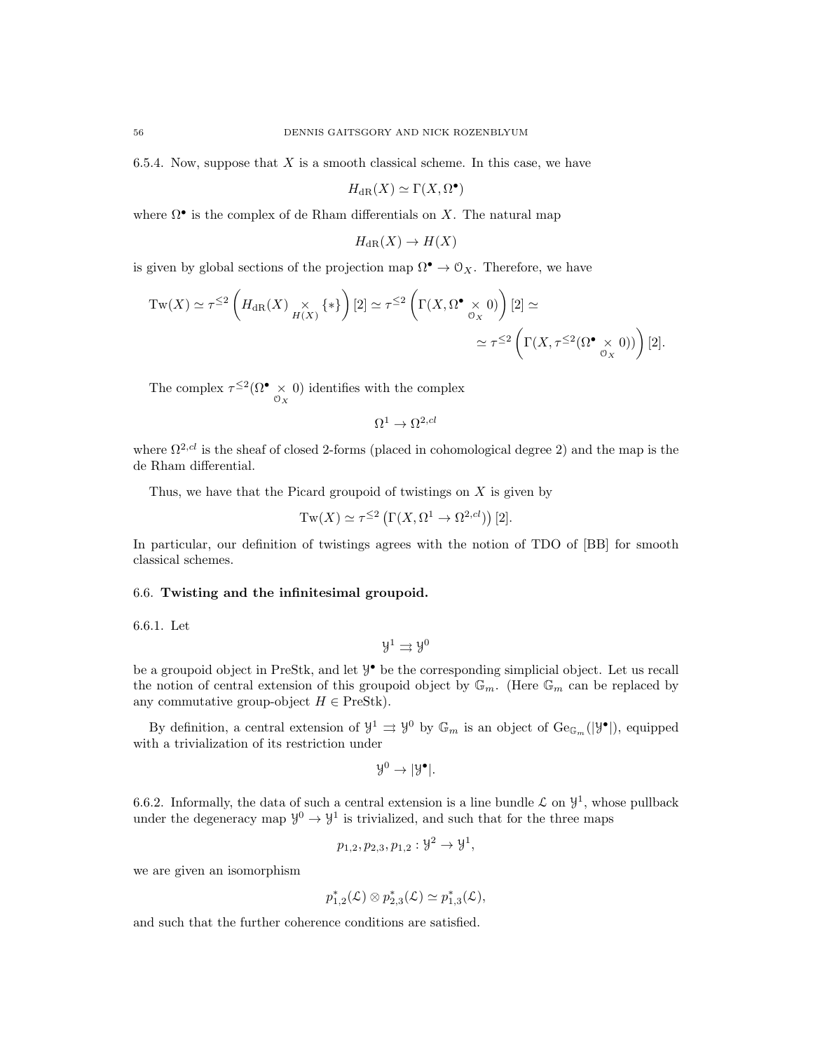6.5.4. Now, suppose that  $X$  is a smooth classical scheme. In this case, we have

$$
H_{\mathrm{dR}}(X) \simeq \Gamma(X, \Omega^{\bullet})
$$

where  $\Omega^{\bullet}$  is the complex of de Rham differentials on X. The natural map

$$
H_{\mathrm{dR}}(X) \to H(X)
$$

is given by global sections of the projection map  $\Omega^{\bullet} \to \mathcal{O}_X$ . Therefore, we have

$$
\mathrm{Tw}(X) \simeq \tau^{\leq 2} \left( H_{\mathrm{dR}}(X) \underset{H(X)}{\times} \{ * \} \right) [2] \simeq \tau^{\leq 2} \left( \Gamma(X, \Omega^{\bullet} \underset{\mathcal{O}_X}{\times} 0) \right) [2] \simeq
$$
  

$$
\simeq \tau^{\leq 2} \left( \Gamma(X, \tau^{\leq 2} (\Omega^{\bullet} \underset{\mathcal{O}_X}{\times} 0)) \right) [2].
$$

The complex  $\tau^{\leq 2}(\Omega^{\bullet} \times \{0\})$  identifies with the complex

$$
\Omega^1\to\Omega^{2,cl}
$$

where  $\Omega^{2,cl}$  is the sheaf of closed 2-forms (placed in cohomological degree 2) and the map is the de Rham differential.

Thus, we have that the Picard groupoid of twistings on  $X$  is given by

$$
Tw(X) \simeq \tau^{\leq 2} \left( \Gamma(X, \Omega^1 \to \Omega^{2, cl}) \right) [2].
$$

In particular, our definition of twistings agrees with the notion of TDO of [BB] for smooth classical schemes.

# 6.6. Twisting and the infinitesimal groupoid.

6.6.1. Let

 $\mathcal{Y}^1 \rightrightarrows \mathcal{Y}^0$ 

be a groupoid object in PreStk, and let  $\mathcal{Y}^{\bullet}$  be the corresponding simplicial object. Let us recall the notion of central extension of this groupoid object by  $\mathbb{G}_m$ . (Here  $\mathbb{G}_m$  can be replaced by any commutative group-object  $H \in \text{PreStk}$ .

By definition, a central extension of  $\mathcal{Y}^1 \rightrightarrows \mathcal{Y}^0$  by  $\mathbb{G}_m$  is an object of  $\text{Ge}_{\mathbb{G}_m}(|\mathcal{Y}^{\bullet}|)$ , equipped with a trivialization of its restriction under

$$
\mathcal{Y}^0 \to |\mathcal{Y}^{\bullet}|.
$$

6.6.2. Informally, the data of such a central extension is a line bundle  $\mathcal L$  on  $\mathcal Y^1$ , whose pullback under the degeneracy map  $\mathcal{Y}^0 \to \mathcal{Y}^1$  is trivialized, and such that for the three maps

$$
p_{1,2}, p_{2,3}, p_{1,2}: \mathcal{Y}^2 \to \mathcal{Y}^1,
$$

we are given an isomorphism

$$
p_{1,2}^*(\mathcal{L}) \otimes p_{2,3}^*(\mathcal{L}) \simeq p_{1,3}^*(\mathcal{L}),
$$

and such that the further coherence conditions are satisfied.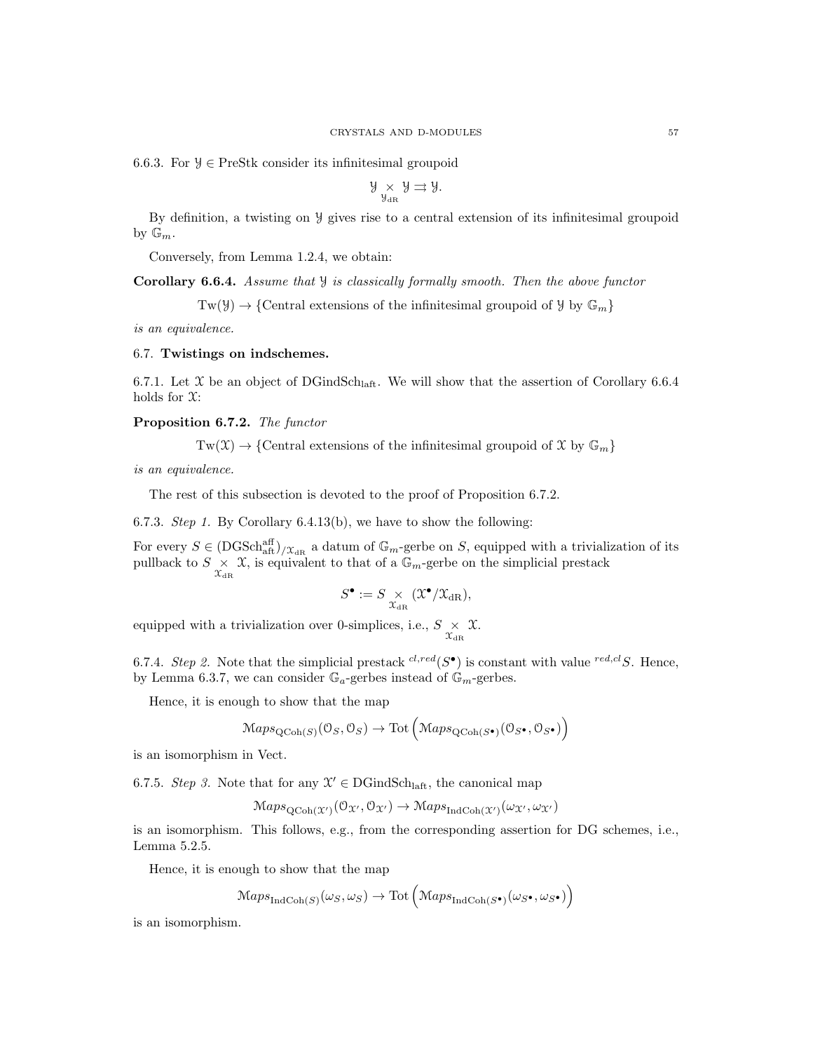6.6.3. For  $\mathcal{Y} \in \text{PreStk}$  consider its infinitesimal groupoid

$$
\mathcal{Y}_{\mathcal{Y}_{\mathrm{dR}}} \times \mathcal{Y} \rightrightarrows \mathcal{Y}.
$$

By definition, a twisting on Y gives rise to a central extension of its infinitesimal groupoid by  $\mathbb{G}_m$ .

Conversely, from Lemma 1.2.4, we obtain:

**Corollary 6.6.4.** Assume that  $\mathcal{Y}$  is classically formally smooth. Then the above functor

 $Tw(\mathcal{Y}) \to \{Central$  extensions of the infinitesimal groupoid of  $\mathcal{Y}$  by  $\mathbb{G}_m\}$ 

is an equivalence.

#### 6.7. Twistings on indschemes.

6.7.1. Let X be an object of DGindSch<sub>laft</sub>. We will show that the assertion of Corollary 6.6.4 holds for  $\mathfrak{X}$ :

Proposition 6.7.2. The functor

 $Tw(\mathfrak{X}) \to \{\text{Central extensions of the infinitesimal groupoid of } \mathfrak{X} \text{ by } \mathbb{G}_m\}$ 

is an equivalence.

The rest of this subsection is devoted to the proof of Proposition 6.7.2.

6.7.3. *Step 1*. By Corollary 6.4.13(b), we have to show the following:

For every  $S \in (DGSch_{\text{aff}}^{\text{aff}})_{X_{\text{dR}}}$  a datum of  $\mathbb{G}_m$ -gerbe on S, equipped with a trivialization of its pullback to  $S \times \chi$ , is equivalent to that of a  $\mathbb{G}_m$ -gerbe on the simplicial prestack

$$
S^\bullet:=S \underset{\mathcal{X}_{\mathrm{dR}}}{\times} (\mathfrak{X}^\bullet/\mathfrak{X}_{\mathrm{dR}}),
$$

equipped with a trivialization over 0-simplices, i.e.,  $S \underset{\mathcal{X}_{\text{dR}}}{\times} \mathcal{X}$ .

6.7.4. Step 2. Note that the simplicial prestack  ${}^{cl,red}(S^{\bullet})$  is constant with value  ${}^{red,cl}S$ . Hence, by Lemma 6.3.7, we can consider  $\mathbb{G}_a$ -gerbes instead of  $\mathbb{G}_m$ -gerbes.

Hence, it is enough to show that the map

$$
Maps_{\text{QCoh}(S)}(\mathcal{O}_S, \mathcal{O}_S) \to \text{Tot}\left(Maps_{\text{QCoh}(S^{\bullet})}(\mathcal{O}_{S^{\bullet}}, \mathcal{O}_{S^{\bullet}})\right)
$$

is an isomorphism in Vect.

6.7.5. Step 3. Note that for any  $\mathcal{X}' \in \text{DGindSch}_{\text{laff}}$ , the canonical map

 $\mathrm{Maps}_{\mathrm{QCoh}(\mathfrak{X}')}(\mathfrak{O}_{\mathfrak{X}'}, \mathfrak{O}_{\mathfrak{X}'}) \to \mathrm{Maps}_{\mathrm{IndCoh}(\mathfrak{X}')}(\omega_{\mathfrak{X}'}, \omega_{\mathfrak{X}'})$ 

is an isomorphism. This follows, e.g., from the corresponding assertion for DG schemes, i.e., Lemma 5.2.5.

Hence, it is enough to show that the map

 $\mathrm{Maps}_{\mathrm{IndCoh}(S)}(\omega_S, \omega_S) \to \mathrm{Tot}\left(\mathrm{Maps}_{\mathrm{IndCoh}(S^{\bullet})}(\omega_{S^{\bullet}}, \omega_{S^{\bullet}})\right)$ 

is an isomorphism.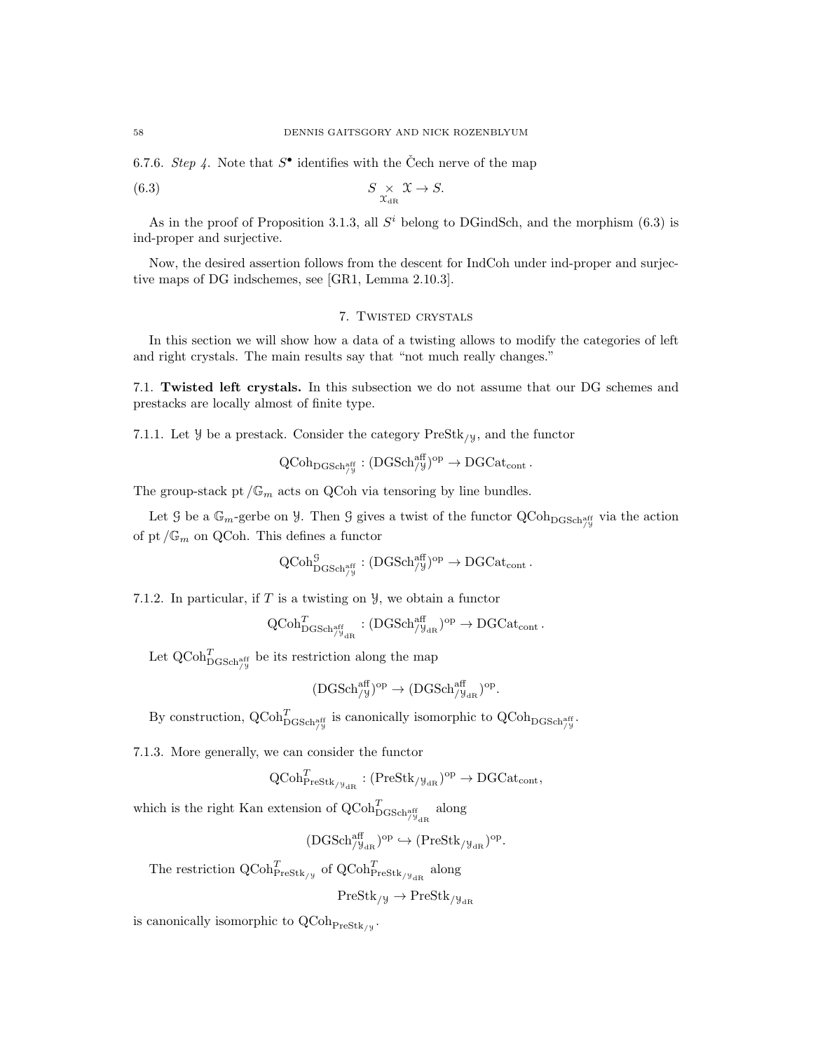6.7.6. Step 4. Note that  $S^{\bullet}$  identifies with the Čech nerve of the map

(6.3) 
$$
S \underset{\mathcal{X}_{\mathrm{dR}}}{\times} \mathcal{X} \to S.
$$

As in the proof of Proposition 3.1.3, all  $S<sup>i</sup>$  belong to DGindSch, and the morphism (6.3) is ind-proper and surjective.

Now, the desired assertion follows from the descent for IndCoh under ind-proper and surjective maps of DG indschemes, see [GR1, Lemma 2.10.3].

## 7. Twisted crystals

In this section we will show how a data of a twisting allows to modify the categories of left and right crystals. The main results say that "not much really changes."

7.1. Twisted left crystals. In this subsection we do not assume that our DG schemes and prestacks are locally almost of finite type.

7.1.1. Let  $\mathcal{Y}$  be a prestack. Consider the category  $\text{PreStk}_{\ell}$ , and the functor

$$
\operatorname{QCoh}_{\operatorname{DGSch}^{\operatorname{aff}}_{/y}} : (\operatorname{DGSch}^{\operatorname{aff}}_{/y})^{\operatorname{op}} \to \operatorname{DGCat}_{\operatorname{cont}}.
$$

The group-stack pt  $/\mathbb{G}_m$  acts on QCoh via tensoring by line bundles.

Let  $\mathcal G$  be a  $\mathbb G_m$ -gerbe on  $\mathcal Y$ . Then  $\mathcal G$  gives a twist of the functor  $\mathrm{QCoh}_{\mathrm{DGSch}^{\mathrm{aff}}_{/\mathcal Y}}$  via the action of pt  $/\mathbb{G}_m$  on QCoh. This defines a functor

$$
\operatorname{QCoh}_{\operatorname{DGSch}^{\operatorname{aff}}_{/y}}^{\operatorname{G}}: (\operatorname{DGSch}_{/y}^{\operatorname{aff}})^{\operatorname{op}} \to \operatorname{DGCat}_{\operatorname{cont}}.
$$

7.1.2. In particular, if  $T$  is a twisting on  $\mathcal{Y}$ , we obtain a functor

$$
\mathrm{QCoh}^T_{\mathrm{DGSch}^{\mathrm{aff}}_{/ \mathcal{Y}_{\mathrm{dR}}}}: (\mathrm{DGSch}^{\mathrm{aff}}_{/ \mathcal{Y}_{\mathrm{dR}}})^{\mathrm{op}} \to \mathrm{DGCat}_{\mathrm{cont}}\,.
$$

Let  $\operatorname{QCoh}_{\operatorname{DGSch}^{\operatorname{aff}}_{/y}}^T$  be its restriction along the map

$$
(\text{DGSch}_{/\mathcal{Y}}^{\text{aff}})^{\text{op}} \to (\text{DGSch}_{/\mathcal{Y}_{\text{dR}}}^{\text{aff}})^{\text{op}}.
$$

By construction,  $Q\text{Coh}_{\text{DGSch}_{/y}^{\text{aff}}}^T$  is canonically isomorphic to  $Q\text{Coh}_{\text{DGSch}_{/y}^{\text{aff}}}$ .

7.1.3. More generally, we can consider the functor

$$
\mathrm{QCoh}^T_{\mathrm{PreStk}_{/\mathbb{Y}_{\mathrm{dR}}}}: (\mathrm{PreStk}_{/\mathbb{Y}_{\mathrm{dR}}})^{\mathrm{op}} \to \mathrm{DGCat}_{\mathrm{cont}},
$$

which is the right Kan extension of  $\operatorname{QCoh}^T_{\operatorname{DGSch}^{\operatorname{aff}}_{/\!\!/\mathfrak{g}_{\mathrm{dR}}}}$  along

 $( \mathrm{DGSch}_{/\mathcal{Y}_{\mathrm{dR}}}^{\mathrm{aff}} )^{\mathrm{op}} \hookrightarrow ( \mathrm{PreStk}_{/\mathcal{Y}_{\mathrm{dR}}})^{\mathrm{op}}.$ 

The restriction  $\operatorname{QCoh}_{\operatorname{PreStk}/\mathcal{Y}}^T$  of  $\operatorname{QCoh}_{\operatorname{PreStk}/\mathcal{Y}_{\operatorname{dR}}}^T$  along

$$
\mathrm{PreStk}_{/\mathcal{Y}}\rightarrow \mathrm{PreStk}_{/\mathcal{Y}_{\mathrm{dR}}}
$$

is canonically isomorphic to  $\mathrm{QCoh}_{\mathrm{PreStk}_{/\mathcal{Y}}}.$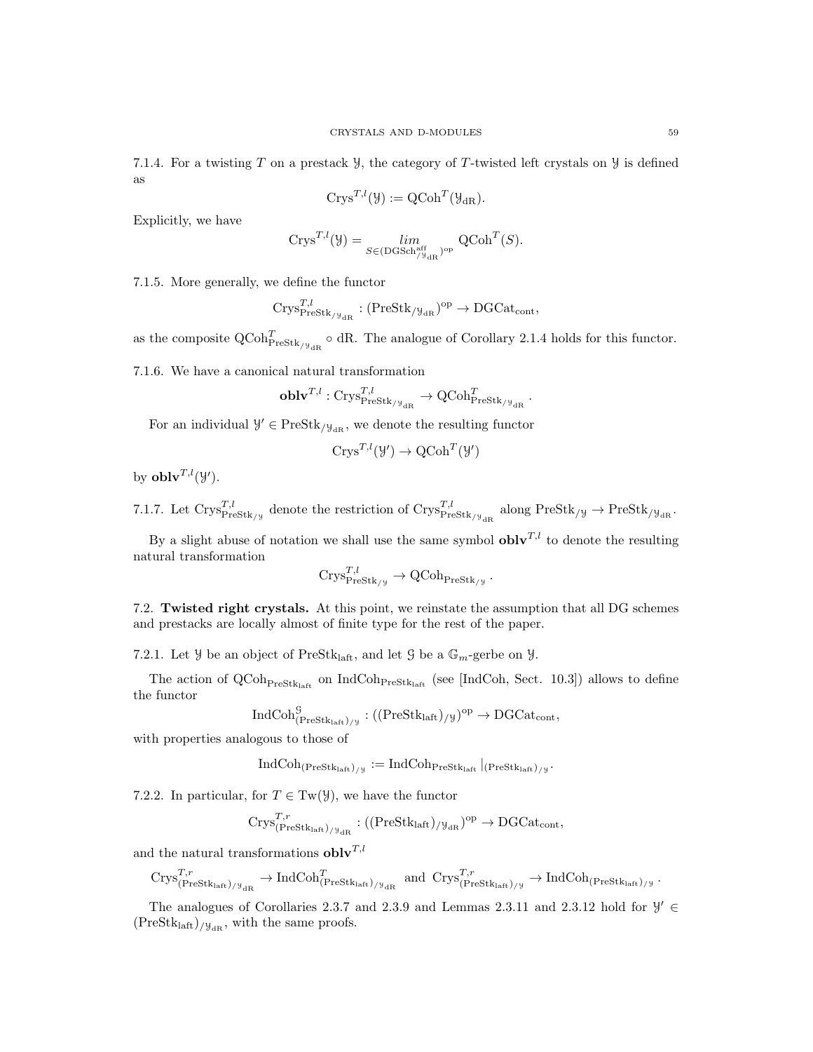7.1.4. For a twisting T on a prestack  $\mathcal{Y}$ , the category of T-twisted left crystals on  $\mathcal{Y}$  is defined as

$$
Crys^{T,l}(\mathcal{Y}):= QCoh^{T}(\mathcal{Y}_{dR}).
$$

Explicitly, we have

$$
Crys^{T,l}(\mathcal{Y}) = \lim_{S \in (DGSch_{/\mathcal{Y}_{dR}}^{\text{aff}})^{\text{op}}} QCoh^{T}(S).
$$

7.1.5. More generally, we define the functor

$$
\mathrm{Crys}_{\mathrm{PreStk}_{/\mathcal{Y}_{\mathrm{dR}}}}^{T,l} : (\mathrm{PreStk}_{/\mathcal{Y}_{\mathrm{dR}}})^{\mathrm{op}} \to \mathrm{DGCat}_{\mathrm{cont}},
$$

as the composite  $Q\text{Coh}_{\text{PreStk}/y_{\text{dR}}^{\mathcal{A}}}^T \circ \text{dR}$ . The analogue of Corollary 2.1.4 holds for this functor.

7.1.6. We have a canonical natural transformation

$$
\mathbf{oblv}^{T,l} : \mathrm{Crys}_{\mathrm{PreStk}_{/\mathcal{Y}_{\mathrm{dR}}}}^{T,l} \to \mathrm{QCoh}_{\mathrm{PreStk}_{/\mathcal{Y}_{\mathrm{dR}}}}^T.
$$

For an individual  $\mathcal{Y}' \in \text{PreStk}_{/\mathcal{Y}_{\text{dR}}}$ , we denote the resulting functor

$$
Crys^{T,l}(\mathcal{Y}') \to \operatorname{QCoh}^T(\mathcal{Y}')
$$

by  $\mathbf{oblv}^{T,l}(\mathcal{Y}')$ .

7.1.7. Let  $\text{Crys}_{\text{PreStk}/y}^{T,l}$  denote the restriction of  $\text{Crys}_{\text{PreStk}/y}_{\text{def}}^{T,l}$  along  $\text{PreStk}/y \to \text{PreStk}/y_{\text{def}}$ .

By a slight abuse of notation we shall use the same symbol  $\textbf{oblv}^{T,l}$  to denote the resulting natural transformation

$$
\mathrm{Crys}_{\mathrm{PreStk}_{/\mathcal{Y}}}^{T,l} \to \mathrm{QCoh}_{\mathrm{PreStk}_{/\mathcal{Y}}}.
$$

7.2. Twisted right crystals. At this point, we reinstate the assumption that all DG schemes and prestacks are locally almost of finite type for the rest of the paper.

7.2.1. Let  $\mathcal{Y}$  be an object of PreStk<sub>laft</sub>, and let  $\mathcal{G}$  be a  $\mathbb{G}_m$ -gerbe on  $\mathcal{Y}$ .

The action of  $QCoh_{PreStk<sub>left</sub>}$  on IndCoh<sub>PreStklaft</sub> (see [IndCoh, Sect. 10.3]) allows to define the functor

$$
\operatorname{IndCoh}^{\mathcal{G}}_{(\operatorname{PreStk}_{\operatorname{laff}})_{/ \mathcal{Y}} } : ((\operatorname{PreStk}_{\operatorname{laff}})_{/ \mathcal{Y}})^{\operatorname{op}} \to \operatorname{DGCat}_{\operatorname{cont}},
$$

with properties analogous to those of

$$
\operatorname{IndCoh}_{(\operatorname{PreStk}_{\operatorname{laff}})_{/y}} := \operatorname{IndCoh}_{\operatorname{PreStk}_{\operatorname{laff}}} |_{(\operatorname{PreStk}_{\operatorname{laff}})_{/y}}.
$$

7.2.2. In particular, for  $T \in Tw(\mathcal{Y})$ , we have the functor

$$
\mathrm{Crys}_{(\mathrm{PreStk}_{\mathrm{laff}})/\mathbb{F}_{\mathrm{dR}}}^{T,r} : ((\mathrm{PreStk}_{\mathrm{laff}})_{/\mathbb{F}_{\mathrm{dR}}})^{\mathrm{op}} \to \mathrm{DGCat}_{\mathrm{cont}},
$$

and the natural transformations  $\mathbf{oblv}^{T,l}$ 

$$
\mathrm{Crys}_{(\mathrm{PreStk}_{\mathrm{laft}})_{/\mathcal{Y}_{\mathrm{dR}}}}^{T,r} \to \mathrm{IndCoh}_{(\mathrm{PreStk}_{\mathrm{laft}})_{/\mathcal{Y}_{\mathrm{dR}}}}^{T} \ \text{ and } \ \mathrm{Crys}_{(\mathrm{PreStk}_{\mathrm{laft}})_{/\mathcal{Y}}^{\bar{T},r} \to \mathrm{IndCoh}_{(\mathrm{PreStk}_{\mathrm{laft}})_{/\mathcal{Y}}}.
$$

The analogues of Corollaries 2.3.7 and 2.3.9 and Lemmas 2.3.11 and 2.3.12 hold for  $\mathcal{Y}' \in$  $(PreStk<sub>laff</sub>)_{/\mathcal{Y}_{dR}}$ , with the same proofs.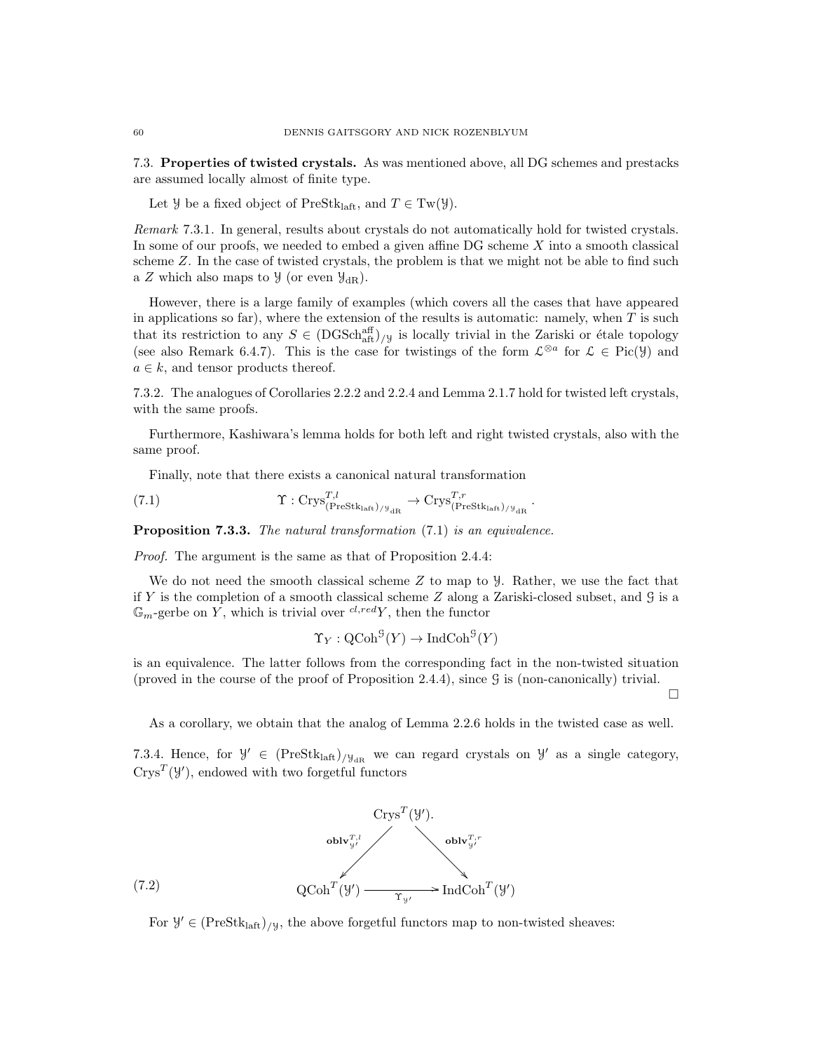7.3. Properties of twisted crystals. As was mentioned above, all DG schemes and prestacks are assumed locally almost of finite type.

Let *Y* be a fixed object of PreStk<sub>laft</sub>, and  $T \in Tw(\mathcal{Y})$ .

Remark 7.3.1. In general, results about crystals do not automatically hold for twisted crystals. In some of our proofs, we needed to embed a given affine  $DG$  scheme  $X$  into a smooth classical scheme Z. In the case of twisted crystals, the problem is that we might not be able to find such a Z which also maps to  $\mathcal{Y}$  (or even  $\mathcal{Y}_{dR}$ ).

However, there is a large family of examples (which covers all the cases that have appeared in applications so far), where the extension of the results is automatic: namely, when  $T$  is such that its restriction to any  $S \in (DGSch<sub>aff</sub><sup>aff</sup>)_{/\mathcal{Y}}$  is locally trivial in the Zariski or étale topology (see also Remark 6.4.7). This is the case for twistings of the form  $\mathcal{L}^{\otimes a}$  for  $\mathcal{L} \in \text{Pic}(\mathcal{Y})$  and  $a \in k$ , and tensor products thereof.

7.3.2. The analogues of Corollaries 2.2.2 and 2.2.4 and Lemma 2.1.7 hold for twisted left crystals, with the same proofs.

Furthermore, Kashiwara's lemma holds for both left and right twisted crystals, also with the same proof.

Finally, note that there exists a canonical natural transformation

(7.1) 
$$
\Upsilon : \mathrm{Crys}_{(\mathrm{Prestk}_{\mathrm{laff}})_{/\mathcal{Y}_{\mathrm{dR}}}}^{T,l} \to \mathrm{Crys}_{(\mathrm{Prestk}_{\mathrm{laff}})_{/\mathcal{Y}_{\mathrm{dR}}}}^{T,r}.
$$

**Proposition 7.3.3.** The natural transformation (7.1) is an equivalence.

Proof. The argument is the same as that of Proposition 2.4.4:

We do not need the smooth classical scheme  $Z$  to map to  $\mathcal{Y}$ . Rather, we use the fact that if Y is the completion of a smooth classical scheme  $Z$  along a Zariski-closed subset, and  $G$  is a  $\mathbb{G}_m$ -gerbe on Y, which is trivial over  $^{cl, red}Y$ , then the functor

$$
\Upsilon_Y : \operatorname{QCoh}^{\mathcal{G}}(Y) \to \operatorname{IndCoh}^{\mathcal{G}}(Y)
$$

is an equivalence. The latter follows from the corresponding fact in the non-twisted situation (proved in the course of the proof of Proposition 2.4.4), since G is (non-canonically) trivial.

 $\Box$ 

As a corollary, we obtain that the analog of Lemma 2.2.6 holds in the twisted case as well.

7.3.4. Hence, for  $\mathcal{Y}' \in (PreStk<sub>laff</sub>)_{/\mathcal{Y}_{dR}}$  we can regard crystals on  $\mathcal{Y}'$  as a single category,  $C$ rys<sup>T</sup>( $\mathcal{Y}'$ ), endowed with two forgetful functors



For  $\mathcal{Y}' \in (PreStk<sub>laff</sub>)_{/\mathcal{Y}},$  the above forgetful functors map to non-twisted sheaves: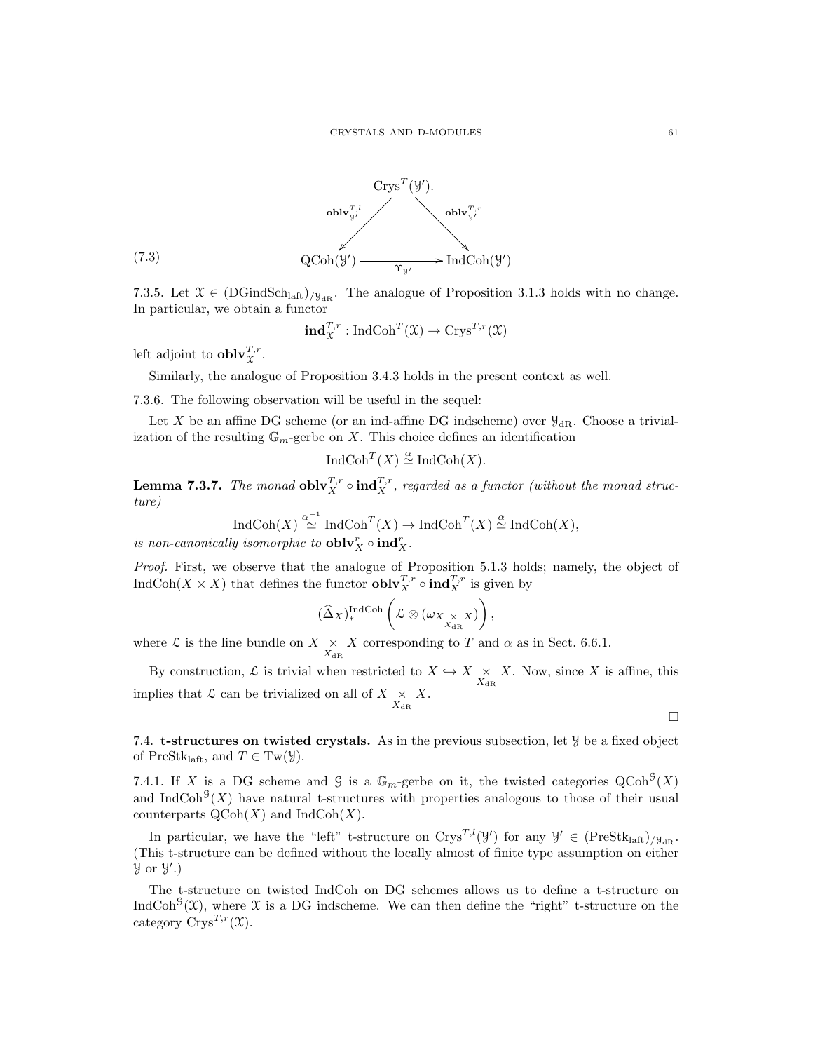

7.3.5. Let  $\mathfrak{X} \in (DGindSch<sub>laff</sub>)/y<sub>dr</sub>$ . The analogue of Proposition 3.1.3 holds with no change. In particular, we obtain a functor

$$
\mathbf{ind}_{\mathcal{X}}^{T,r} : \mathbf{IndCoh}^T(\mathcal{X}) \to \mathbf{Crys}^{T,r}(\mathcal{X})
$$

left adjoint to  $\mathbf{oblv}_{\mathcal{X}}^{T,r}$ .

Similarly, the analogue of Proposition 3.4.3 holds in the present context as well.

7.3.6. The following observation will be useful in the sequel:

Let X be an affine DG scheme (or an ind-affine DG indscheme) over  $\mathcal{Y}_{dR}$ . Choose a trivialization of the resulting  $\mathbb{G}_m$ -gerbe on X. This choice defines an identification

IndCoh $(T(X) \stackrel{\alpha} \simeq \text{IndCoh}(X)$ .

**Lemma 7.3.7.** The monad  $\textbf{oblv}_X^{T,r} \circ \textbf{ind}_X^{T,r}$ , regarded as a functor (without the monad structure)

$$
\operatorname{IndCoh}(X) \stackrel{\alpha^{-1}}{\simeq} \operatorname{IndCoh}^T(X) \to \operatorname{IndCoh}^T(X) \stackrel{\alpha}{\simeq} \operatorname{IndCoh}(X),
$$

is non-canonically isomorphic to  $\textbf{oblv}_X^r \circ \textbf{ind}_X^r$ .

Proof. First, we observe that the analogue of Proposition 5.1.3 holds; namely, the object of IndCoh( $X \times X$ ) that defines the functor **obl** $\mathbf{v}_X^{T,r}$  o **ind** $_X^{T,r}$  is given by

$$
(\widehat{\Delta}_X)^{\mathrm{IndCoh}}_*\left(\mathcal{L}\otimes(\omega_{X_{X\underset{\mathrm{A}_\mathrm{R}}{\times}}X})\right),
$$

where  $\mathcal{L}$  is the line bundle on  $X \underset{X_{\text{dR}}}{\times} X$  corresponding to T and  $\alpha$  as in Sect. 6.6.1.

By construction,  $\mathcal{L}$  is trivial when restricted to  $X \hookrightarrow X \underset{X_{\text{dR}}}{\times} X$ . Now, since X is affine, this implies that  $\mathcal{L}$  can be trivialized on all of  $X \underset{X_{\text{dR}}}{\times} X$ .

 $\Box$ 

7.4. t-structures on twisted crystals. As in the previous subsection, let Y be a fixed object of PreStk<sub>laft</sub>, and  $T \in Tw(\mathcal{Y})$ .

7.4.1. If X is a DG scheme and G is a  $\mathbb{G}_m$ -gerbe on it, the twisted categories  $Q\text{Coh}^{\mathcal{G}}(X)$ and IndCoh<sup> $\mathcal{G}(X)$ </sup> have natural t-structures with properties analogous to those of their usual counterparts  $\text{QCoh}(X)$  and  $\text{IndCoh}(X)$ .

In particular, we have the "left" t-structure on  $Crys^{T,l}(\mathcal{Y})$  for any  $\mathcal{Y}' \in (PreStk<sub>laff</sub>)_{/\mathcal{Y}_{dR}}$ . (This t-structure can be defined without the locally almost of finite type assumption on either  $y$  or  $y'$ .)

The t-structure on twisted IndCoh on DG schemes allows us to define a t-structure on IndCoh<sup>G</sup> $(\mathfrak{X})$ , where  $\mathfrak X$  is a DG indscheme. We can then define the "right" t-structure on the category  $\mathrm{Crys}^{T,r}(\mathfrak{X}).$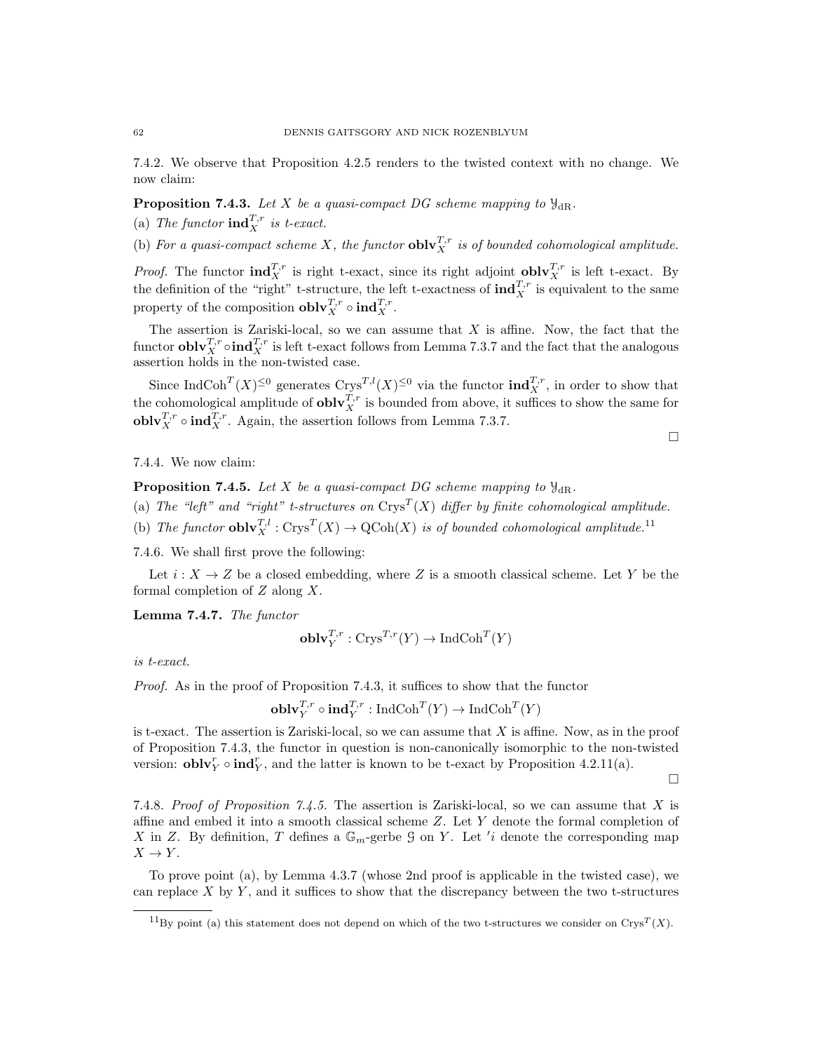7.4.2. We observe that Proposition 4.2.5 renders to the twisted context with no change. We now claim:

**Proposition 7.4.3.** Let X be a quasi-compact DG scheme mapping to  $\mathcal{Y}_{dR}$ .

(a) The functor  $\mathbf{ind}_X^{T,r}$  is t-exact.

(b) For a quasi-compact scheme X, the functor  $\textbf{oblv}_X^{T,r}$  is of bounded cohomological amplitude.

*Proof.* The functor  $\text{ind}_X^{T,r}$  is right t-exact, since its right adjoint  $\text{oblv}_X^{T,r}$  is left t-exact. By the definition of the "right" t-structure, the left t-exactness of  $\text{ind}_{X}^{T,r}$  is equivalent to the same property of the composition  $\mathbf{oblv}_X^{T,r} \circ \mathbf{ind}_X^{T,r}$ .

The assertion is Zariski-local, so we can assume that  $X$  is affine. Now, the fact that the functor  $\textbf{oblv}_{X}^{T,r} \circ \textbf{ind}_{X}^{T,r}$  is left t-exact follows from Lemma 7.3.7 and the fact that the analogous assertion holds in the non-twisted case.

Since IndCoh<sup>T</sup>(X)<sup> $\leq$ 0</sup> generates Crys<sup>T,l</sup>(X)<sup> $\leq$ 0</sup> via the functor **ind**<sub>X</sub><sup>T</sup>,<sup>r</sup>, in order to show that the cohomological amplitude of  $\textbf{oblv}_X^{T,r}$  is bounded from above, it suffices to show the same for **obl** $\mathbf{v}_X^{T,r}$   $\circ$  **ind** $_X^{T,r}$ . Again, the assertion follows from Lemma 7.3.7.

7.4.4. We now claim:

**Proposition 7.4.5.** Let X be a quasi-compact DG scheme mapping to  $\mathcal{Y}_{\text{dR}}$ .

(a) The "left" and "right" t-structures on  $\text{Crys}^T(X)$  differ by finite cohomological amplitude.

(b) The functor  $\mathbf{oblv}_X^{T,l} : \text{Crys}^T(X) \to \text{QCoh}(X)$  is of bounded cohomological amplitude.<sup>11</sup>

7.4.6. We shall first prove the following:

Let  $i: X \to Z$  be a closed embedding, where Z is a smooth classical scheme. Let Y be the formal completion of  $Z$  along  $X$ .

Lemma 7.4.7. The functor

$$
\mathbf{oblv}_Y^{T,r} : \mathbf{Crys}^{T,r}(Y) \to \mathbf{IndCoh}^T(Y)
$$

is t-exact.

Proof. As in the proof of Proposition 7.4.3, it suffices to show that the functor

$$
\mathbf{oblv}_Y^{T,r} \circ \mathbf{ind}_Y^{T,r} : \mathbf{IndCoh}^T(Y) \to \mathbf{IndCoh}^T(Y)
$$

is t-exact. The assertion is Zariski-local, so we can assume that  $X$  is affine. Now, as in the proof of Proposition 7.4.3, the functor in question is non-canonically isomorphic to the non-twisted version:  $\textbf{oblv}_Y^r \circ \textbf{ind}_Y^r$ , and the latter is known to be t-exact by Proposition 4.2.11(a).

 $\Box$ 

 $\Box$ 

7.4.8. Proof of Proposition 7.4.5. The assertion is Zariski-local, so we can assume that X is affine and embed it into a smooth classical scheme  $Z$ . Let  $Y$  denote the formal completion of X in Z. By definition, T defines a  $\mathbb{G}_m$ -gerbe  $\mathcal G$  on Y. Let 'i denote the corresponding map  $X \to Y$ .

To prove point (a), by Lemma 4.3.7 (whose 2nd proof is applicable in the twisted case), we can replace  $X$  by  $Y$ , and it suffices to show that the discrepancy between the two t-structures

<sup>&</sup>lt;sup>11</sup>By point (a) this statement does not depend on which of the two t-structures we consider on Crys<sup>T</sup>(X).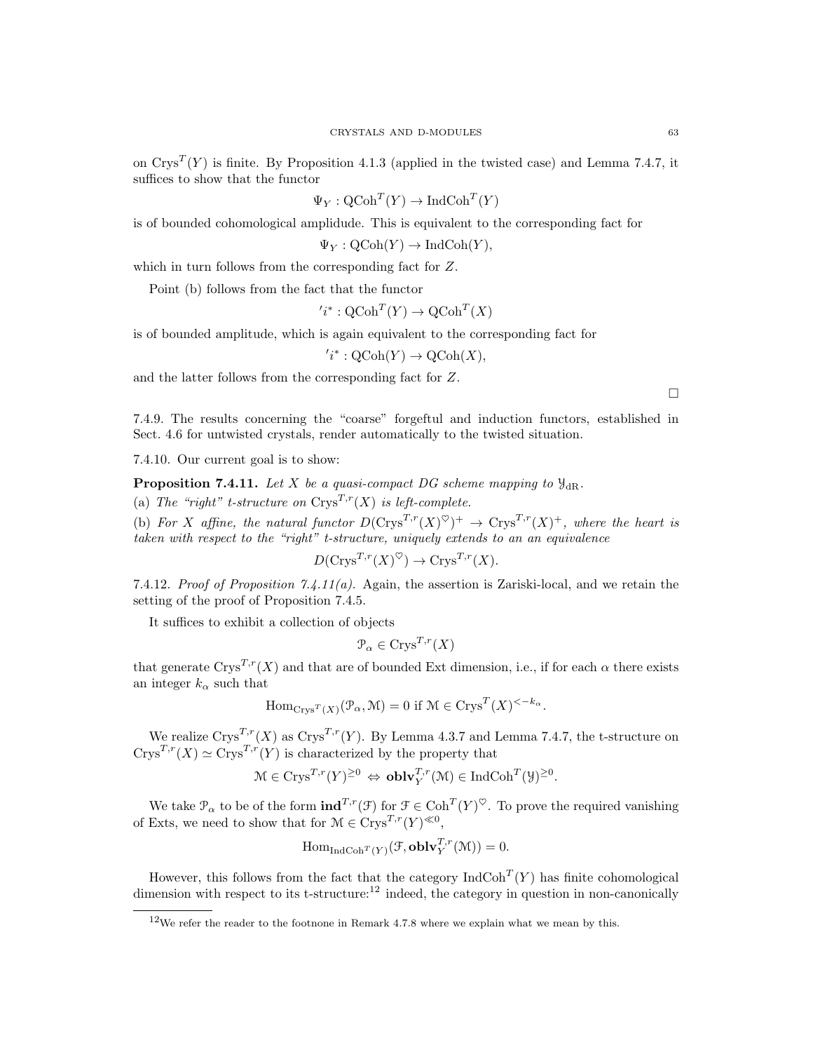on  $\text{Crys}^T(Y)$  is finite. By Proposition 4.1.3 (applied in the twisted case) and Lemma 7.4.7, it suffices to show that the functor

 $\Psi_Y : \operatorname{QCoh}^T(Y) \to \operatorname{IndCoh}^T(Y)$ 

is of bounded cohomological amplidude. This is equivalent to the corresponding fact for

 $\Psi_Y : \mathrm{QCoh}(Y) \to \mathrm{IndCoh}(Y)$ ,

which in turn follows from the corresponding fact for Z.

 $\prime$ 

Point (b) follows from the fact that the functor

$$
i^* : \mathrm{QCoh}^T(Y) \to \mathrm{QCoh}^T(X)
$$

is of bounded amplitude, which is again equivalent to the corresponding fact for

 $'i^* : \mathrm{QCoh}(Y) \to \mathrm{QCoh}(X),$ 

and the latter follows from the corresponding fact for Z.

7.4.9. The results concerning the "coarse" forgeftul and induction functors, established in Sect. 4.6 for untwisted crystals, render automatically to the twisted situation.

7.4.10. Our current goal is to show:

**Proposition 7.4.11.** Let X be a quasi-compact DG scheme mapping to  $\mathcal{Y}_{\text{dR}}$ .

(a) The "right" t-structure on  $\text{Crys}^{T,r}(X)$  is left-complete.

(b) For X affine, the natural functor  $D(\text{Crys}^{T,r}(X)^{\heartsuit})^+ \to \text{Crys}^{T,r}(X)^+$ , where the heart is taken with respect to the "right" t-structure, uniquely extends to an an equivalence

$$
D(Crys^{T,r}(X)^{\heartsuit}) \to Crys^{T,r}(X).
$$

7.4.12. Proof of Proposition 7.4.11(a). Again, the assertion is Zariski-local, and we retain the setting of the proof of Proposition 7.4.5.

It suffices to exhibit a collection of objects

$$
\mathcal{P}_{\alpha} \in \text{Crys}^{T,r}(X)
$$

that generate Crys<sup>T,r</sup>(X) and that are of bounded Ext dimension, i.e., if for each  $\alpha$  there exists an integer  $k_{\alpha}$  such that

$$
\operatorname{Hom}_{\operatorname{Crys}^T(X)}(\mathcal{P}_{\alpha}, \mathcal{M}) = 0 \text{ if } \mathcal{M} \in \operatorname{Crys}^T(X)^{< -k_{\alpha}}.
$$

We realize  $\text{Crys}^{T,r}(X)$  as  $\text{Crys}^{T,r}(Y)$ . By Lemma 4.3.7 and Lemma 7.4.7, the t-structure on  $C$ rys<sup>T,r</sup>(X)  $\simeq C$ rys<sup>T,r</sup>(Y) is characterized by the property that

$$
\mathcal{M} \in \text{Crys}^{T,r}(Y)^{\geq 0} \Leftrightarrow \text{oblv}_Y^{T,r}(\mathcal{M}) \in \text{IndCoh}^T(\mathcal{Y})^{\geq 0}.
$$

We take  $\mathcal{P}_{\alpha}$  to be of the form  $\text{ind}^{T,r}(\mathcal{F})$  for  $\mathcal{F} \in \text{Coh}^T(Y)^{\heartsuit}$ . To prove the required vanishing of Exts, we need to show that for  $\mathcal{M} \in \text{Crys}^{T,r}(Y)^{\ll 0}$ ,

$$
\operatorname{Hom}_{\operatorname{IndCoh}^T(Y)}(\mathcal{F},\operatorname{oblv}_Y^{T,r}(\mathcal{M}))=0.
$$

However, this follows from the fact that the category  $\text{IndCoh}^T(Y)$  has finite cohomological dimension with respect to its t-structure:<sup>12</sup> indeed, the category in question in non-canonically

<sup>&</sup>lt;sup>12</sup>We refer the reader to the footnone in Remark 4.7.8 where we explain what we mean by this.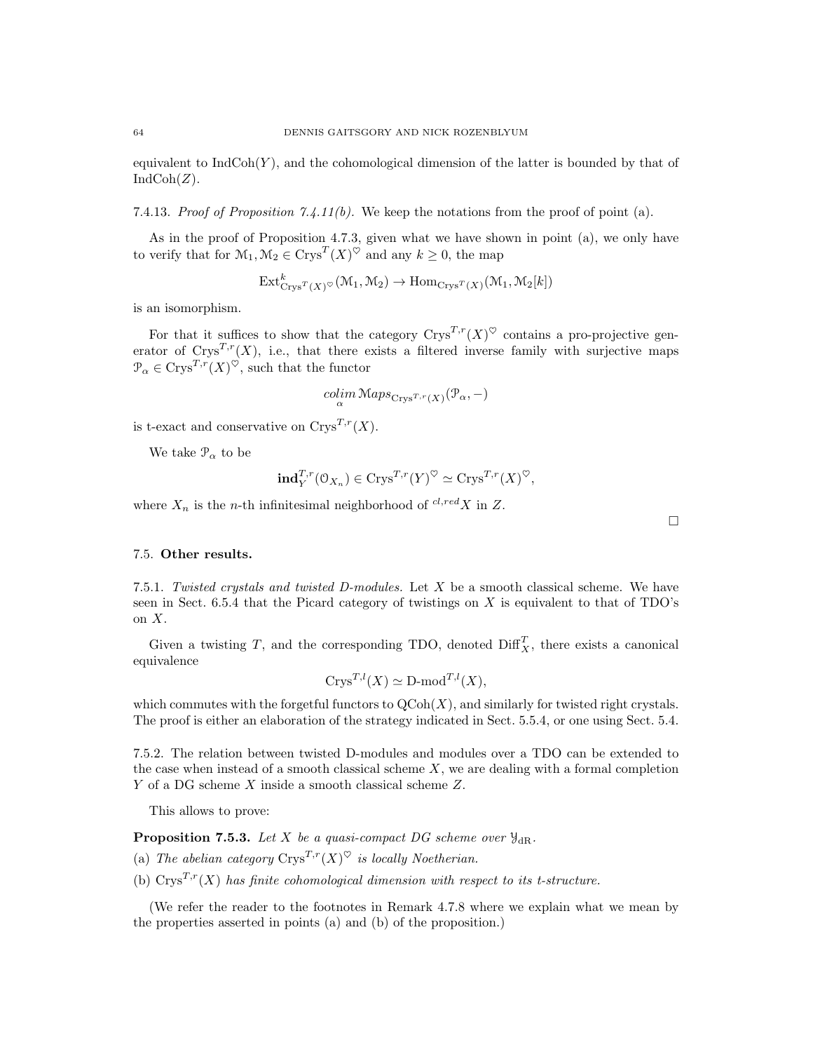equivalent to  $IndCoh(Y)$ , and the cohomological dimension of the latter is bounded by that of  $IndCoh(Z)$ .

7.4.13. Proof of Proposition 7.4.11(b). We keep the notations from the proof of point (a).

As in the proof of Proposition 4.7.3, given what we have shown in point (a), we only have to verify that for  $\mathcal{M}_1, \mathcal{M}_2 \in \text{Crys}^T(X)^\heartsuit$  and any  $k \geq 0$ , the map

$$
\mathrm{Ext}^k_{\mathrm{Crys}^T(X)} \circ (\mathcal{M}_1, \mathcal{M}_2) \to \mathrm{Hom}_{\mathrm{Crys}^T(X)}(\mathcal{M}_1, \mathcal{M}_2[k])
$$

is an isomorphism.

For that it suffices to show that the category  $\text{Crys}^{T,r}(X)^\heartsuit$  contains a pro-projective generator of  $Crys^{T,r}(X)$ , i.e., that there exists a filtered inverse family with surjective maps  $\mathcal{P}_{\alpha} \in \text{Crys}^{T,r}(X)^\heartsuit$ , such that the functor

$$
\mathop{colim}\limits_{\alpha}\mathop{\mathcal{M}aps}_{\mathrm{Crys}^{T,r}(X)}(\mathcal{P}_{\alpha},-)
$$

is t-exact and conservative on  $Crys^{T,r}(X)$ .

We take  $\mathcal{P}_{\alpha}$  to be

$$
\mathrm{ind}_{Y}^{T,r}(\mathfrak{O}_{X_n}) \in \mathrm{Crys}^{T,r}(Y)^\heartsuit \simeq \mathrm{Crys}^{T,r}(X)^\heartsuit,
$$

where  $X_n$  is the *n*-th infinitesimal neighborhood of  $^{cl, red}X$  in Z.

 $\Box$ 

# 7.5. Other results.

7.5.1. Twisted crystals and twisted D-modules. Let X be a smooth classical scheme. We have seen in Sect. 6.5.4 that the Picard category of twistings on X is equivalent to that of  $TDO's$ on X.

Given a twisting T, and the corresponding TDO, denoted  $\text{Diff}_X^T$ , there exists a canonical equivalence

$$
Crys^{T,l}(X) \simeq \mathbf{D}\text{-mod}^{T,l}(X),
$$

which commutes with the forgetful functors to  $\text{QCoh}(X)$ , and similarly for twisted right crystals. The proof is either an elaboration of the strategy indicated in Sect. 5.5.4, or one using Sect. 5.4.

7.5.2. The relation between twisted D-modules and modules over a TDO can be extended to the case when instead of a smooth classical scheme  $X$ , we are dealing with a formal completion Y of a DG scheme X inside a smooth classical scheme Z.

This allows to prove:

**Proposition 7.5.3.** Let X be a quasi-compact DG scheme over  $\mathcal{Y}_{\text{dR}}$ .

- (a) The abelian category  $\text{Crys}^{T,r}(X)^\heartsuit$  is locally Noetherian.
- (b)  $Crys^{T,r}(X)$  has finite cohomological dimension with respect to its t-structure.

(We refer the reader to the footnotes in Remark 4.7.8 where we explain what we mean by the properties asserted in points (a) and (b) of the proposition.)